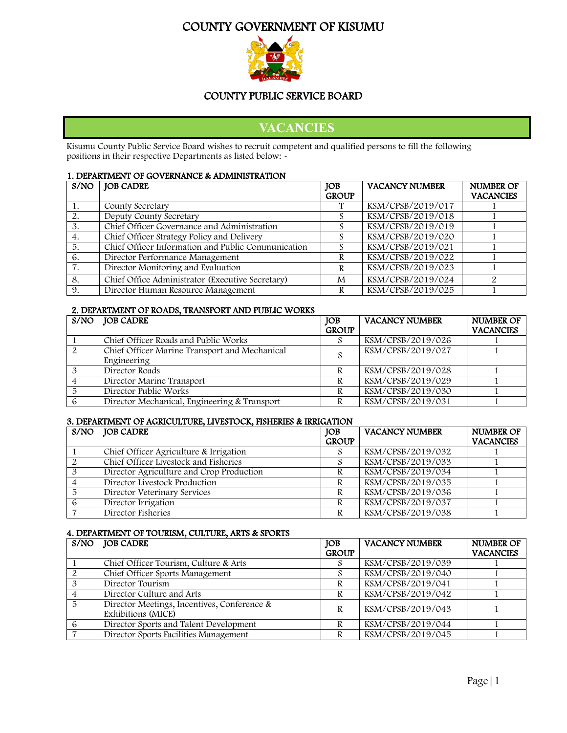# COUNTY GOVERNMENT OF KISUMU



#### COUNTY PUBLIC SERVICE BOARD

# **VACANCIES**

Kisumu County Public Service Board wishes to recruit competent and qualified persons to fill the following positions in their respective Departments as listed below: -

#### 1. DEPARTMENT OF GOVERNANCE & ADMINISTRATION

| S/NO | JOB CADRE                                          | <b>JOB</b>   | <b>VACANCY NUMBER</b> | <b>NUMBER OF</b> |
|------|----------------------------------------------------|--------------|-----------------------|------------------|
|      |                                                    | <b>GROUP</b> |                       | <b>VACANCIES</b> |
|      | County Secretary                                   |              | KSM/CPSB/2019/017     |                  |
| 2.   | Deputy County Secretary                            |              | KSM/CPSB/2019/018     |                  |
| 3.   | Chief Officer Governance and Administration        |              | KSM/CPSB/2019/019     |                  |
| 4.   | Chief Officer Strategy Policy and Delivery         |              | KSM/CPSB/2019/020     |                  |
| 5.   | Chief Officer Information and Public Communication |              | KSM/CPSB/2019/021     |                  |
| 6.   | Director Performance Management                    | R            | KSM/CPSB/2019/022     |                  |
| 7.   | Director Monitoring and Evaluation                 | R            | KSM/CPSB/2019/023     |                  |
| 8.   | Chief Office Administrator (Executive Secretary)   | M            | KSM/CPSB/2019/024     |                  |
| 9.   | Director Human Resource Management                 | R            | KSM/CPSB/2019/025     |                  |

#### 2. DEPARTMENT OF ROADS, TRANSPORT AND PUBLIC WORKS

|   | $S/NO$   JOB CADRE                            | <b>JOB</b>   | <b>VACANCY NUMBER</b> | <b>NUMBER OF</b> |
|---|-----------------------------------------------|--------------|-----------------------|------------------|
|   |                                               | <b>GROUP</b> |                       | <b>VACANCIES</b> |
|   | Chief Officer Roads and Public Works          |              | KSM/CPSB/2019/026     |                  |
| 2 | Chief Officer Marine Transport and Mechanical | S            | KSM/CPSB/2019/027     |                  |
|   | Engineering                                   |              |                       |                  |
|   | Director Roads                                |              | KSM/CPSB/2019/028     |                  |
|   | Director Marine Transport                     |              | KSM/CPSB/2019/029     |                  |
|   | Director Public Works                         | R            | KSM/CPSB/2019/030     |                  |
|   | Director Mechanical, Engineering & Transport  |              | KSM/CPSB/2019/031     |                  |

#### 3. DEPARTMENT OF AGRICULTURE, LIVESTOCK, FISHERIES & IRRIGATION

| $S/NO$ JOB CADRE                         | JOB          | <b>VACANCY NUMBER</b> | <b>NUMBER OF</b> |
|------------------------------------------|--------------|-----------------------|------------------|
|                                          | <b>GROUP</b> |                       | <b>VACANCIES</b> |
| Chief Officer Agriculture & Irrigation   |              | KSM/CPSB/2019/032     |                  |
| Chief Officer Livestock and Fisheries    |              | KSM/CPSB/2019/033     |                  |
| Director Agriculture and Crop Production |              | KSM/CPSB/2019/034     |                  |
| Director Livestock Production            |              | KSM/CPSB/2019/035     |                  |
| Director Veterinary Services             |              | KSM/CPSB/2019/036     |                  |
| Director Irrigation                      |              | KSM/CPSB/2019/037     |                  |
| Director Fisheries                       |              | KSM/CPSB/2019/038     |                  |

#### 4. DEPARTMENT OF TOURISM, CULTURE, ARTS & SPORTS

|    | $S/NO$   JOB CADRE                                                | <b>JOB</b>   | <b>VACANCY NUMBER</b> | <b>NUMBER OF</b> |
|----|-------------------------------------------------------------------|--------------|-----------------------|------------------|
|    |                                                                   | <b>GROUP</b> |                       | <b>VACANCIES</b> |
|    | Chief Officer Tourism, Culture & Arts                             |              | KSM/CPSB/2019/039     |                  |
|    | Chief Officer Sports Management                                   |              | KSM/CPSB/2019/040     |                  |
|    | Director Tourism                                                  |              | KSM/CPSB/2019/041     |                  |
|    | Director Culture and Arts                                         | R            | KSM/CPSB/2019/042     |                  |
| -5 | Director Meetings, Incentives, Conference &<br>Exhibitions (MICE) | R            | KSM/CPSB/2019/043     |                  |
| 6  | Director Sports and Talent Development                            |              | KSM/CPSB/2019/044     |                  |
|    | Director Sports Facilities Management                             |              | KSM/CPSB/2019/045     |                  |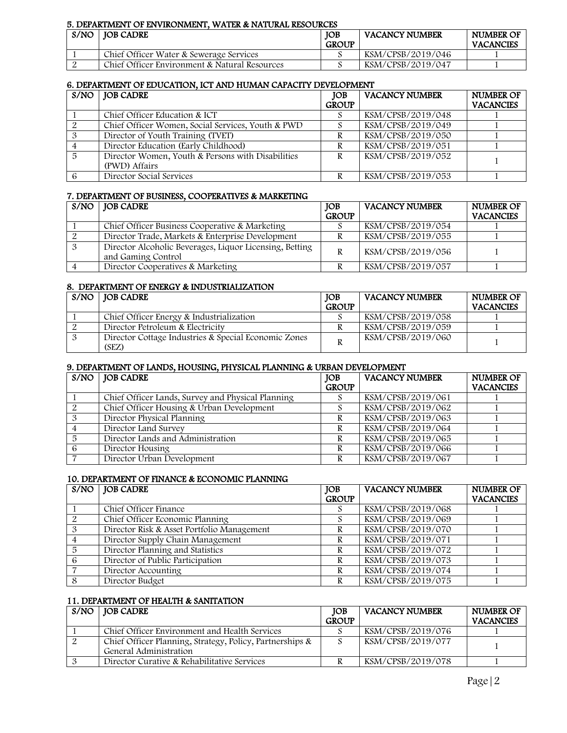#### 5. DEPARTMENT OF ENVIRONMENT, WATER & NATURAL RESOURCES

| S/NO | <b>IOB CADRE</b>                              | <b>IOB</b><br><b>GROUP</b> | <b>VACANCY NUMBER</b> | NUMBER OF<br><b>VACANCIES</b> |
|------|-----------------------------------------------|----------------------------|-----------------------|-------------------------------|
|      | Chief Officer Water & Sewerage Services       |                            | KSM/CPSB/2019/046     |                               |
|      | Chief Officer Environment & Natural Resources |                            | KSM/CPSB/2019/047     |                               |

#### 6. DEPARTMENT OF EDUCATION, ICT AND HUMAN CAPACITY DEVELOPMENT

|    | $S/NO$   JOB CADRE                                                 | <b>IOB</b><br><b>GROUP</b> | <b>VACANCY NUMBER</b> | <b>NUMBER OF</b><br><b>VACANCIES</b> |
|----|--------------------------------------------------------------------|----------------------------|-----------------------|--------------------------------------|
|    | Chief Officer Education & ICT                                      |                            | KSM/CPSB/2019/048     |                                      |
|    | Chief Officer Women, Social Services, Youth & PWD                  |                            | KSM/CPSB/2019/049     |                                      |
| 3  | Director of Youth Training (TVET)                                  |                            | KSM/CPSB/2019/050     |                                      |
|    | Director Education (Early Childhood)                               |                            | KSM/CPSB/2019/051     |                                      |
| -5 | Director Women, Youth & Persons with Disabilities<br>(PWD) Affairs | R                          | KSM/CPSB/2019/052     |                                      |
|    | Director Social Services                                           |                            | KSM/CPSB/2019/053     |                                      |

#### 7. DEPARTMENT OF BUSINESS, COOPERATIVES & MARKETING

| $S/NO$   JOB CADRE                                      | <b>JOB</b>   | <b>VACANCY NUMBER</b> | <b>NUMBER OF</b> |
|---------------------------------------------------------|--------------|-----------------------|------------------|
|                                                         | <b>GROUP</b> |                       | <b>VACANCIES</b> |
| Chief Officer Business Cooperative & Marketing          |              | KSM/CPSB/2019/054     |                  |
| Director Trade, Markets & Enterprise Development        |              | KSM/CPSB/2019/055     |                  |
| Director Alcoholic Beverages, Liquor Licensing, Betting | R            | KSM/CPSB/2019/056     |                  |
| and Gaming Control                                      |              |                       |                  |
| Director Cooperatives & Marketing                       |              | KSM/CPSB/2019/057     |                  |

#### 8. DEPARTMENT OF ENERGY & INDUSTRIALIZATION

| $S/NO$   JOB CADRE                                            | <b>IOB</b>   | <b>VACANCY NUMBER</b> | NUMBER OF        |
|---------------------------------------------------------------|--------------|-----------------------|------------------|
|                                                               | <b>GROUP</b> |                       | <b>VACANCIES</b> |
| Chief Officer Energy & Industrialization                      |              | KSM/CPSB/2019/058     |                  |
| Director Petroleum & Electricity                              |              | KSM/CPSB/2019/059     |                  |
| Director Cottage Industries & Special Economic Zones<br>(SEZ) |              | KSM/CPSB/2019/060     |                  |

#### 9. DEPARTMENT OF LANDS, HOUSING, PHYSICAL PLANNING & URBAN DEVELOPMENT

| $S/NO$   JOB CADRE                                      | <b>IOB</b><br><b>GROUP</b> | <b>VACANCY NUMBER</b> | <b>NUMBER OF</b><br><b>VACANCIES</b> |
|---------------------------------------------------------|----------------------------|-----------------------|--------------------------------------|
| Chief Officer Lands, Survey and Physical Planning       |                            | KSM/CPSB/2019/061     |                                      |
| Chief Officer Housing $\overline{\&}$ Urban Development |                            | KSM/CPSB/2019/062     |                                      |
| Director Physical Planning                              |                            | KSM/CPSB/2019/063     |                                      |
| Director Land Survey                                    |                            | KSM/CPSB/2019/064     |                                      |
| Director Lands and Administration                       |                            | KSM/CPSB/2019/065     |                                      |
| Director Housing                                        |                            | KSM/CPSB/2019/066     |                                      |
| Director Urban Development                              |                            | KSM/CPSB/2019/067     |                                      |

#### 10. DEPARTMENT OF FINANCE & ECONOMIC PLANNING

|   | $S/NO$   JOB CADRE                         | <b>JOB</b>   | <b>VACANCY NUMBER</b> | <b>NUMBER OF</b> |
|---|--------------------------------------------|--------------|-----------------------|------------------|
|   |                                            | <b>GROUP</b> |                       | <b>VACANCIES</b> |
|   | Chief Officer Finance                      |              | KSM/CPSB/2019/068     |                  |
|   | Chief Officer Economic Planning            |              | KSM/CPSB/2019/069     |                  |
|   | Director Risk & Asset Portfolio Management | R            | KSM/CPSB/2019/070     |                  |
|   | Director Supply Chain Management           | R            | KSM/CPSB/2019/071     |                  |
| 5 | Director Planning and Statistics           |              | KSM/CPSB/2019/072     |                  |
| 6 | Director of Public Participation           | R            | KSM/CPSB/2019/073     |                  |
|   | Director Accounting                        | R            | KSM/CPSB/2019/074     |                  |
|   | Director Budget                            |              | KSM/CPSB/2019/075     |                  |

#### 11. DEPARTMENT OF HEALTH & SANITATION

| $S/NO$   JOB CADRE                                       | JOB          | <b>VACANCY NUMBER</b> | <b>NUMBER OF</b> |
|----------------------------------------------------------|--------------|-----------------------|------------------|
|                                                          | <b>GROUP</b> |                       | <b>VACANCIES</b> |
| Chief Officer Environment and Health Services            |              | KSM/CPSB/2019/076     |                  |
| Chief Officer Planning, Strategy, Policy, Partnerships & |              | KSM/CPSB/2019/077     |                  |
| General Administration                                   |              |                       |                  |
| Director Curative & Rehabilitative Services              |              | KSM/CPSB/2019/078     |                  |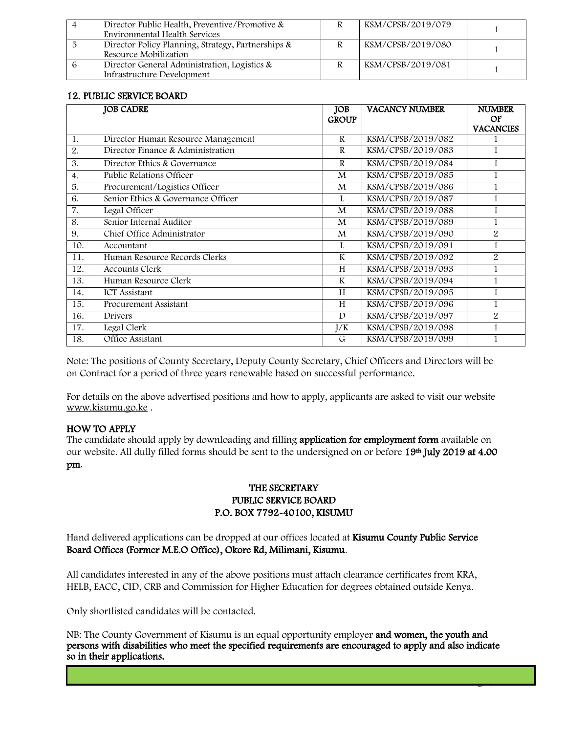| Director Public Health, Preventive/Promotive &<br>Environmental Health Services | KSM/CPSB/2019/079 |  |
|---------------------------------------------------------------------------------|-------------------|--|
| Director Policy Planning, Strategy, Partnerships &<br>Resource Mobilization     | KSM/CPSB/2019/080 |  |
| Director General Administration, Logistics &<br>Infrastructure Development      | KSM/CPSB/2019/081 |  |

#### 12. PUBLIC SERVICE BOARD

|                  | <b>JOB CADRE</b>                   | <b>JOB</b><br><b>GROUP</b> | <b>VACANCY NUMBER</b> | <b>NUMBER</b><br>OF |
|------------------|------------------------------------|----------------------------|-----------------------|---------------------|
|                  |                                    |                            |                       | <b>VACANCIES</b>    |
| 1.               | Director Human Resource Management | R                          | KSM/CPSB/2019/082     |                     |
| 2.               | Director Finance & Administration  | $\mathbb{R}$               | KSM/CPSB/2019/083     | 1                   |
| 3.               | Director Ethics & Governance       | $\mathbb{R}$               | KSM/CPSB/2019/084     |                     |
| $\overline{4}$ . | Public Relations Officer           | M                          | KSM/CPSB/2019/085     | 1                   |
| 5.               | Procurement/Logistics Officer      | M                          | KSM/CPSB/2019/086     | 1                   |
| 6.               | Senior Ethics & Governance Officer | L                          | KSM/CPSB/2019/087     |                     |
| 7.               | Legal Officer                      | M                          | KSM/CPSB/2019/088     | 1                   |
| 8.               | Senior Internal Auditor            | M                          | KSM/CPSB/2019/089     | 1                   |
| 9.               | Chief Office Administrator         | M                          | KSM/CPSB/2019/090     | $\overline{2}$      |
| 10.              | Accountant                         | L                          | KSM/CPSB/2019/091     | 1                   |
| 11.              | Human Resource Records Clerks      | K                          | KSM/CPSB/2019/092     | 2                   |
| 12.              | <b>Accounts Clerk</b>              | H                          | KSM/CPSB/2019/093     | 1                   |
| 13.              | Human Resource Clerk               | $\mathbf{K}$               | KSM/CPSB/2019/094     |                     |
| 14.              | <b>ICT</b> Assistant               | H                          | KSM/CPSB/2019/095     |                     |
| 15.              | Procurement Assistant              | H                          | KSM/CPSB/2019/096     | 1                   |
| 16.              | Drivers                            | D                          | KSM/CPSB/2019/097     | $\overline{2}$      |
| 17.              | Legal Clerk                        | J/K                        | KSM/CPSB/2019/098     | 1                   |
| 18.              | Office Assistant                   | G                          | KSM/CPSB/2019/099     |                     |

Note: The positions of County Secretary, Deputy County Secretary, Chief Officers and Directors will be on Contract for a period of three years renewable based on successful performance.

For details on the above advertised positions and how to apply, applicants are asked to visit our website [www.kisumu.go.ke](http://www.kisumu.go.ke/) .

#### HOW TO APPLY

The candidate should apply by downloading and filling **application for employment form** available on our website. All dully filled forms should be sent to the undersigned on or before 19th July 2019 at 4.00 pm.

#### THE SECRETARY PUBLIC SERVICE BOARD P.O. BOX 7792-40100, KISUMU

Hand delivered applications can be dropped at our offices located at Kisumu County Public Service Board Offices (Former M.E.O Office), Okore Rd, Milimani, Kisumu.

All candidates interested in any of the above positions must attach clearance certificates from KRA, HELB, EACC, CID, CRB and Commission for Higher Education for degrees obtained outside Kenya.

Only shortlisted candidates will be contacted.

NB: The County Government of Kisumu is an equal opportunity employer and women, the youth and persons with disabilities who meet the specified requirements are encouraged to apply and also indicate so in their applications.

 $\rightarrow$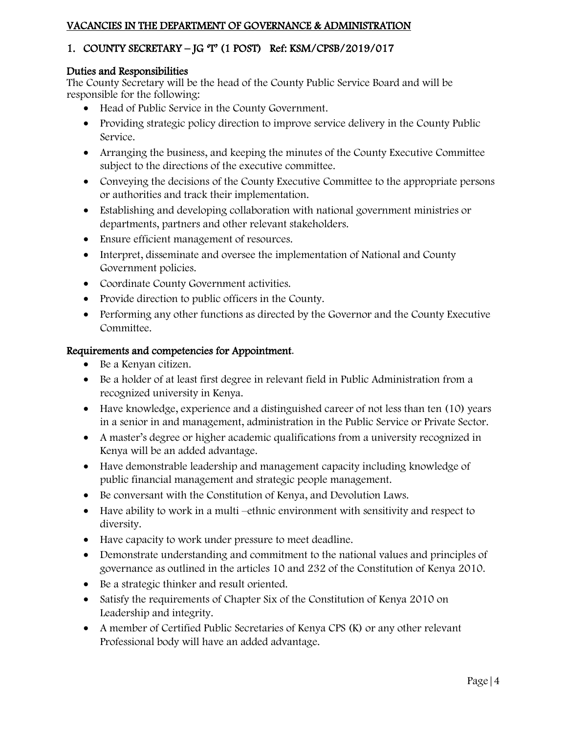### VACANCIES IN THE DEPARTMENT OF GOVERNANCE & ADMINISTRATION

# 1. COUNTY SECRETARY – JG 'T' (1 POST) Ref: KSM/CPSB/2019/017

#### Duties and Responsibilities

The County Secretary will be the head of the County Public Service Board and will be responsible for the following:

- Head of Public Service in the County Government.
- Providing strategic policy direction to improve service delivery in the County Public Service.
- Arranging the business, and keeping the minutes of the County Executive Committee subject to the directions of the executive committee.
- Conveying the decisions of the County Executive Committee to the appropriate persons or authorities and track their implementation.
- Establishing and developing collaboration with national government ministries or departments, partners and other relevant stakeholders.
- Ensure efficient management of resources.
- Interpret, disseminate and oversee the implementation of National and County Government policies.
- Coordinate County Government activities.
- Provide direction to public officers in the County.
- Performing any other functions as directed by the Governor and the County Executive Committee.

- Be a Kenyan citizen.
- Be a holder of at least first degree in relevant field in Public Administration from a recognized university in Kenya.
- Have knowledge, experience and a distinguished career of not less than ten (10) years in a senior in and management, administration in the Public Service or Private Sector.
- A master's degree or higher academic qualifications from a university recognized in Kenya will be an added advantage.
- Have demonstrable leadership and management capacity including knowledge of public financial management and strategic people management.
- Be conversant with the Constitution of Kenya, and Devolution Laws.
- Have ability to work in a multi –ethnic environment with sensitivity and respect to diversity.
- Have capacity to work under pressure to meet deadline.
- Demonstrate understanding and commitment to the national values and principles of governance as outlined in the articles 10 and 232 of the Constitution of Kenya 2010.
- Be a strategic thinker and result oriented.
- Satisfy the requirements of Chapter Six of the Constitution of Kenya 2010 on Leadership and integrity.
- A member of Certified Public Secretaries of Kenya CPS (K) or any other relevant Professional body will have an added advantage.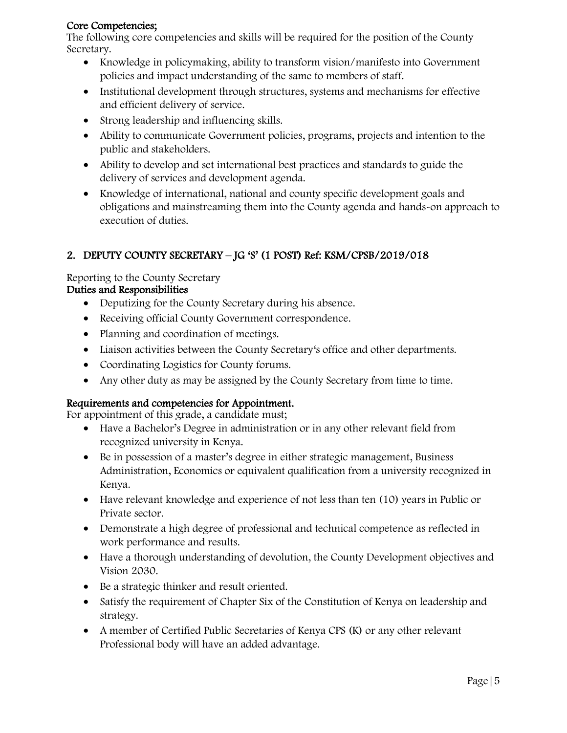#### Core Competencies;

The following core competencies and skills will be required for the position of the County Secretary.

- Knowledge in policymaking, ability to transform vision/manifesto into Government policies and impact understanding of the same to members of staff.
- Institutional development through structures, systems and mechanisms for effective and efficient delivery of service.
- Strong leadership and influencing skills.
- Ability to communicate Government policies, programs, projects and intention to the public and stakeholders.
- Ability to develop and set international best practices and standards to guide the delivery of services and development agenda.
- Knowledge of international, national and county specific development goals and obligations and mainstreaming them into the County agenda and hands-on approach to execution of duties.

# 2. DEPUTY COUNTY SECRETARY – JG 'S' (1 POST) Ref: KSM/CPSB/2019/018

# Reporting to the County Secretary

# Duties and Responsibilities

- Deputizing for the County Secretary during his absence.
- Receiving official County Government correspondence.
- Planning and coordination of meetings.
- Liaison activities between the County Secretary's office and other departments.
- Coordinating Logistics for County forums.
- Any other duty as may be assigned by the County Secretary from time to time.

# Requirements and competencies for Appointment.

For appointment of this grade, a candidate must;

- Have a Bachelor's Degree in administration or in any other relevant field from recognized university in Kenya.
- Be in possession of a master's degree in either strategic management, Business Administration, Economics or equivalent qualification from a university recognized in Kenya.
- Have relevant knowledge and experience of not less than ten (10) years in Public or Private sector.
- Demonstrate a high degree of professional and technical competence as reflected in work performance and results.
- Have a thorough understanding of devolution, the County Development objectives and Vision 2030.
- Be a strategic thinker and result oriented.
- Satisfy the requirement of Chapter Six of the Constitution of Kenya on leadership and strategy.
- A member of Certified Public Secretaries of Kenya CPS (K) or any other relevant Professional body will have an added advantage.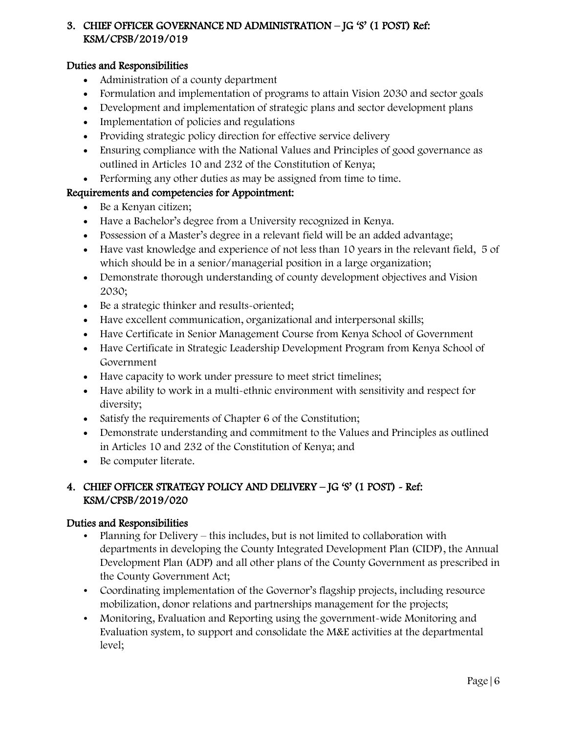# 3. CHIEF OFFICER GOVERNANCE ND ADMINISTRATION – JG 'S' (1 POST) Ref: KSM/CPSB/2019/019

### Duties and Responsibilities

- Administration of a county department
- Formulation and implementation of programs to attain Vision 2030 and sector goals
- Development and implementation of strategic plans and sector development plans
- Implementation of policies and regulations
- Providing strategic policy direction for effective service delivery
- Ensuring compliance with the National Values and Principles of good governance as outlined in Articles 10 and 232 of the Constitution of Kenya;
- Performing any other duties as may be assigned from time to time.

#### Requirements and competencies for Appointment:

- Be a Kenyan citizen;
- Have a Bachelor's degree from a University recognized in Kenya.
- Possession of a Master's degree in a relevant field will be an added advantage;
- Have vast knowledge and experience of not less than 10 years in the relevant field, 5 of which should be in a senior/managerial position in a large organization;
- Demonstrate thorough understanding of county development objectives and Vision 2030;
- Be a strategic thinker and results-oriented;
- Have excellent communication, organizational and interpersonal skills;
- Have Certificate in Senior Management Course from Kenya School of Government
- Have Certificate in Strategic Leadership Development Program from Kenya School of Government
- Have capacity to work under pressure to meet strict timelines;
- Have ability to work in a multi-ethnic environment with sensitivity and respect for diversity;
- Satisfy the requirements of Chapter 6 of the Constitution;
- Demonstrate understanding and commitment to the Values and Principles as outlined in Articles 10 and 232 of the Constitution of Kenya; and
- Be computer literate.

# 4. CHIEF OFFICER STRATEGY POLICY AND DELIVERY – JG 'S' (1 POST) - Ref: KSM/CPSB/2019/020

- Planning for Delivery this includes, but is not limited to collaboration with departments in developing the County Integrated Development Plan (CIDP), the Annual Development Plan (ADP) and all other plans of the County Government as prescribed in the County Government Act;
- Coordinating implementation of the Governor's flagship projects, including resource mobilization, donor relations and partnerships management for the projects;
- Monitoring, Evaluation and Reporting using the government-wide Monitoring and Evaluation system, to support and consolidate the M&E activities at the departmental level;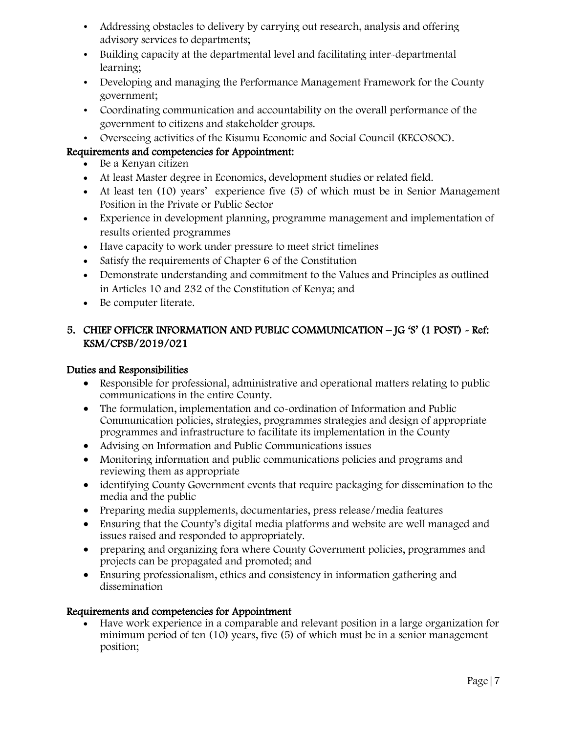- Addressing obstacles to delivery by carrying out research, analysis and offering advisory services to departments;
- Building capacity at the departmental level and facilitating inter-departmental learning;
- Developing and managing the Performance Management Framework for the County government;
- Coordinating communication and accountability on the overall performance of the government to citizens and stakeholder groups.
- Overseeing activities of the Kisumu Economic and Social Council (KECOSOC).

- Be a Kenyan citizen
- At least Master degree in Economics, development studies or related field.
- At least ten (10) years' experience five (5) of which must be in Senior Management Position in the Private or Public Sector
- Experience in development planning, programme management and implementation of results oriented programmes
- Have capacity to work under pressure to meet strict timelines
- Satisfy the requirements of Chapter 6 of the Constitution
- Demonstrate understanding and commitment to the Values and Principles as outlined in Articles 10 and 232 of the Constitution of Kenya; and
- Be computer literate.

# 5. CHIEF OFFICER INFORMATION AND PUBLIC COMMUNICATION – JG 'S' (1 POST) - Ref: KSM/CPSB/2019/021

#### Duties and Responsibilities

- Responsible for professional, administrative and operational matters relating to public communications in the entire County.
- The formulation, implementation and co-ordination of Information and Public Communication policies, strategies, programmes strategies and design of appropriate programmes and infrastructure to facilitate its implementation in the County
- Advising on Information and Public Communications issues
- Monitoring information and public communications policies and programs and reviewing them as appropriate
- identifying County Government events that require packaging for dissemination to the media and the public
- Preparing media supplements, documentaries, press release/media features
- Ensuring that the County's digital media platforms and website are well managed and issues raised and responded to appropriately.
- preparing and organizing fora where County Government policies, programmes and projects can be propagated and promoted; and
- Ensuring professionalism, ethics and consistency in information gathering and dissemination

#### Requirements and competencies for Appointment

 Have work experience in a comparable and relevant position in a large organization for minimum period of ten (10) years, five (5) of which must be in a senior management position;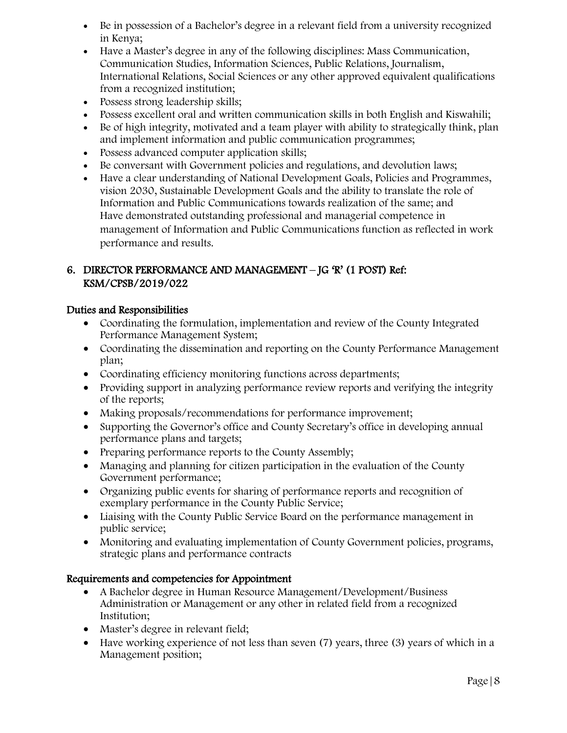- Be in possession of a Bachelor's degree in a relevant field from a university recognized in Kenya;
- Have a Master's degree in any of the following disciplines: Mass Communication, Communication Studies, Information Sciences, Public Relations, Journalism, International Relations, Social Sciences or any other approved equivalent qualifications from a recognized institution;
- Possess strong leadership skills;
- Possess excellent oral and written communication skills in both English and Kiswahili;
- Be of high integrity, motivated and a team player with ability to strategically think, plan and implement information and public communication programmes;
- Possess advanced computer application skills;
- Be conversant with Government policies and regulations, and devolution laws;
- Have a clear understanding of National Development Goals, Policies and Programmes, vision 2030, Sustainable Development Goals and the ability to translate the role of Information and Public Communications towards realization of the same; and Have demonstrated outstanding professional and managerial competence in management of Information and Public Communications function as reflected in work performance and results.

## 6. DIRECTOR PERFORMANCE AND MANAGEMENT – JG 'R' (1 POST) Ref: KSM/CPSB/2019/022

#### Duties and Responsibilities

- Coordinating the formulation, implementation and review of the County Integrated Performance Management System;
- Coordinating the dissemination and reporting on the County Performance Management plan;
- Coordinating efficiency monitoring functions across departments;
- Providing support in analyzing performance review reports and verifying the integrity of the reports;
- Making proposals/recommendations for performance improvement;
- Supporting the Governor's office and County Secretary's office in developing annual performance plans and targets;
- Preparing performance reports to the County Assembly;
- Managing and planning for citizen participation in the evaluation of the County Government performance;
- Organizing public events for sharing of performance reports and recognition of exemplary performance in the County Public Service;
- Liaising with the County Public Service Board on the performance management in public service;
- Monitoring and evaluating implementation of County Government policies, programs, strategic plans and performance contracts

- A Bachelor degree in Human Resource Management/Development/Business Administration or Management or any other in related field from a recognized Institution;
- Master's degree in relevant field;
- Have working experience of not less than seven (7) years, three (3) years of which in a Management position;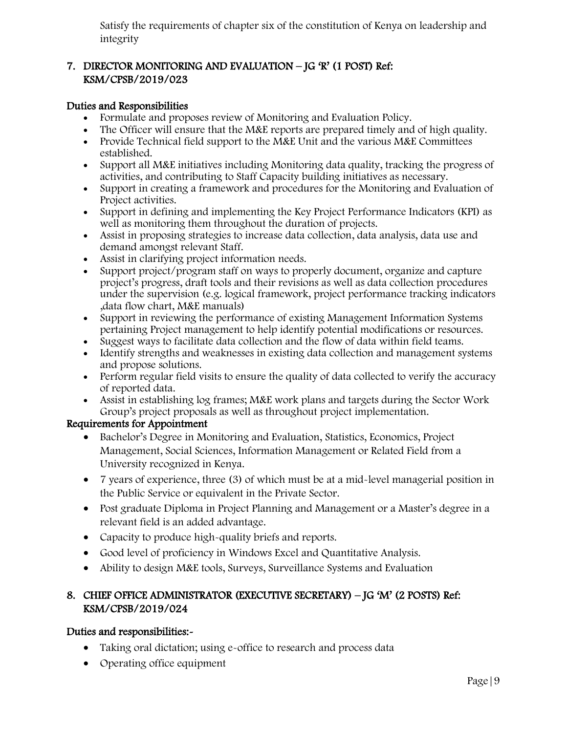Satisfy the requirements of chapter six of the constitution of Kenya on leadership and integrity

## 7. DIRECTOR MONITORING AND EVALUATION – JG 'R' (1 POST) Ref: KSM/CPSB/2019/023

#### Duties and Responsibilities

- Formulate and proposes review of Monitoring and Evaluation Policy.
- The Officer will ensure that the M&E reports are prepared timely and of high quality.
- Provide Technical field support to the M&E Unit and the various M&E Committees established.
- Support all M&E initiatives including Monitoring data quality, tracking the progress of activities, and contributing to Staff Capacity building initiatives as necessary.
- Support in creating a framework and procedures for the Monitoring and Evaluation of Project activities.
- Support in defining and implementing the Key Project Performance Indicators (KPI) as well as monitoring them throughout the duration of projects.
- Assist in proposing strategies to increase data collection, data analysis, data use and demand amongst relevant Staff.
- Assist in clarifying project information needs.
- Support project/program staff on ways to properly document, organize and capture project's progress, draft tools and their revisions as well as data collection procedures under the supervision (e.g. logical framework, project performance tracking indicators ,data flow chart, M&E manuals)
- Support in reviewing the performance of existing Management Information Systems pertaining Project management to help identify potential modifications or resources.
- Suggest ways to facilitate data collection and the flow of data within field teams.
- Identify strengths and weaknesses in existing data collection and management systems and propose solutions.
- Perform regular field visits to ensure the quality of data collected to verify the accuracy of reported data.
- Assist in establishing log frames; M&E work plans and targets during the Sector Work Group's project proposals as well as throughout project implementation.

#### Requirements for Appointment

- Bachelor's Degree in Monitoring and Evaluation, Statistics, Economics, Project Management, Social Sciences, Information Management or Related Field from a University recognized in Kenya.
- 7 years of experience, three (3) of which must be at a mid-level managerial position in the Public Service or equivalent in the Private Sector.
- Post graduate Diploma in Project Planning and Management or a Master's degree in a relevant field is an added advantage.
- Capacity to produce high-quality briefs and reports.
- Good level of proficiency in Windows Excel and Quantitative Analysis.
- Ability to design M&E tools, Surveys, Surveillance Systems and Evaluation

## 8. CHIEF OFFICE ADMINISTRATOR (EXECUTIVE SECRETARY) – JG 'M' (2 POSTS) Ref: KSM/CPSB/2019/024

- Taking oral dictation; using e-office to research and process data
- Operating office equipment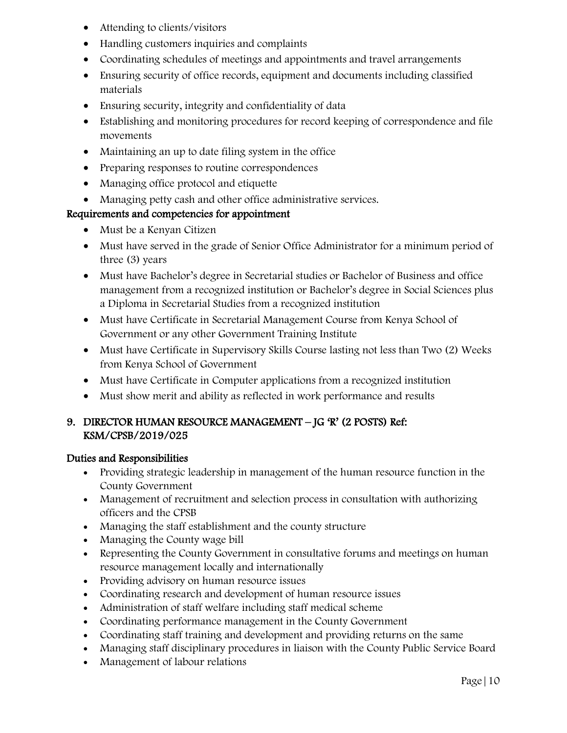- Attending to clients/visitors
- Handling customers inquiries and complaints
- Coordinating schedules of meetings and appointments and travel arrangements
- Ensuring security of office records, equipment and documents including classified materials
- Ensuring security, integrity and confidentiality of data
- Establishing and monitoring procedures for record keeping of correspondence and file movements
- Maintaining an up to date filing system in the office
- Preparing responses to routine correspondences
- Managing office protocol and etiquette
- Managing petty cash and other office administrative services.

- Must be a Kenyan Citizen
- Must have served in the grade of Senior Office Administrator for a minimum period of three (3) years
- Must have Bachelor's degree in Secretarial studies or Bachelor of Business and office management from a recognized institution or Bachelor's degree in Social Sciences plus a Diploma in Secretarial Studies from a recognized institution
- Must have Certificate in Secretarial Management Course from Kenya School of Government or any other Government Training Institute
- Must have Certificate in Supervisory Skills Course lasting not less than Two (2) Weeks from Kenya School of Government
- Must have Certificate in Computer applications from a recognized institution
- Must show merit and ability as reflected in work performance and results

## 9. DIRECTOR HUMAN RESOURCE MANAGEMENT – JG 'R' (2 POSTS) Ref: KSM/CPSB/2019/025

- Providing strategic leadership in management of the human resource function in the County Government
- Management of recruitment and selection process in consultation with authorizing officers and the CPSB
- Managing the staff establishment and the county structure
- Managing the County wage bill
- Representing the County Government in consultative forums and meetings on human resource management locally and internationally
- Providing advisory on human resource issues
- Coordinating research and development of human resource issues
- Administration of staff welfare including staff medical scheme
- Coordinating performance management in the County Government
- Coordinating staff training and development and providing returns on the same
- Managing staff disciplinary procedures in liaison with the County Public Service Board
- Management of labour relations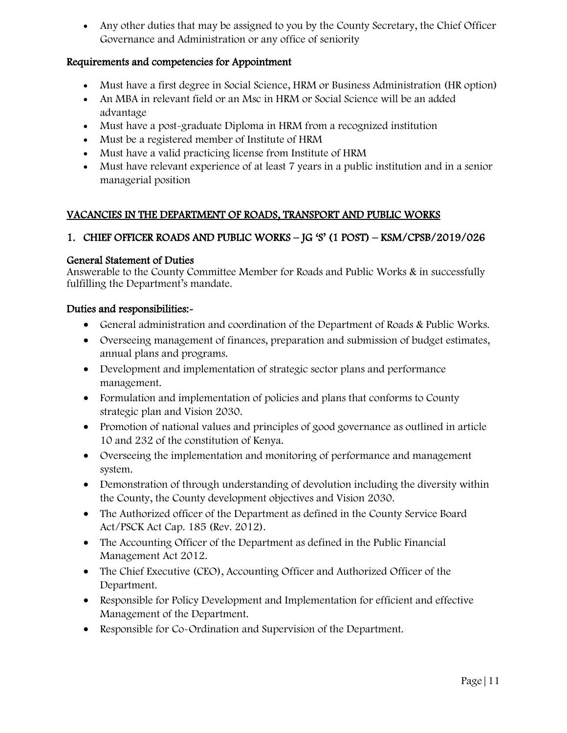• Any other duties that may be assigned to you by the County Secretary, the Chief Officer Governance and Administration or any office of seniority

#### Requirements and competencies for Appointment

- Must have a first degree in Social Science, HRM or Business Administration (HR option)
- An MBA in relevant field or an Msc in HRM or Social Science will be an added advantage
- Must have a post-graduate Diploma in HRM from a recognized institution
- Must be a registered member of Institute of HRM
- Must have a valid practicing license from Institute of HRM
- Must have relevant experience of at least 7 years in a public institution and in a senior managerial position

#### VACANCIES IN THE DEPARTMENT OF ROADS, TRANSPORT AND PUBLIC WORKS

#### 1. CHIEF OFFICER ROADS AND PUBLIC WORKS – JG 'S' (1 POST) – KSM/CPSB/2019/026

#### General Statement of Duties

Answerable to the County Committee Member for Roads and Public Works & in successfully fulfilling the Department's mandate.

- General administration and coordination of the Department of Roads & Public Works.
- Overseeing management of finances, preparation and submission of budget estimates, annual plans and programs.
- Development and implementation of strategic sector plans and performance management.
- Formulation and implementation of policies and plans that conforms to County strategic plan and Vision 2030.
- Promotion of national values and principles of good governance as outlined in article 10 and 232 of the constitution of Kenya.
- Overseeing the implementation and monitoring of performance and management system.
- Demonstration of through understanding of devolution including the diversity within the County, the County development objectives and Vision 2030.
- The Authorized officer of the Department as defined in the County Service Board Act/PSCK Act Cap. 185 (Rev. 2012).
- The Accounting Officer of the Department as defined in the Public Financial Management Act 2012.
- The Chief Executive (CEO), Accounting Officer and Authorized Officer of the Department.
- Responsible for Policy Development and Implementation for efficient and effective Management of the Department.
- Responsible for Co-Ordination and Supervision of the Department.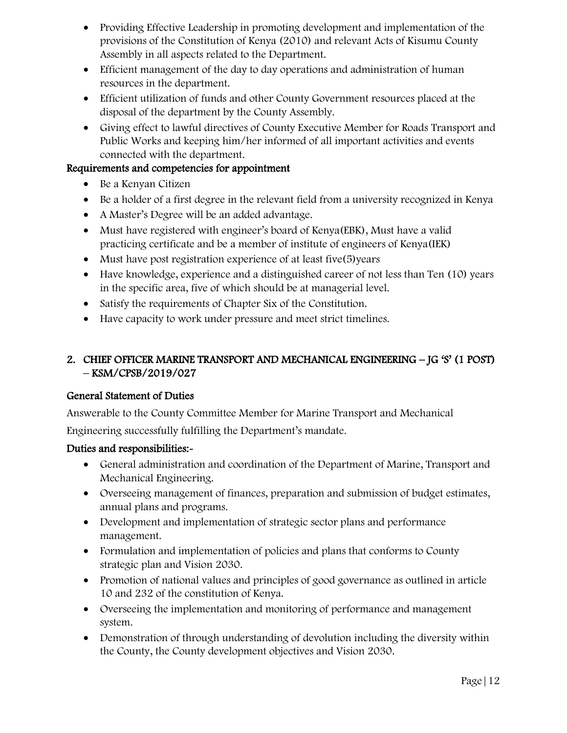- Providing Effective Leadership in promoting development and implementation of the provisions of the Constitution of Kenya (2010) and relevant Acts of Kisumu County Assembly in all aspects related to the Department.
- Efficient management of the day to day operations and administration of human resources in the department.
- Efficient utilization of funds and other County Government resources placed at the disposal of the department by the County Assembly.
- Giving effect to lawful directives of County Executive Member for Roads Transport and Public Works and keeping him/her informed of all important activities and events connected with the department.

- Be a Kenyan Citizen
- Be a holder of a first degree in the relevant field from a university recognized in Kenya
- A Master's Degree will be an added advantage.
- Must have registered with engineer's board of Kenya(EBK), Must have a valid practicing certificate and be a member of institute of engineers of Kenya(IEK)
- Must have post registration experience of at least five(5)years
- Have knowledge, experience and a distinguished career of not less than Ten (10) years in the specific area, five of which should be at managerial level.
- Satisfy the requirements of Chapter Six of the Constitution.
- Have capacity to work under pressure and meet strict timelines.

# 2. CHIEF OFFICER MARINE TRANSPORT AND MECHANICAL ENGINEERING – JG 'S' (1 POST) – KSM/CPSB/2019/027

# General Statement of Duties

Answerable to the County Committee Member for Marine Transport and Mechanical

Engineering successfully fulfilling the Department's mandate.

- General administration and coordination of the Department of Marine, Transport and Mechanical Engineering.
- Overseeing management of finances, preparation and submission of budget estimates, annual plans and programs.
- Development and implementation of strategic sector plans and performance management.
- Formulation and implementation of policies and plans that conforms to County strategic plan and Vision 2030.
- Promotion of national values and principles of good governance as outlined in article 10 and 232 of the constitution of Kenya.
- Overseeing the implementation and monitoring of performance and management system.
- Demonstration of through understanding of devolution including the diversity within the County, the County development objectives and Vision 2030.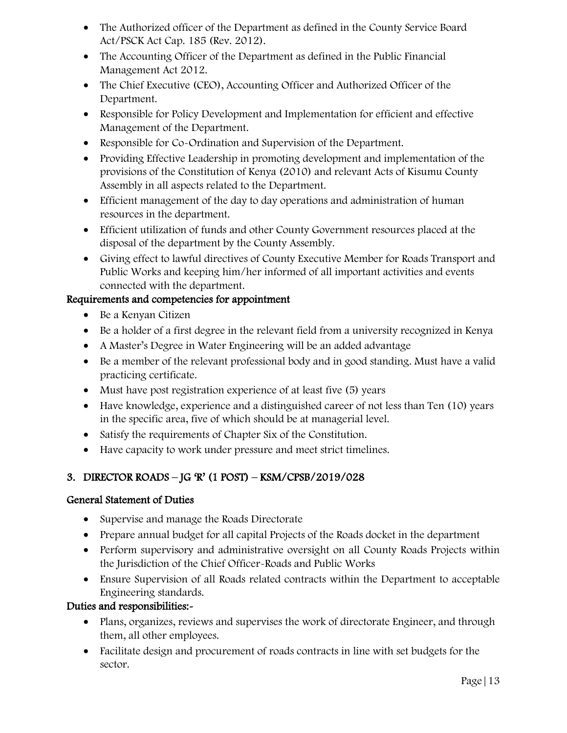- The Authorized officer of the Department as defined in the County Service Board Act/PSCK Act Cap. 185 (Rev. 2012).
- The Accounting Officer of the Department as defined in the Public Financial Management Act 2012.
- The Chief Executive (CEO), Accounting Officer and Authorized Officer of the Department.
- Responsible for Policy Development and Implementation for efficient and effective Management of the Department.
- Responsible for Co-Ordination and Supervision of the Department.
- Providing Effective Leadership in promoting development and implementation of the provisions of the Constitution of Kenya (2010) and relevant Acts of Kisumu County Assembly in all aspects related to the Department.
- Efficient management of the day to day operations and administration of human resources in the department.
- Efficient utilization of funds and other County Government resources placed at the disposal of the department by the County Assembly.
- Giving effect to lawful directives of County Executive Member for Roads Transport and Public Works and keeping him/her informed of all important activities and events connected with the department.

- Be a Kenyan Citizen
- Be a holder of a first degree in the relevant field from a university recognized in Kenya
- A Master's Degree in Water Engineering will be an added advantage
- Be a member of the relevant professional body and in good standing. Must have a valid practicing certificate.
- Must have post registration experience of at least five (5) years
- Have knowledge, experience and a distinguished career of not less than Ten (10) years in the specific area, five of which should be at managerial level.
- Satisfy the requirements of Chapter Six of the Constitution.
- Have capacity to work under pressure and meet strict timelines.

# 3. DIRECTOR ROADS – JG 'R' (1 POST) – KSM/CPSB/2019/028

# General Statement of Duties

- Supervise and manage the Roads Directorate
- Prepare annual budget for all capital Projects of the Roads docket in the department
- Perform supervisory and administrative oversight on all County Roads Projects within the Jurisdiction of the Chief Officer-Roads and Public Works
- Ensure Supervision of all Roads related contracts within the Department to acceptable Engineering standards.

- Plans, organizes, reviews and supervises the work of directorate Engineer, and through them, all other employees.
- Facilitate design and procurement of roads contracts in line with set budgets for the sector.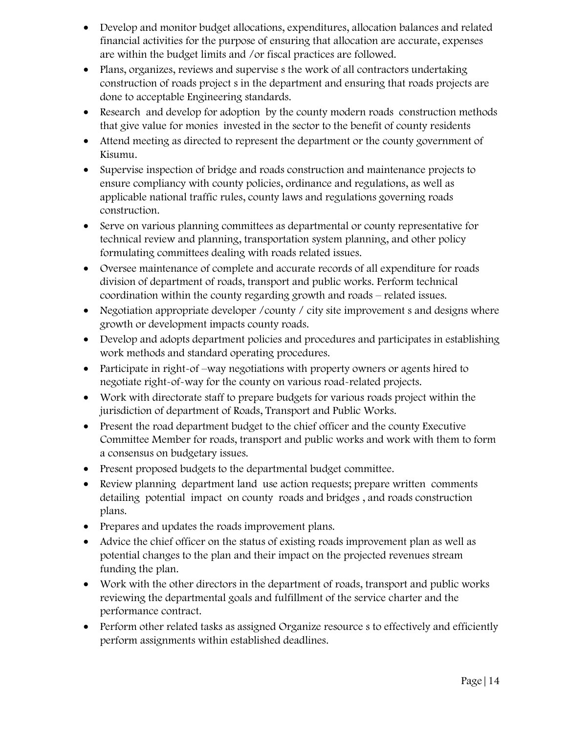- Develop and monitor budget allocations, expenditures, allocation balances and related financial activities for the purpose of ensuring that allocation are accurate, expenses are within the budget limits and /or fiscal practices are followed.
- Plans, organizes, reviews and supervise s the work of all contractors undertaking construction of roads project s in the department and ensuring that roads projects are done to acceptable Engineering standards.
- Research and develop for adoption by the county modern roads construction methods that give value for monies invested in the sector to the benefit of county residents
- Attend meeting as directed to represent the department or the county government of Kisumu.
- Supervise inspection of bridge and roads construction and maintenance projects to ensure compliancy with county policies, ordinance and regulations, as well as applicable national traffic rules, county laws and regulations governing roads construction.
- Serve on various planning committees as departmental or county representative for technical review and planning, transportation system planning, and other policy formulating committees dealing with roads related issues.
- Oversee maintenance of complete and accurate records of all expenditure for roads division of department of roads, transport and public works. Perform technical coordination within the county regarding growth and roads – related issues.
- Negotiation appropriate developer / county / city site improvement s and designs where growth or development impacts county roads.
- Develop and adopts department policies and procedures and participates in establishing work methods and standard operating procedures.
- Participate in right-of –way negotiations with property owners or agents hired to negotiate right-of-way for the county on various road-related projects.
- Work with directorate staff to prepare budgets for various roads project within the jurisdiction of department of Roads, Transport and Public Works.
- Present the road department budget to the chief officer and the county Executive Committee Member for roads, transport and public works and work with them to form a consensus on budgetary issues.
- Present proposed budgets to the departmental budget committee.
- Review planning department land use action requests; prepare written comments detailing potential impact on county roads and bridges , and roads construction plans.
- Prepares and updates the roads improvement plans.
- Advice the chief officer on the status of existing roads improvement plan as well as potential changes to the plan and their impact on the projected revenues stream funding the plan.
- Work with the other directors in the department of roads, transport and public works reviewing the departmental goals and fulfillment of the service charter and the performance contract.
- Perform other related tasks as assigned Organize resource s to effectively and efficiently perform assignments within established deadlines.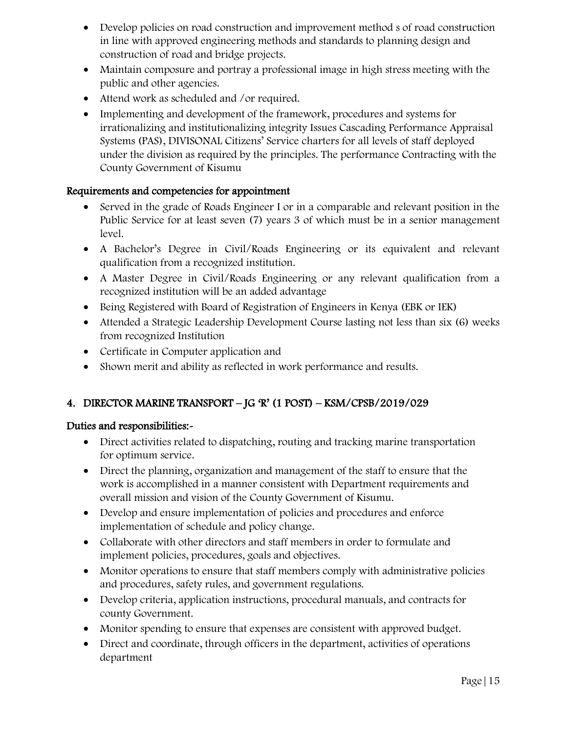- Develop policies on road construction and improvement method s of road construction in line with approved engineering methods and standards to planning design and construction of road and bridge projects.
- Maintain composure and portray a professional image in high stress meeting with the public and other agencies.
- Attend work as scheduled and /or required.
- Implementing and development of the framework, procedures and systems for irrationalizing and institutionalizing integrity Issues Cascading Performance Appraisal Systems (PAS), DIVISONAL Citizens' Service charters for all levels of staff deployed under the division as required by the principles. The performance Contracting with the County Government of Kisumu

- Served in the grade of Roads Engineer I or in a comparable and relevant position in the Public Service for at least seven (7) years 3 of which must be in a senior management level.
- A Bachelor's Degree in Civil/Roads Engineering or its equivalent and relevant qualification from a recognized institution.
- A Master Degree in Civil/Roads Engineering or any relevant qualification from a recognized institution will be an added advantage
- Being Registered with Board of Registration of Engineers in Kenya (EBK or IEK)
- Attended a Strategic Leadership Development Course lasting not less than six (6) weeks from recognized Institution
- Certificate in Computer application and
- Shown merit and ability as reflected in work performance and results.

# 4. DIRECTOR MARINE TRANSPORT – JG 'R' (1 POST) – KSM/CPSB/2019/029

- Direct activities related to dispatching, routing and tracking marine transportation for optimum service.
- Direct the planning, organization and management of the staff to ensure that the work is accomplished in a manner consistent with Department requirements and overall mission and vision of the County Government of Kisumu.
- Develop and ensure implementation of policies and procedures and enforce implementation of schedule and policy change.
- Collaborate with other directors and staff members in order to formulate and implement policies, procedures, goals and objectives.
- Monitor operations to ensure that staff members comply with administrative policies and procedures, safety rules, and government regulations.
- Develop criteria, application instructions, procedural manuals, and contracts for county Government.
- Monitor spending to ensure that expenses are consistent with approved budget.
- Direct and coordinate, through officers in the department, activities of operations department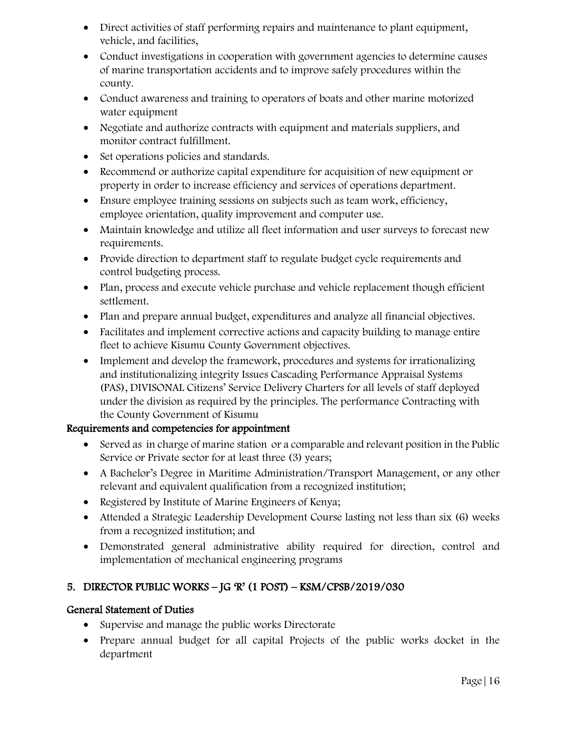- Direct activities of staff performing repairs and maintenance to plant equipment, vehicle, and facilities,
- Conduct investigations in cooperation with government agencies to determine causes of marine transportation accidents and to improve safely procedures within the county.
- Conduct awareness and training to operators of boats and other marine motorized water equipment
- Negotiate and authorize contracts with equipment and materials suppliers, and monitor contract fulfillment.
- Set operations policies and standards.
- Recommend or authorize capital expenditure for acquisition of new equipment or property in order to increase efficiency and services of operations department.
- Ensure employee training sessions on subjects such as team work, efficiency, employee orientation, quality improvement and computer use.
- Maintain knowledge and utilize all fleet information and user surveys to forecast new requirements.
- Provide direction to department staff to regulate budget cycle requirements and control budgeting process.
- Plan, process and execute vehicle purchase and vehicle replacement though efficient settlement.
- Plan and prepare annual budget, expenditures and analyze all financial objectives.
- Facilitates and implement corrective actions and capacity building to manage entire fleet to achieve Kisumu County Government objectives.
- Implement and develop the framework, procedures and systems for irrationalizing and institutionalizing integrity Issues Cascading Performance Appraisal Systems (PAS), DIVISONAL Citizens' Service Delivery Charters for all levels of staff deployed under the division as required by the principles. The performance Contracting with the County Government of Kisumu

- Served as in charge of marine station or a comparable and relevant position in the Public Service or Private sector for at least three (3) years;
- A Bachelor's Degree in Maritime Administration/Transport Management, or any other relevant and equivalent qualification from a recognized institution;
- Registered by Institute of Marine Engineers of Kenya;
- Attended a Strategic Leadership Development Course lasting not less than six (6) weeks from a recognized institution; and
- Demonstrated general administrative ability required for direction, control and implementation of mechanical engineering programs

# 5. DIRECTOR PUBLIC WORKS – JG 'R' (1 POST) – KSM/CPSB/2019/030

# General Statement of Duties

- Supervise and manage the public works Directorate
- Prepare annual budget for all capital Projects of the public works docket in the department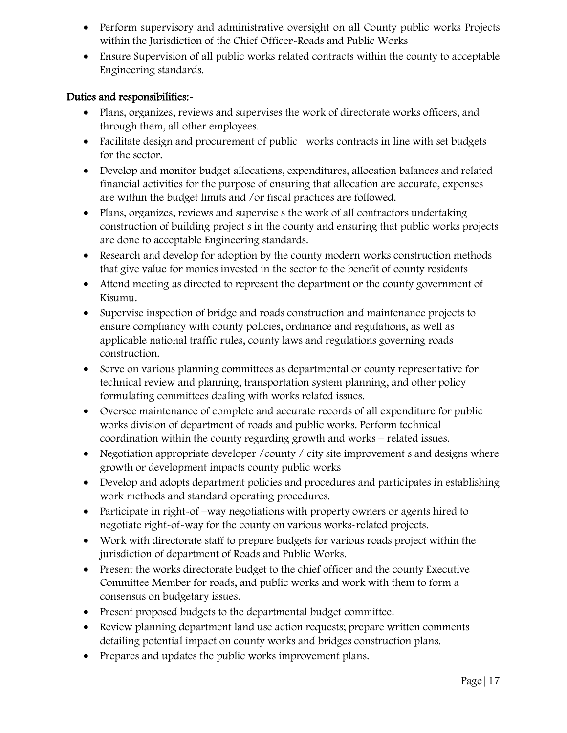- Perform supervisory and administrative oversight on all County public works Projects within the Jurisdiction of the Chief Officer-Roads and Public Works
- Ensure Supervision of all public works related contracts within the county to acceptable Engineering standards.

- Plans, organizes, reviews and supervises the work of directorate works officers, and through them, all other employees.
- Facilitate design and procurement of public works contracts in line with set budgets for the sector.
- Develop and monitor budget allocations, expenditures, allocation balances and related financial activities for the purpose of ensuring that allocation are accurate, expenses are within the budget limits and /or fiscal practices are followed.
- Plans, organizes, reviews and supervise s the work of all contractors undertaking construction of building project s in the county and ensuring that public works projects are done to acceptable Engineering standards.
- Research and develop for adoption by the county modern works construction methods that give value for monies invested in the sector to the benefit of county residents
- Attend meeting as directed to represent the department or the county government of Kisumu.
- Supervise inspection of bridge and roads construction and maintenance projects to ensure compliancy with county policies, ordinance and regulations, as well as applicable national traffic rules, county laws and regulations governing roads construction.
- Serve on various planning committees as departmental or county representative for technical review and planning, transportation system planning, and other policy formulating committees dealing with works related issues.
- Oversee maintenance of complete and accurate records of all expenditure for public works division of department of roads and public works. Perform technical coordination within the county regarding growth and works – related issues.
- Negotiation appropriate developer / county / city site improvement s and designs where growth or development impacts county public works
- Develop and adopts department policies and procedures and participates in establishing work methods and standard operating procedures.
- Participate in right-of –way negotiations with property owners or agents hired to negotiate right-of-way for the county on various works-related projects.
- Work with directorate staff to prepare budgets for various roads project within the jurisdiction of department of Roads and Public Works.
- Present the works directorate budget to the chief officer and the county Executive Committee Member for roads, and public works and work with them to form a consensus on budgetary issues.
- Present proposed budgets to the departmental budget committee.
- Review planning department land use action requests; prepare written comments detailing potential impact on county works and bridges construction plans.
- Prepares and updates the public works improvement plans.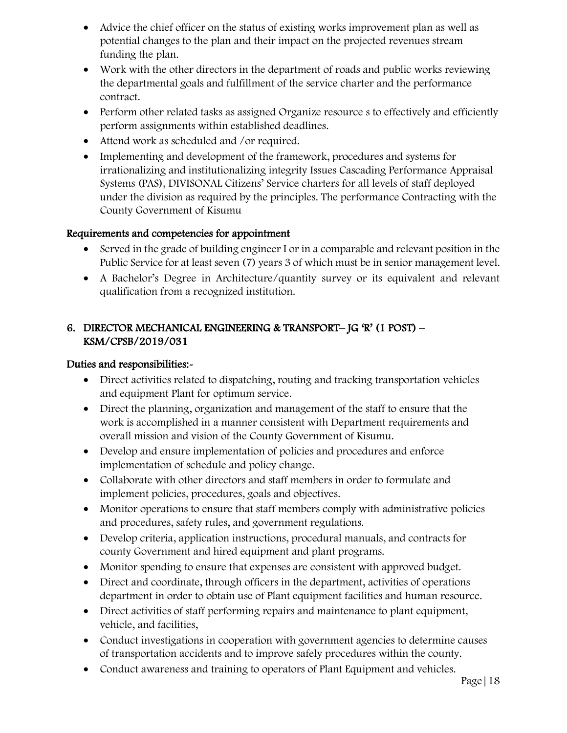- Advice the chief officer on the status of existing works improvement plan as well as potential changes to the plan and their impact on the projected revenues stream funding the plan.
- Work with the other directors in the department of roads and public works reviewing the departmental goals and fulfillment of the service charter and the performance contract.
- Perform other related tasks as assigned Organize resource s to effectively and efficiently perform assignments within established deadlines.
- Attend work as scheduled and /or required.
- Implementing and development of the framework, procedures and systems for irrationalizing and institutionalizing integrity Issues Cascading Performance Appraisal Systems (PAS), DIVISONAL Citizens' Service charters for all levels of staff deployed under the division as required by the principles. The performance Contracting with the County Government of Kisumu

- Served in the grade of building engineer I or in a comparable and relevant position in the Public Service for at least seven (7) years 3 of which must be in senior management level.
- A Bachelor's Degree in Architecture/quantity survey or its equivalent and relevant qualification from a recognized institution.

# 6. DIRECTOR MECHANICAL ENGINEERING & TRANSPORT– JG 'R' (1 POST) – KSM/CPSB/2019/031

- Direct activities related to dispatching, routing and tracking transportation vehicles and equipment Plant for optimum service.
- Direct the planning, organization and management of the staff to ensure that the work is accomplished in a manner consistent with Department requirements and overall mission and vision of the County Government of Kisumu.
- Develop and ensure implementation of policies and procedures and enforce implementation of schedule and policy change.
- Collaborate with other directors and staff members in order to formulate and implement policies, procedures, goals and objectives.
- Monitor operations to ensure that staff members comply with administrative policies and procedures, safety rules, and government regulations.
- Develop criteria, application instructions, procedural manuals, and contracts for county Government and hired equipment and plant programs.
- Monitor spending to ensure that expenses are consistent with approved budget.
- Direct and coordinate, through officers in the department, activities of operations department in order to obtain use of Plant equipment facilities and human resource.
- Direct activities of staff performing repairs and maintenance to plant equipment, vehicle, and facilities,
- Conduct investigations in cooperation with government agencies to determine causes of transportation accidents and to improve safely procedures within the county.
- Conduct awareness and training to operators of Plant Equipment and vehicles.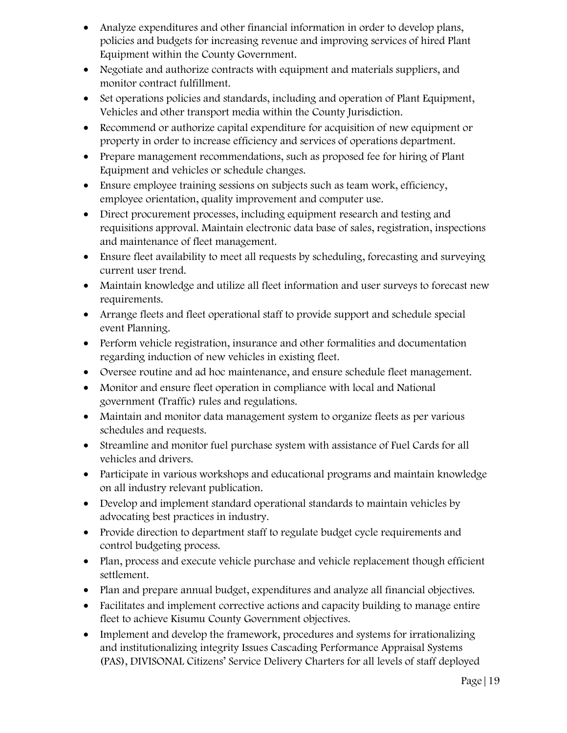- Analyze expenditures and other financial information in order to develop plans, policies and budgets for increasing revenue and improving services of hired Plant Equipment within the County Government.
- Negotiate and authorize contracts with equipment and materials suppliers, and monitor contract fulfillment.
- Set operations policies and standards, including and operation of Plant Equipment, Vehicles and other transport media within the County Jurisdiction.
- Recommend or authorize capital expenditure for acquisition of new equipment or property in order to increase efficiency and services of operations department.
- Prepare management recommendations, such as proposed fee for hiring of Plant Equipment and vehicles or schedule changes.
- Ensure employee training sessions on subjects such as team work, efficiency, employee orientation, quality improvement and computer use.
- Direct procurement processes, including equipment research and testing and requisitions approval. Maintain electronic data base of sales, registration, inspections and maintenance of fleet management.
- Ensure fleet availability to meet all requests by scheduling, forecasting and surveying current user trend.
- Maintain knowledge and utilize all fleet information and user surveys to forecast new requirements.
- Arrange fleets and fleet operational staff to provide support and schedule special event Planning.
- Perform vehicle registration, insurance and other formalities and documentation regarding induction of new vehicles in existing fleet.
- Oversee routine and ad hoc maintenance, and ensure schedule fleet management.
- Monitor and ensure fleet operation in compliance with local and National government (Traffic) rules and regulations.
- Maintain and monitor data management system to organize fleets as per various schedules and requests.
- Streamline and monitor fuel purchase system with assistance of Fuel Cards for all vehicles and drivers.
- Participate in various workshops and educational programs and maintain knowledge on all industry relevant publication.
- Develop and implement standard operational standards to maintain vehicles by advocating best practices in industry.
- Provide direction to department staff to regulate budget cycle requirements and control budgeting process.
- Plan, process and execute vehicle purchase and vehicle replacement though efficient settlement.
- Plan and prepare annual budget, expenditures and analyze all financial objectives.
- Facilitates and implement corrective actions and capacity building to manage entire fleet to achieve Kisumu County Government objectives.
- Implement and develop the framework, procedures and systems for irrationalizing and institutionalizing integrity Issues Cascading Performance Appraisal Systems (PAS), DIVISONAL Citizens' Service Delivery Charters for all levels of staff deployed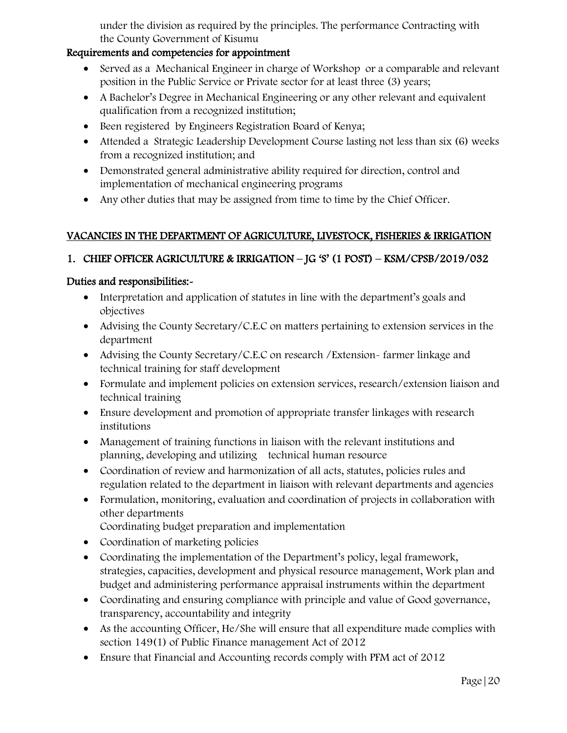under the division as required by the principles. The performance Contracting with the County Government of Kisumu

#### Requirements and competencies for appointment

- Served as a Mechanical Engineer in charge of Workshop or a comparable and relevant position in the Public Service or Private sector for at least three (3) years;
- A Bachelor's Degree in Mechanical Engineering or any other relevant and equivalent qualification from a recognized institution;
- Been registered by Engineers Registration Board of Kenya;
- Attended a Strategic Leadership Development Course lasting not less than six (6) weeks from a recognized institution; and
- Demonstrated general administrative ability required for direction, control and implementation of mechanical engineering programs
- Any other duties that may be assigned from time to time by the Chief Officer.

# VACANCIES IN THE DEPARTMENT OF AGRICULTURE, LIVESTOCK, FISHERIES & IRRIGATION

# 1. CHIEF OFFICER AGRICULTURE & IRRIGATION – JG 'S' (1 POST) – KSM/CPSB/2019/032

- Interpretation and application of statutes in line with the department's goals and objectives
- Advising the County Secretary/C.E.C on matters pertaining to extension services in the department
- Advising the County Secretary/C.E.C on research / Extension-farmer linkage and technical training for staff development
- Formulate and implement policies on extension services, research/extension liaison and technical training
- Ensure development and promotion of appropriate transfer linkages with research institutions
- Management of training functions in liaison with the relevant institutions and planning, developing and utilizing technical human resource
- Coordination of review and harmonization of all acts, statutes, policies rules and regulation related to the department in liaison with relevant departments and agencies
- Formulation, monitoring, evaluation and coordination of projects in collaboration with other departments
	- Coordinating budget preparation and implementation
- Coordination of marketing policies
- Coordinating the implementation of the Department's policy, legal framework, strategies, capacities, development and physical resource management, Work plan and budget and administering performance appraisal instruments within the department
- Coordinating and ensuring compliance with principle and value of Good governance, transparency, accountability and integrity
- As the accounting Officer, He/She will ensure that all expenditure made complies with section 149(1) of Public Finance management Act of 2012
- Ensure that Financial and Accounting records comply with PFM act of 2012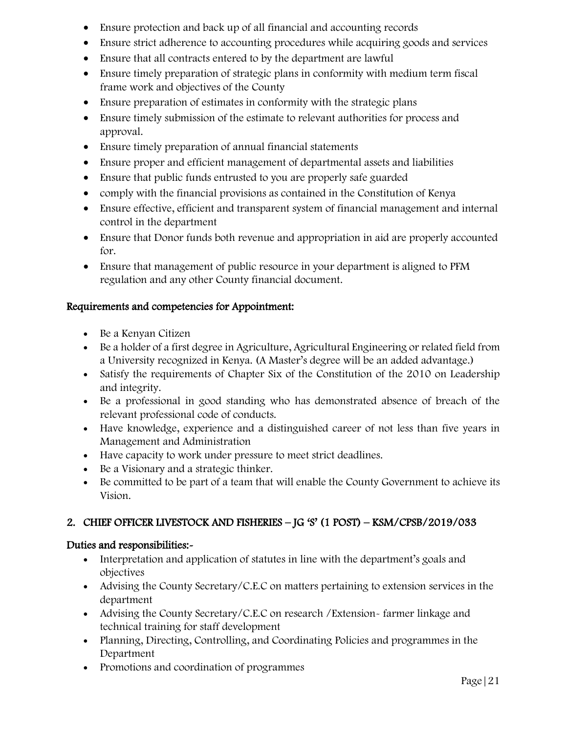- Ensure protection and back up of all financial and accounting records
- Ensure strict adherence to accounting procedures while acquiring goods and services
- Ensure that all contracts entered to by the department are lawful
- Ensure timely preparation of strategic plans in conformity with medium term fiscal frame work and objectives of the County
- Ensure preparation of estimates in conformity with the strategic plans
- Ensure timely submission of the estimate to relevant authorities for process and approval.
- Ensure timely preparation of annual financial statements
- Ensure proper and efficient management of departmental assets and liabilities
- Ensure that public funds entrusted to you are properly safe guarded
- comply with the financial provisions as contained in the Constitution of Kenya
- Ensure effective, efficient and transparent system of financial management and internal control in the department
- Ensure that Donor funds both revenue and appropriation in aid are properly accounted for.
- Ensure that management of public resource in your department is aligned to PFM regulation and any other County financial document.

- Be a Kenyan Citizen
- Be a holder of a first degree in Agriculture, Agricultural Engineering or related field from a University recognized in Kenya. (A Master's degree will be an added advantage.)
- Satisfy the requirements of Chapter Six of the Constitution of the 2010 on Leadership and integrity.
- Be a professional in good standing who has demonstrated absence of breach of the relevant professional code of conducts.
- Have knowledge, experience and a distinguished career of not less than five years in Management and Administration
- Have capacity to work under pressure to meet strict deadlines.
- Be a Visionary and a strategic thinker.
- Be committed to be part of a team that will enable the County Government to achieve its Vision.

# 2. CHIEF OFFICER LIVESTOCK AND FISHERIES – JG 'S' (1 POST) – KSM/CPSB/2019/033

- Interpretation and application of statutes in line with the department's goals and objectives
- Advising the County Secretary/C.E.C on matters pertaining to extension services in the department
- Advising the County Secretary/C.E.C on research /Extension- farmer linkage and technical training for staff development
- Planning, Directing, Controlling, and Coordinating Policies and programmes in the Department
- Promotions and coordination of programmes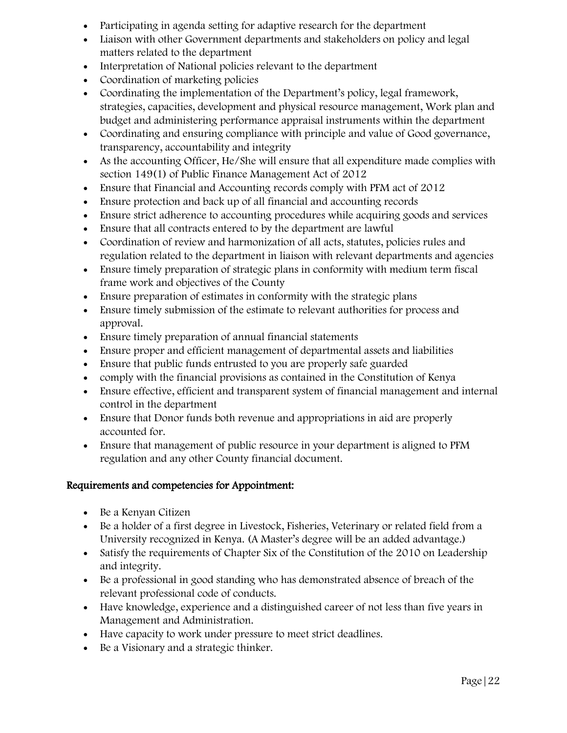- Participating in agenda setting for adaptive research for the department
- Liaison with other Government departments and stakeholders on policy and legal matters related to the department
- Interpretation of National policies relevant to the department
- Coordination of marketing policies
- Coordinating the implementation of the Department's policy, legal framework, strategies, capacities, development and physical resource management, Work plan and budget and administering performance appraisal instruments within the department
- Coordinating and ensuring compliance with principle and value of Good governance, transparency, accountability and integrity
- As the accounting Officer, He/She will ensure that all expenditure made complies with section 149(1) of Public Finance Management Act of 2012
- Ensure that Financial and Accounting records comply with PFM act of 2012
- Ensure protection and back up of all financial and accounting records
- Ensure strict adherence to accounting procedures while acquiring goods and services
- Ensure that all contracts entered to by the department are lawful
- Coordination of review and harmonization of all acts, statutes, policies rules and regulation related to the department in liaison with relevant departments and agencies
- Ensure timely preparation of strategic plans in conformity with medium term fiscal frame work and objectives of the County
- Ensure preparation of estimates in conformity with the strategic plans
- Ensure timely submission of the estimate to relevant authorities for process and approval.
- Ensure timely preparation of annual financial statements
- Ensure proper and efficient management of departmental assets and liabilities
- Ensure that public funds entrusted to you are properly safe guarded
- comply with the financial provisions as contained in the Constitution of Kenya
- Ensure effective, efficient and transparent system of financial management and internal control in the department
- Ensure that Donor funds both revenue and appropriations in aid are properly accounted for.
- Ensure that management of public resource in your department is aligned to PFM regulation and any other County financial document.

- Be a Kenyan Citizen
- Be a holder of a first degree in Livestock, Fisheries, Veterinary or related field from a University recognized in Kenya. (A Master's degree will be an added advantage.)
- Satisfy the requirements of Chapter Six of the Constitution of the 2010 on Leadership and integrity.
- Be a professional in good standing who has demonstrated absence of breach of the relevant professional code of conducts.
- Have knowledge, experience and a distinguished career of not less than five years in Management and Administration.
- Have capacity to work under pressure to meet strict deadlines.
- Be a Visionary and a strategic thinker.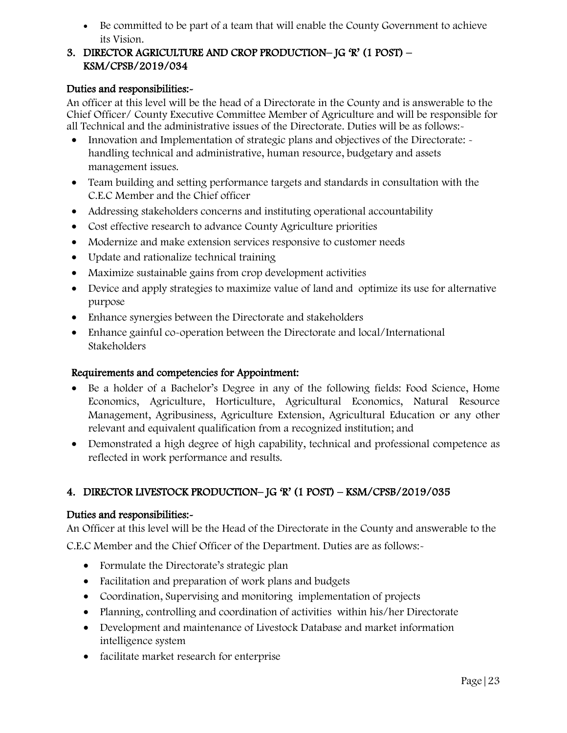Be committed to be part of a team that will enable the County Government to achieve its Vision.

#### 3. DIRECTOR AGRICULTURE AND CROP PRODUCTION– JG 'R' (1 POST) – KSM/CPSB/2019/034

### Duties and responsibilities:-

An officer at this level will be the head of a Directorate in the County and is answerable to the Chief Officer/ County Executive Committee Member of Agriculture and will be responsible for all Technical and the administrative issues of the Directorate. Duties will be as follows:-

- Innovation and Implementation of strategic plans and objectives of the Directorate:  $\sim$ handling technical and administrative, human resource, budgetary and assets management issues.
- Team building and setting performance targets and standards in consultation with the C.E.C Member and the Chief officer
- Addressing stakeholders concerns and instituting operational accountability
- Cost effective research to advance County Agriculture priorities
- Modernize and make extension services responsive to customer needs
- Update and rationalize technical training
- Maximize sustainable gains from crop development activities
- Device and apply strategies to maximize value of land and optimize its use for alternative purpose
- Enhance synergies between the Directorate and stakeholders
- Enhance gainful co-operation between the Directorate and local/International Stakeholders

# Requirements and competencies for Appointment:

- Be a holder of a Bachelor's Degree in any of the following fields: Food Science, Home Economics, Agriculture, Horticulture, Agricultural Economics, Natural Resource Management, Agribusiness, Agriculture Extension, Agricultural Education or any other relevant and equivalent qualification from a recognized institution; and
- Demonstrated a high degree of high capability, technical and professional competence as reflected in work performance and results.

# 4. DIRECTOR LIVESTOCK PRODUCTION– JG 'R' (1 POST) – KSM/CPSB/2019/035

# Duties and responsibilities:-

An Officer at this level will be the Head of the Directorate in the County and answerable to the

C.E.C Member and the Chief Officer of the Department. Duties are as follows:-

- Formulate the Directorate's strategic plan
- Facilitation and preparation of work plans and budgets
- Coordination, Supervising and monitoring implementation of projects
- Planning, controlling and coordination of activities within his/her Directorate
- Development and maintenance of Livestock Database and market information intelligence system
- facilitate market research for enterprise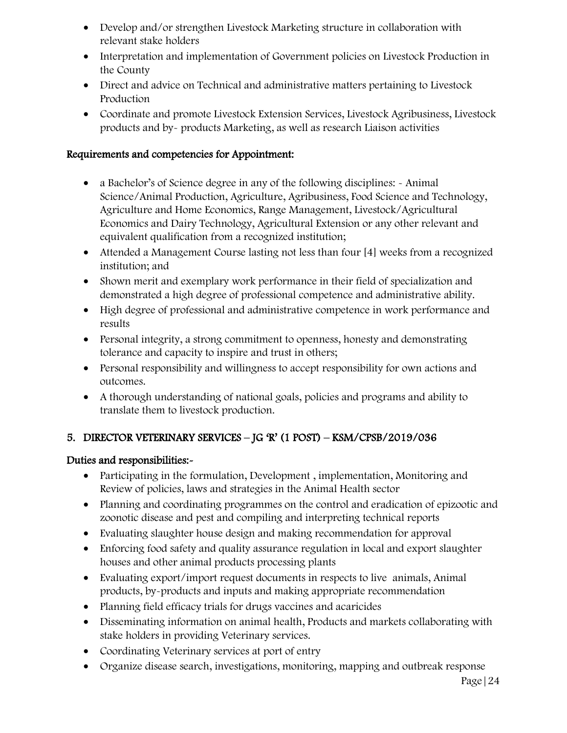- Develop and/or strengthen Livestock Marketing structure in collaboration with relevant stake holders
- Interpretation and implementation of Government policies on Livestock Production in the County
- Direct and advice on Technical and administrative matters pertaining to Livestock Production
- Coordinate and promote Livestock Extension Services, Livestock Agribusiness, Livestock products and by- products Marketing, as well as research Liaison activities

- a Bachelor's of Science degree in any of the following disciplines: Animal Science/Animal Production, Agriculture, Agribusiness, Food Science and Technology, Agriculture and Home Economics, Range Management, Livestock/Agricultural Economics and Dairy Technology, Agricultural Extension or any other relevant and equivalent qualification from a recognized institution;
- Attended a Management Course lasting not less than four [4] weeks from a recognized institution; and
- Shown merit and exemplary work performance in their field of specialization and demonstrated a high degree of professional competence and administrative ability.
- High degree of professional and administrative competence in work performance and results
- Personal integrity, a strong commitment to openness, honesty and demonstrating tolerance and capacity to inspire and trust in others;
- Personal responsibility and willingness to accept responsibility for own actions and outcomes.
- A thorough understanding of national goals, policies and programs and ability to translate them to livestock production.

# 5. DIRECTOR VETERINARY SERVICES – JG 'R' (1 POST) – KSM/CPSB/2019/036

- Participating in the formulation, Development, implementation, Monitoring and Review of policies, laws and strategies in the Animal Health sector
- Planning and coordinating programmes on the control and eradication of epizootic and zoonotic disease and pest and compiling and interpreting technical reports
- Evaluating slaughter house design and making recommendation for approval
- Enforcing food safety and quality assurance regulation in local and export slaughter houses and other animal products processing plants
- Evaluating export/import request documents in respects to live animals, Animal products, by-products and inputs and making appropriate recommendation
- Planning field efficacy trials for drugs vaccines and acaricides
- Disseminating information on animal health, Products and markets collaborating with stake holders in providing Veterinary services.
- Coordinating Veterinary services at port of entry
- Organize disease search, investigations, monitoring, mapping and outbreak response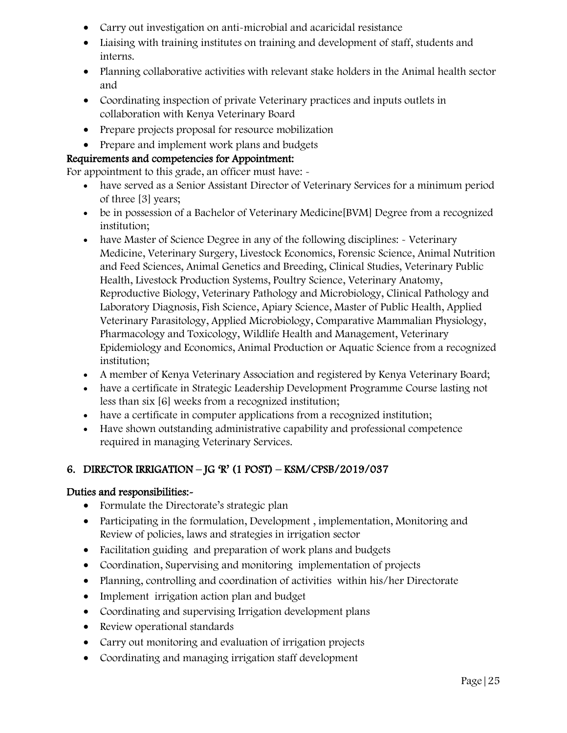- Carry out investigation on anti-microbial and acaricidal resistance
- Liaising with training institutes on training and development of staff, students and interns.
- Planning collaborative activities with relevant stake holders in the Animal health sector and
- Coordinating inspection of private Veterinary practices and inputs outlets in collaboration with Kenya Veterinary Board
- Prepare projects proposal for resource mobilization
- Prepare and implement work plans and budgets

For appointment to this grade, an officer must have:  $\sim$ 

- have served as a Senior Assistant Director of Veterinary Services for a minimum period of three [3] years;
- be in possession of a Bachelor of Veterinary Medicine[BVM] Degree from a recognized institution;
- have Master of Science Degree in any of the following disciplines: Veterinary Medicine, Veterinary Surgery, Livestock Economics, Forensic Science, Animal Nutrition and Feed Sciences, Animal Genetics and Breeding, Clinical Studies, Veterinary Public Health, Livestock Production Systems, Poultry Science, Veterinary Anatomy, Reproductive Biology, Veterinary Pathology and Microbiology, Clinical Pathology and Laboratory Diagnosis, Fish Science, Apiary Science, Master of Public Health, Applied Veterinary Parasitology, Applied Microbiology, Comparative Mammalian Physiology, Pharmacology and Toxicology, Wildlife Health and Management, Veterinary Epidemiology and Economics, Animal Production or Aquatic Science from a recognized institution;
- A member of Kenya Veterinary Association and registered by Kenya Veterinary Board;
- have a certificate in Strategic Leadership Development Programme Course lasting not less than six [6] weeks from a recognized institution;
- have a certificate in computer applications from a recognized institution;
- Have shown outstanding administrative capability and professional competence required in managing Veterinary Services.

# 6. DIRECTOR IRRIGATION – JG 'R' (1 POST) – KSM/CPSB/2019/037

- Formulate the Directorate's strategic plan
- Participating in the formulation, Development, implementation, Monitoring and Review of policies, laws and strategies in irrigation sector
- Facilitation guiding and preparation of work plans and budgets
- Coordination, Supervising and monitoring implementation of projects
- Planning, controlling and coordination of activities within his/her Directorate
- Implement irrigation action plan and budget
- Coordinating and supervising Irrigation development plans
- Review operational standards
- Carry out monitoring and evaluation of irrigation projects
- Coordinating and managing irrigation staff development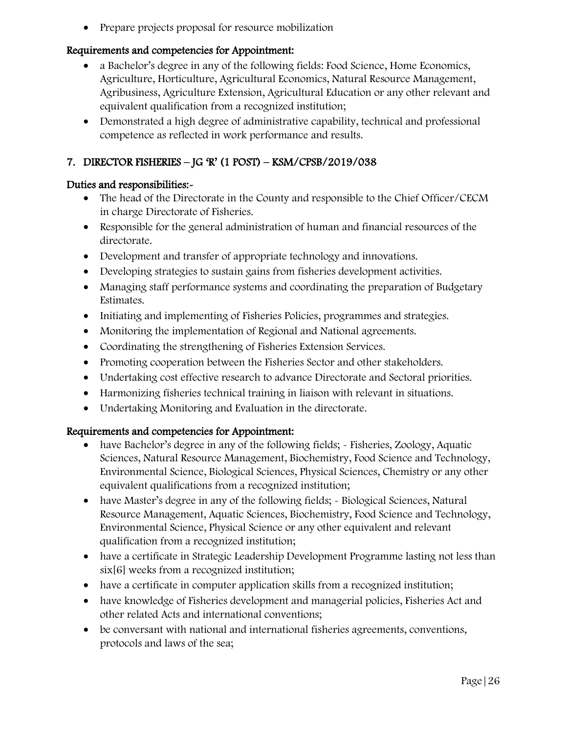• Prepare projects proposal for resource mobilization

# Requirements and competencies for Appointment:

- a Bachelor's degree in any of the following fields: Food Science, Home Economics, Agriculture, Horticulture, Agricultural Economics, Natural Resource Management, Agribusiness, Agriculture Extension, Agricultural Education or any other relevant and equivalent qualification from a recognized institution;
- Demonstrated a high degree of administrative capability, technical and professional competence as reflected in work performance and results.

# 7. DIRECTOR FISHERIES – JG 'R' (1 POST) – KSM/CPSB/2019/038

# Duties and responsibilities:-

- The head of the Directorate in the County and responsible to the Chief Officer/CECM in charge Directorate of Fisheries.
- Responsible for the general administration of human and financial resources of the directorate.
- Development and transfer of appropriate technology and innovations.
- Developing strategies to sustain gains from fisheries development activities.
- Managing staff performance systems and coordinating the preparation of Budgetary Estimates.
- Initiating and implementing of Fisheries Policies, programmes and strategies.
- Monitoring the implementation of Regional and National agreements.
- Coordinating the strengthening of Fisheries Extension Services.
- Promoting cooperation between the Fisheries Sector and other stakeholders.
- Undertaking cost effective research to advance Directorate and Sectoral priorities.
- Harmonizing fisheries technical training in liaison with relevant in situations.
- Undertaking Monitoring and Evaluation in the directorate.

- have Bachelor's degree in any of the following fields; Fisheries, Zoology, Aquatic Sciences, Natural Resource Management, Biochemistry, Food Science and Technology, Environmental Science, Biological Sciences, Physical Sciences, Chemistry or any other equivalent qualifications from a recognized institution;
- have Master's degree in any of the following fields; Biological Sciences, Natural Resource Management, Aquatic Sciences, Biochemistry, Food Science and Technology, Environmental Science, Physical Science or any other equivalent and relevant qualification from a recognized institution;
- have a certificate in Strategic Leadership Development Programme lasting not less than six[6] weeks from a recognized institution;
- have a certificate in computer application skills from a recognized institution;
- have knowledge of Fisheries development and managerial policies, Fisheries Act and other related Acts and international conventions;
- be conversant with national and international fisheries agreements, conventions, protocols and laws of the sea;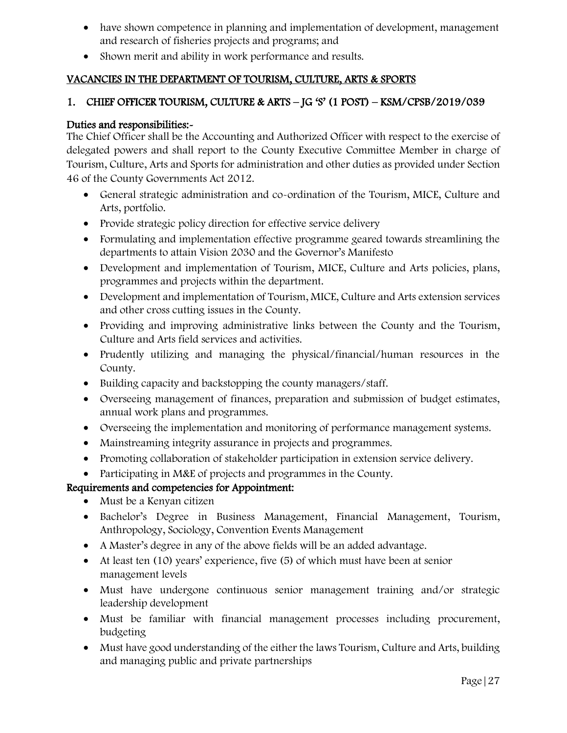- have shown competence in planning and implementation of development, management and research of fisheries projects and programs; and
- Shown merit and ability in work performance and results.

# VACANCIES IN THE DEPARTMENT OF TOURISM, CULTURE, ARTS & SPORTS

## 1. CHIEF OFFICER TOURISM, CULTURE & ARTS – JG 'S' (1 POST) – KSM/CPSB/2019/039

#### Duties and responsibilities:-

The Chief Officer shall be the Accounting and Authorized Officer with respect to the exercise of delegated powers and shall report to the County Executive Committee Member in charge of Tourism, Culture, Arts and Sports for administration and other duties as provided under Section 46 of the County Governments Act 2012.

- General strategic administration and co-ordination of the Tourism, MICE, Culture and Arts, portfolio.
- Provide strategic policy direction for effective service delivery
- Formulating and implementation effective programme geared towards streamlining the departments to attain Vision 2030 and the Governor's Manifesto
- Development and implementation of Tourism, MICE, Culture and Arts policies, plans, programmes and projects within the department.
- Development and implementation of Tourism, MICE, Culture and Arts extension services and other cross cutting issues in the County.
- Providing and improving administrative links between the County and the Tourism, Culture and Arts field services and activities.
- Prudently utilizing and managing the physical/financial/human resources in the County.
- Building capacity and backstopping the county managers/staff.
- Overseeing management of finances, preparation and submission of budget estimates, annual work plans and programmes.
- Overseeing the implementation and monitoring of performance management systems.
- Mainstreaming integrity assurance in projects and programmes.
- Promoting collaboration of stakeholder participation in extension service delivery.
- Participating in M&E of projects and programmes in the County.

- Must be a Kenyan citizen
- Bachelor's Degree in Business Management, Financial Management, Tourism, Anthropology, Sociology, Convention Events Management
- A Master's degree in any of the above fields will be an added advantage.
- At least ten (10) years' experience, five (5) of which must have been at senior management levels
- Must have undergone continuous senior management training and/or strategic leadership development
- Must be familiar with financial management processes including procurement, budgeting
- Must have good understanding of the either the laws Tourism, Culture and Arts, building and managing public and private partnerships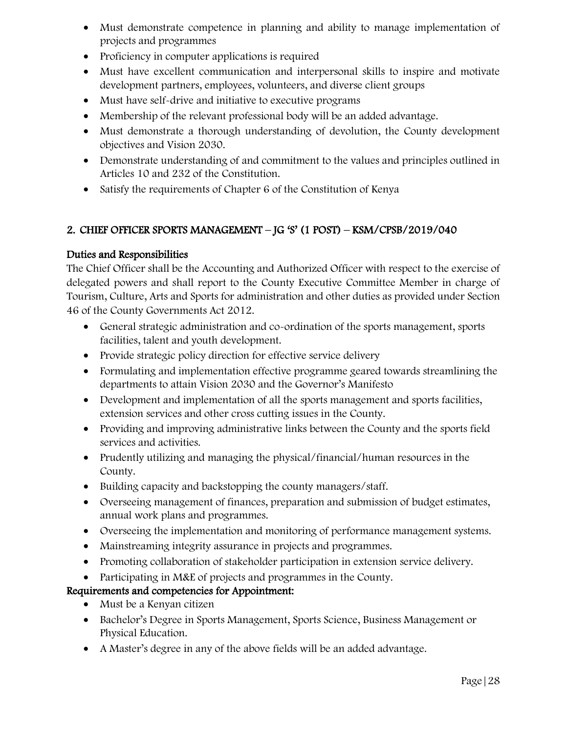- Must demonstrate competence in planning and ability to manage implementation of projects and programmes
- Proficiency in computer applications is required
- Must have excellent communication and interpersonal skills to inspire and motivate development partners, employees, volunteers, and diverse client groups
- Must have self-drive and initiative to executive programs
- Membership of the relevant professional body will be an added advantage.
- Must demonstrate a thorough understanding of devolution, the County development objectives and Vision 2030.
- Demonstrate understanding of and commitment to the values and principles outlined in Articles 10 and 232 of the Constitution.
- Satisfy the requirements of Chapter 6 of the Constitution of Kenya

# 2. CHIEF OFFICER SPORTS MANAGEMENT – JG 'S' (1 POST) – KSM/CPSB/2019/040

# Duties and Responsibilities

The Chief Officer shall be the Accounting and Authorized Officer with respect to the exercise of delegated powers and shall report to the County Executive Committee Member in charge of Tourism, Culture, Arts and Sports for administration and other duties as provided under Section 46 of the County Governments Act 2012.

- General strategic administration and co-ordination of the sports management, sports facilities, talent and youth development.
- Provide strategic policy direction for effective service delivery
- Formulating and implementation effective programme geared towards streamlining the departments to attain Vision 2030 and the Governor's Manifesto
- Development and implementation of all the sports management and sports facilities, extension services and other cross cutting issues in the County.
- Providing and improving administrative links between the County and the sports field services and activities.
- Prudently utilizing and managing the physical/financial/human resources in the County.
- Building capacity and backstopping the county managers/staff.
- Overseeing management of finances, preparation and submission of budget estimates, annual work plans and programmes.
- Overseeing the implementation and monitoring of performance management systems.
- Mainstreaming integrity assurance in projects and programmes.
- Promoting collaboration of stakeholder participation in extension service delivery.
- Participating in M&E of projects and programmes in the County.

- Must be a Kenyan citizen
- Bachelor's Degree in Sports Management, Sports Science, Business Management or Physical Education.
- A Master's degree in any of the above fields will be an added advantage.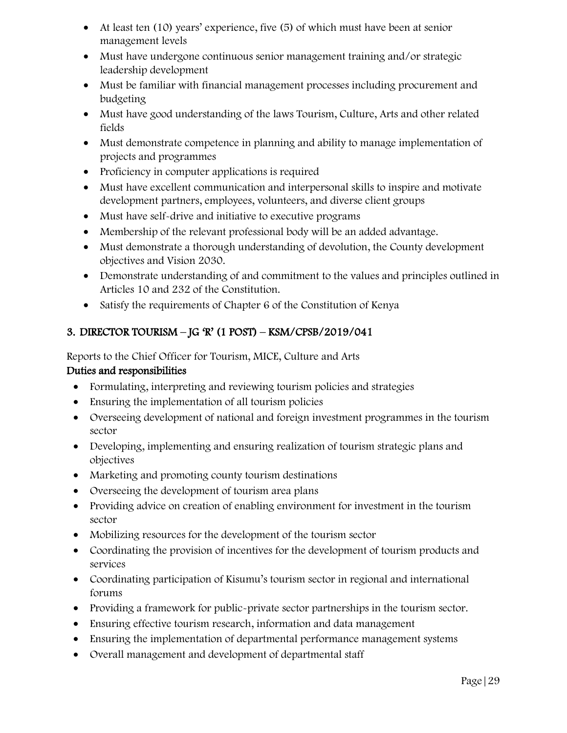- At least ten (10) years' experience, five (5) of which must have been at senior management levels
- Must have undergone continuous senior management training and/or strategic leadership development
- Must be familiar with financial management processes including procurement and budgeting
- Must have good understanding of the laws Tourism, Culture, Arts and other related fields
- Must demonstrate competence in planning and ability to manage implementation of projects and programmes
- Proficiency in computer applications is required
- Must have excellent communication and interpersonal skills to inspire and motivate development partners, employees, volunteers, and diverse client groups
- Must have self-drive and initiative to executive programs
- Membership of the relevant professional body will be an added advantage.
- Must demonstrate a thorough understanding of devolution, the County development objectives and Vision 2030.
- Demonstrate understanding of and commitment to the values and principles outlined in Articles 10 and 232 of the Constitution.
- Satisfy the requirements of Chapter 6 of the Constitution of Kenya

# 3. DIRECTOR TOURISM – JG 'R' (1 POST) – KSM/CPSB/2019/041

Reports to the Chief Officer for Tourism, MICE, Culture and Arts Duties and responsibilities

- Formulating, interpreting and reviewing tourism policies and strategies
- Ensuring the implementation of all tourism policies
- Overseeing development of national and foreign investment programmes in the tourism sector
- Developing, implementing and ensuring realization of tourism strategic plans and objectives
- Marketing and promoting county tourism destinations
- Overseeing the development of tourism area plans
- Providing advice on creation of enabling environment for investment in the tourism sector
- Mobilizing resources for the development of the tourism sector
- Coordinating the provision of incentives for the development of tourism products and services
- Coordinating participation of Kisumu's tourism sector in regional and international forums
- Providing a framework for public-private sector partnerships in the tourism sector.
- Ensuring effective tourism research, information and data management
- Ensuring the implementation of departmental performance management systems
- Overall management and development of departmental staff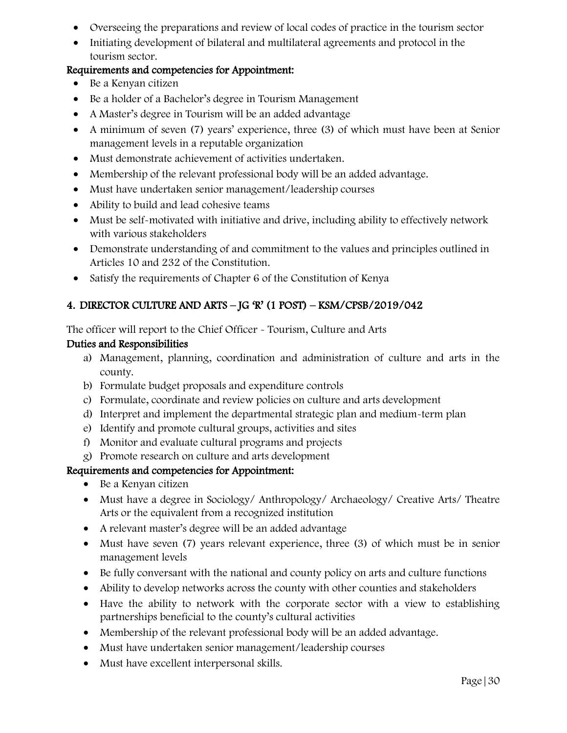- Overseeing the preparations and review of local codes of practice in the tourism sector
- Initiating development of bilateral and multilateral agreements and protocol in the tourism sector.

- Be a Kenyan citizen
- Be a holder of a Bachelor's degree in Tourism Management
- A Master's degree in Tourism will be an added advantage
- A minimum of seven (7) years' experience, three (3) of which must have been at Senior management levels in a reputable organization
- Must demonstrate achievement of activities undertaken.
- Membership of the relevant professional body will be an added advantage.
- Must have undertaken senior management/leadership courses
- Ability to build and lead cohesive teams
- Must be self-motivated with initiative and drive, including ability to effectively network with various stakeholders
- Demonstrate understanding of and commitment to the values and principles outlined in Articles 10 and 232 of the Constitution.
- Satisfy the requirements of Chapter 6 of the Constitution of Kenya

# 4. DIRECTOR CULTURE AND ARTS – JG 'R' (1 POST) – KSM/CPSB/2019/042

The officer will report to the Chief Officer - Tourism, Culture and Arts

#### Duties and Responsibilities

- a) Management, planning, coordination and administration of culture and arts in the county.
- b) Formulate budget proposals and expenditure controls
- c) Formulate, coordinate and review policies on culture and arts development
- d) Interpret and implement the departmental strategic plan and medium-term plan
- e) Identify and promote cultural groups, activities and sites
- f) Monitor and evaluate cultural programs and projects
- g) Promote research on culture and arts development

- Be a Kenyan citizen
- Must have a degree in Sociology/ Anthropology/ Archaeology/ Creative Arts/ Theatre Arts or the equivalent from a recognized institution
- A relevant master's degree will be an added advantage
- Must have seven (7) years relevant experience, three (3) of which must be in senior management levels
- Be fully conversant with the national and county policy on arts and culture functions
- Ability to develop networks across the county with other counties and stakeholders
- Have the ability to network with the corporate sector with a view to establishing partnerships beneficial to the county's cultural activities
- Membership of the relevant professional body will be an added advantage.
- Must have undertaken senior management/leadership courses
- Must have excellent interpersonal skills.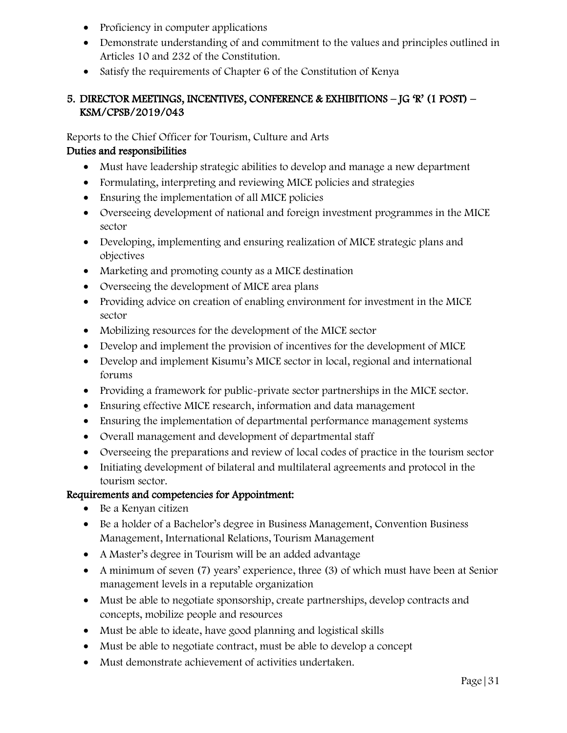- Proficiency in computer applications
- Demonstrate understanding of and commitment to the values and principles outlined in Articles 10 and 232 of the Constitution.
- Satisfy the requirements of Chapter 6 of the Constitution of Kenya

# 5. DIRECTOR MEETINGS, INCENTIVES, CONFERENCE & EXHIBITIONS – JG 'R' (1 POST) – KSM/CPSB/2019/043

Reports to the Chief Officer for Tourism, Culture and Arts

## Duties and responsibilities

- Must have leadership strategic abilities to develop and manage a new department
- Formulating, interpreting and reviewing MICE policies and strategies
- Ensuring the implementation of all MICE policies
- Overseeing development of national and foreign investment programmes in the MICE sector
- Developing, implementing and ensuring realization of MICE strategic plans and objectives
- Marketing and promoting county as a MICE destination
- Overseeing the development of MICE area plans
- Providing advice on creation of enabling environment for investment in the MICE sector
- Mobilizing resources for the development of the MICE sector
- Develop and implement the provision of incentives for the development of MICE
- Develop and implement Kisumu's MICE sector in local, regional and international forums
- Providing a framework for public-private sector partnerships in the MICE sector.
- Ensuring effective MICE research, information and data management
- Ensuring the implementation of departmental performance management systems
- Overall management and development of departmental staff
- Overseeing the preparations and review of local codes of practice in the tourism sector
- Initiating development of bilateral and multilateral agreements and protocol in the tourism sector.

- Be a Kenyan citizen
- Be a holder of a Bachelor's degree in Business Management, Convention Business Management, International Relations, Tourism Management
- A Master's degree in Tourism will be an added advantage
- A minimum of seven (7) years' experience, three (3) of which must have been at Senior management levels in a reputable organization
- Must be able to negotiate sponsorship, create partnerships, develop contracts and concepts, mobilize people and resources
- Must be able to ideate, have good planning and logistical skills
- Must be able to negotiate contract, must be able to develop a concept
- Must demonstrate achievement of activities undertaken.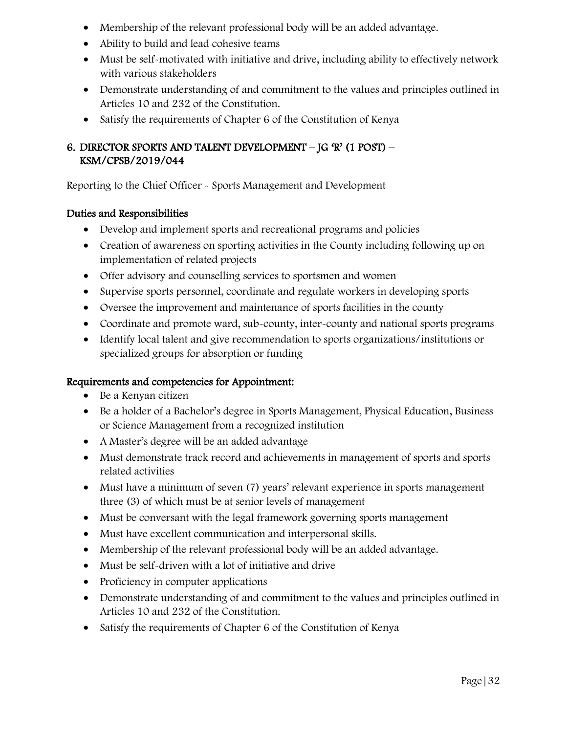- Membership of the relevant professional body will be an added advantage.
- Ability to build and lead cohesive teams
- Must be self-motivated with initiative and drive, including ability to effectively network with various stakeholders
- Demonstrate understanding of and commitment to the values and principles outlined in Articles 10 and 232 of the Constitution.
- Satisfy the requirements of Chapter 6 of the Constitution of Kenya

# 6. DIRECTOR SPORTS AND TALENT DEVELOPMENT – JG 'R' (1 POST) – KSM/CPSB/2019/044

Reporting to the Chief Officer - Sports Management and Development

#### Duties and Responsibilities

- Develop and implement sports and recreational programs and policies
- Creation of awareness on sporting activities in the County including following up on implementation of related projects
- Offer advisory and counselling services to sportsmen and women
- Supervise sports personnel, coordinate and regulate workers in developing sports
- Oversee the improvement and maintenance of sports facilities in the county
- Coordinate and promote ward, sub-county, inter-county and national sports programs
- Identify local talent and give recommendation to sports organizations/institutions or specialized groups for absorption or funding

- Be a Kenyan citizen
- Be a holder of a Bachelor's degree in Sports Management, Physical Education, Business or Science Management from a recognized institution
- A Master's degree will be an added advantage
- Must demonstrate track record and achievements in management of sports and sports related activities
- Must have a minimum of seven (7) years' relevant experience in sports management three (3) of which must be at senior levels of management
- Must be conversant with the legal framework governing sports management
- Must have excellent communication and interpersonal skills.
- Membership of the relevant professional body will be an added advantage.
- Must be self-driven with a lot of initiative and drive
- Proficiency in computer applications
- Demonstrate understanding of and commitment to the values and principles outlined in Articles 10 and 232 of the Constitution.
- Satisfy the requirements of Chapter 6 of the Constitution of Kenya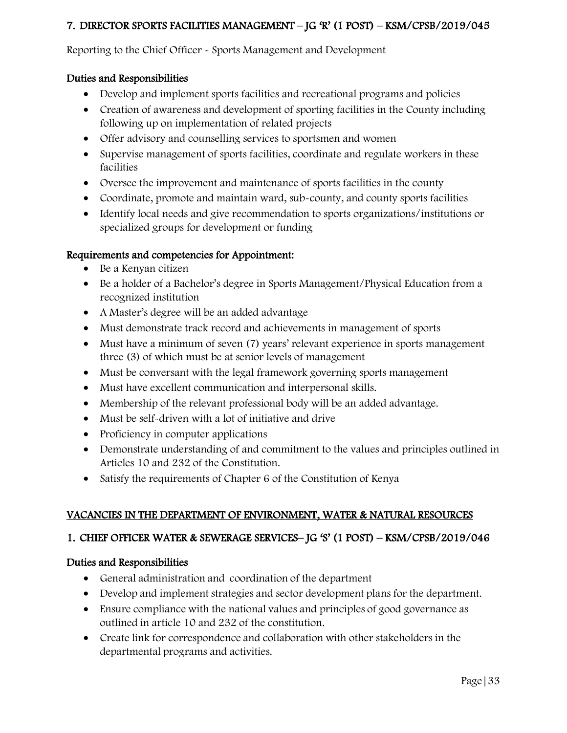# 7. DIRECTOR SPORTS FACILITIES MANAGEMENT – JG 'R' (1 POST) – KSM/CPSB/2019/045

Reporting to the Chief Officer - Sports Management and Development

#### Duties and Responsibilities

- Develop and implement sports facilities and recreational programs and policies
- Creation of awareness and development of sporting facilities in the County including following up on implementation of related projects
- Offer advisory and counselling services to sportsmen and women
- Supervise management of sports facilities, coordinate and regulate workers in these facilities
- Oversee the improvement and maintenance of sports facilities in the county
- Coordinate, promote and maintain ward, sub-county, and county sports facilities
- Identify local needs and give recommendation to sports organizations/institutions or specialized groups for development or funding

#### Requirements and competencies for Appointment:

- Be a Kenyan citizen
- Be a holder of a Bachelor's degree in Sports Management/Physical Education from a recognized institution
- A Master's degree will be an added advantage
- Must demonstrate track record and achievements in management of sports
- Must have a minimum of seven (7) years' relevant experience in sports management three (3) of which must be at senior levels of management
- Must be conversant with the legal framework governing sports management
- Must have excellent communication and interpersonal skills.
- Membership of the relevant professional body will be an added advantage.
- Must be self-driven with a lot of initiative and drive
- Proficiency in computer applications
- Demonstrate understanding of and commitment to the values and principles outlined in Articles 10 and 232 of the Constitution.
- Satisfy the requirements of Chapter 6 of the Constitution of Kenya

# VACANCIES IN THE DEPARTMENT OF ENVIRONMENT, WATER & NATURAL RESOURCES

# 1. CHIEF OFFICER WATER & SEWERAGE SERVICES– JG 'S' (1 POST) – KSM/CPSB/2019/046

- General administration and coordination of the department
- Develop and implement strategies and sector development plans for the department.
- Ensure compliance with the national values and principles of good governance as outlined in article 10 and 232 of the constitution.
- Create link for correspondence and collaboration with other stakeholders in the departmental programs and activities.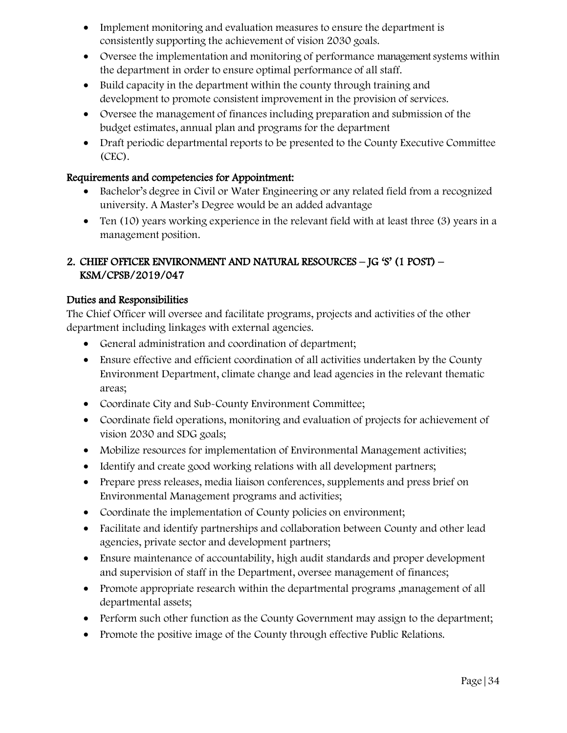- Implement monitoring and evaluation measures to ensure the department is consistently supporting the achievement of vision 2030 goals.
- Oversee the implementation and monitoring of performance management systems within the department in order to ensure optimal performance of all staff.
- Build capacity in the department within the county through training and development to promote consistent improvement in the provision of services.
- Oversee the management of finances including preparation and submission of the budget estimates, annual plan and programs for the department
- Draft periodic departmental reports to be presented to the County Executive Committee (CEC).

- Bachelor's degree in Civil or Water Engineering or any related field from a recognized university. A Master's Degree would be an added advantage
- Ten (10) years working experience in the relevant field with at least three (3) years in a management position.

# 2. CHIEF OFFICER ENVIRONMENT AND NATURAL RESOURCES – JG 'S' (1 POST) – KSM/CPSB/2019/047

## Duties and Responsibilities

The Chief Officer will oversee and facilitate programs, projects and activities of the other department including linkages with external agencies.

- General administration and coordination of department;
- Ensure effective and efficient coordination of all activities undertaken by the County Environment Department, climate change and lead agencies in the relevant thematic areas;
- Coordinate City and Sub-County Environment Committee;
- Coordinate field operations, monitoring and evaluation of projects for achievement of vision 2030 and SDG goals;
- Mobilize resources for implementation of Environmental Management activities;
- Identify and create good working relations with all development partners;
- Prepare press releases, media liaison conferences, supplements and press brief on Environmental Management programs and activities;
- Coordinate the implementation of County policies on environment;
- Facilitate and identify partnerships and collaboration between County and other lead agencies, private sector and development partners;
- Ensure maintenance of accountability, high audit standards and proper development and supervision of staff in the Department, oversee management of finances;
- Promote appropriate research within the departmental programs ,management of all departmental assets;
- Perform such other function as the County Government may assign to the department;
- Promote the positive image of the County through effective Public Relations.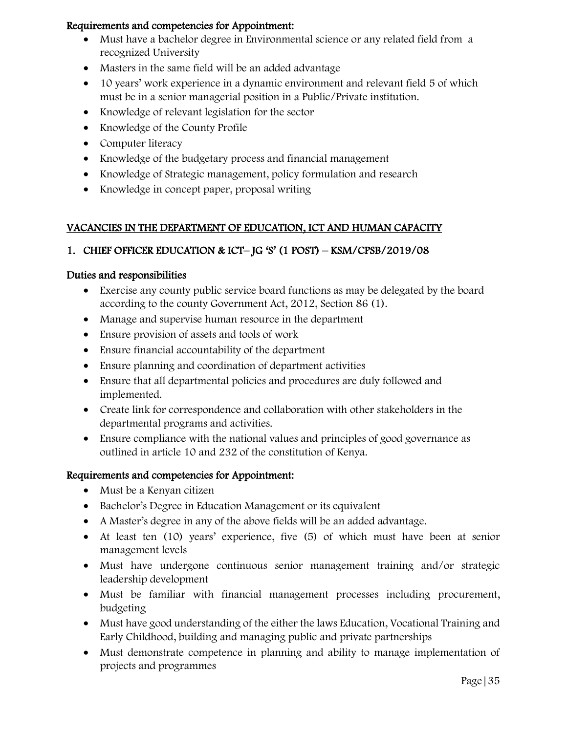- Must have a bachelor degree in Environmental science or any related field from a recognized University
- Masters in the same field will be an added advantage
- 10 years' work experience in a dynamic environment and relevant field 5 of which must be in a senior managerial position in a Public/Private institution.
- Knowledge of relevant legislation for the sector
- Knowledge of the County Profile
- Computer literacy
- Knowledge of the budgetary process and financial management
- Knowledge of Strategic management, policy formulation and research
- Knowledge in concept paper, proposal writing

## VACANCIES IN THE DEPARTMENT OF EDUCATION, ICT AND HUMAN CAPACITY

## 1. CHIEF OFFICER EDUCATION & ICT– JG 'S' (1 POST) – KSM/CPSB/2019/08

#### Duties and responsibilities

- Exercise any county public service board functions as may be delegated by the board according to the county Government Act, 2012, Section 86 (1).
- Manage and supervise human resource in the department
- Ensure provision of assets and tools of work
- Ensure financial accountability of the department
- Ensure planning and coordination of department activities
- Ensure that all departmental policies and procedures are duly followed and implemented.
- Create link for correspondence and collaboration with other stakeholders in the departmental programs and activities.
- Ensure compliance with the national values and principles of good governance as outlined in article 10 and 232 of the constitution of Kenya.

- Must be a Kenyan citizen
- Bachelor's Degree in Education Management or its equivalent
- A Master's degree in any of the above fields will be an added advantage.
- At least ten (10) years' experience, five (5) of which must have been at senior management levels
- Must have undergone continuous senior management training and/or strategic leadership development
- Must be familiar with financial management processes including procurement, budgeting
- Must have good understanding of the either the laws Education, Vocational Training and Early Childhood, building and managing public and private partnerships
- Must demonstrate competence in planning and ability to manage implementation of projects and programmes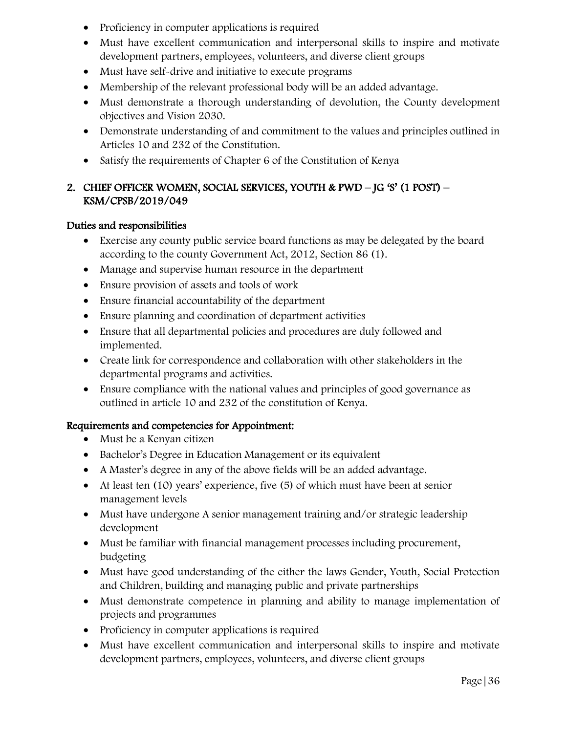- Proficiency in computer applications is required
- Must have excellent communication and interpersonal skills to inspire and motivate development partners, employees, volunteers, and diverse client groups
- Must have self-drive and initiative to execute programs
- Membership of the relevant professional body will be an added advantage.
- Must demonstrate a thorough understanding of devolution, the County development objectives and Vision 2030.
- Demonstrate understanding of and commitment to the values and principles outlined in Articles 10 and 232 of the Constitution.
- Satisfy the requirements of Chapter 6 of the Constitution of Kenya

# 2. CHIEF OFFICER WOMEN, SOCIAL SERVICES, YOUTH & PWD – JG 'S' (1 POST) – KSM/CPSB/2019/049

#### Duties and responsibilities

- Exercise any county public service board functions as may be delegated by the board according to the county Government Act, 2012, Section 86 (1).
- Manage and supervise human resource in the department
- Ensure provision of assets and tools of work
- Ensure financial accountability of the department
- Ensure planning and coordination of department activities
- Ensure that all departmental policies and procedures are duly followed and implemented.
- Create link for correspondence and collaboration with other stakeholders in the departmental programs and activities.
- Ensure compliance with the national values and principles of good governance as outlined in article 10 and 232 of the constitution of Kenya.

- Must be a Kenyan citizen
- Bachelor's Degree in Education Management or its equivalent
- A Master's degree in any of the above fields will be an added advantage.
- At least ten (10) years' experience, five (5) of which must have been at senior management levels
- Must have undergone A senior management training and/or strategic leadership development
- Must be familiar with financial management processes including procurement, budgeting
- Must have good understanding of the either the laws Gender, Youth, Social Protection and Children, building and managing public and private partnerships
- Must demonstrate competence in planning and ability to manage implementation of projects and programmes
- Proficiency in computer applications is required
- Must have excellent communication and interpersonal skills to inspire and motivate development partners, employees, volunteers, and diverse client groups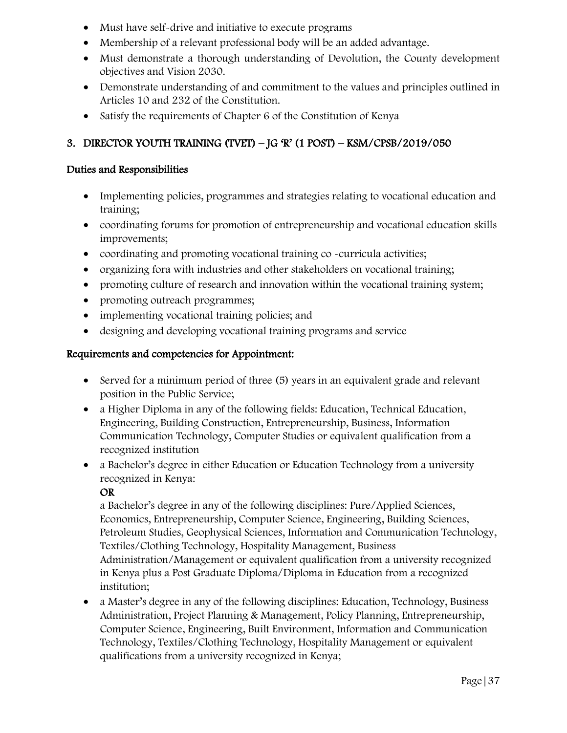- Must have self-drive and initiative to execute programs
- Membership of a relevant professional body will be an added advantage.
- Must demonstrate a thorough understanding of Devolution, the County development objectives and Vision 2030.
- Demonstrate understanding of and commitment to the values and principles outlined in Articles 10 and 232 of the Constitution.
- Satisfy the requirements of Chapter 6 of the Constitution of Kenya

# 3. DIRECTOR YOUTH TRAINING (TVET) – JG 'R' (1 POST) – KSM/CPSB/2019/050

#### Duties and Responsibilities

- Implementing policies, programmes and strategies relating to vocational education and training;
- coordinating forums for promotion of entrepreneurship and vocational education skills improvements;
- coordinating and promoting vocational training co -curricula activities;
- organizing fora with industries and other stakeholders on vocational training;
- promoting culture of research and innovation within the vocational training system;
- promoting outreach programmes;
- implementing vocational training policies; and
- designing and developing vocational training programs and service

#### Requirements and competencies for Appointment:

- Served for a minimum period of three (5) years in an equivalent grade and relevant position in the Public Service;
- a Higher Diploma in any of the following fields: Education, Technical Education, Engineering, Building Construction, Entrepreneurship, Business, Information Communication Technology, Computer Studies or equivalent qualification from a recognized institution
- a Bachelor's degree in either Education or Education Technology from a university recognized in Kenya:

#### OR

a Bachelor's degree in any of the following disciplines: Pure/Applied Sciences, Economics, Entrepreneurship, Computer Science, Engineering, Building Sciences, Petroleum Studies, Geophysical Sciences, Information and Communication Technology, Textiles/Clothing Technology, Hospitality Management, Business Administration/Management or equivalent qualification from a university recognized in Kenya plus a Post Graduate Diploma/Diploma in Education from a recognized institution;

• a Master's degree in any of the following disciplines: Education, Technology, Business Administration, Project Planning & Management, Policy Planning, Entrepreneurship, Computer Science, Engineering, Built Environment, Information and Communication Technology, Textiles/Clothing Technology, Hospitality Management or equivalent qualifications from a university recognized in Kenya;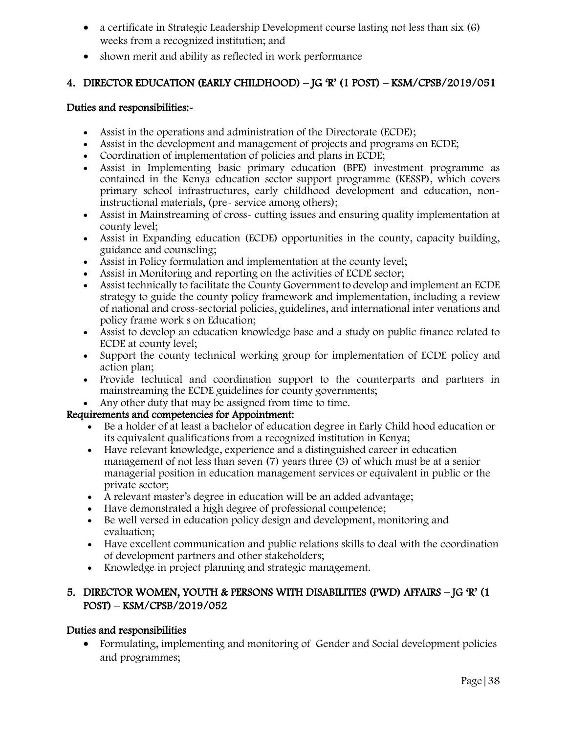- a certificate in Strategic Leadership Development course lasting not less than six (6) weeks from a recognized institution; and
- shown merit and ability as reflected in work performance

# 4. DIRECTOR EDUCATION (EARLY CHILDHOOD) – JG 'R' (1 POST) – KSM/CPSB/2019/051

#### Duties and responsibilities:-

- Assist in the operations and administration of the Directorate (ECDE);
- Assist in the development and management of projects and programs on ECDE;
- Coordination of implementation of policies and plans in ECDE;
- Assist in Implementing basic primary education (BPE) investment programme as contained in the Kenya education sector support programme (KESSP), which covers primary school infrastructures, early childhood development and education, noninstructional materials, (pre- service among others);
- Assist in Mainstreaming of cross- cutting issues and ensuring quality implementation at county level;
- Assist in Expanding education (ECDE) opportunities in the county, capacity building, guidance and counseling;
- Assist in Policy formulation and implementation at the county level;
- Assist in Monitoring and reporting on the activities of ECDE sector;
- Assist technically to facilitate the County Government to develop and implement an ECDE strategy to guide the county policy framework and implementation, including a review of national and cross-sectorial policies, guidelines, and international inter venations and policy frame work s on Education;
- Assist to develop an education knowledge base and a study on public finance related to ECDE at county level;
- Support the county technical working group for implementation of ECDE policy and action plan;
- Provide technical and coordination support to the counterparts and partners in mainstreaming the ECDE guidelines for county governments;
- Any other duty that may be assigned from time to time.

### Requirements and competencies for Appointment:

- Be a holder of at least a bachelor of education degree in Early Child hood education or its equivalent qualifications from a recognized institution in Kenya;
- Have relevant knowledge, experience and a distinguished career in education management of not less than seven (7) years three (3) of which must be at a senior managerial position in education management services or equivalent in public or the private sector;
- A relevant master's degree in education will be an added advantage;
- Have demonstrated a high degree of professional competence;
- Be well versed in education policy design and development, monitoring and evaluation;
- Have excellent communication and public relations skills to deal with the coordination of development partners and other stakeholders;
- Knowledge in project planning and strategic management.

# 5. DIRECTOR WOMEN, YOUTH & PERSONS WITH DISABILITIES (PWD) AFFAIRS – JG 'R' (1 POST) – KSM/CPSB/2019/052

### Duties and responsibilities

 Formulating, implementing and monitoring of Gender and Social development policies and programmes;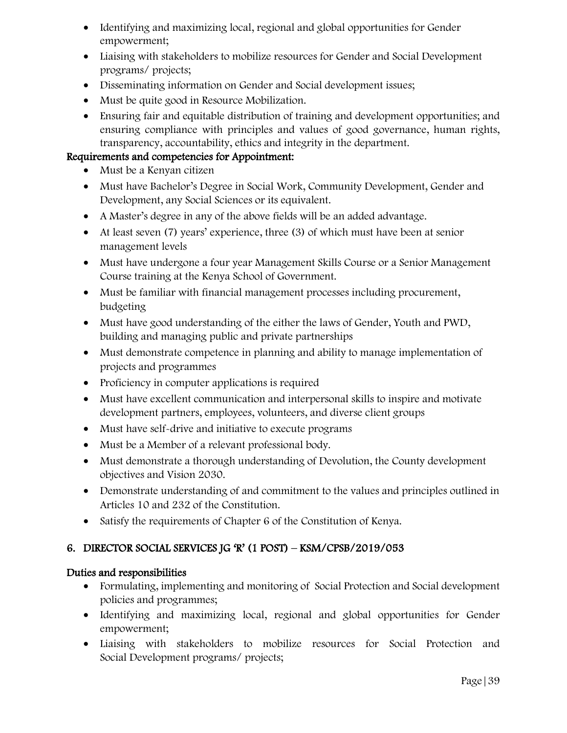- Identifying and maximizing local, regional and global opportunities for Gender empowerment;
- Liaising with stakeholders to mobilize resources for Gender and Social Development programs/ projects;
- Disseminating information on Gender and Social development issues;
- Must be quite good in Resource Mobilization.
- Ensuring fair and equitable distribution of training and development opportunities; and ensuring compliance with principles and values of good governance, human rights, transparency, accountability, ethics and integrity in the department.

- Must be a Kenyan citizen
- Must have Bachelor's Degree in Social Work, Community Development, Gender and Development, any Social Sciences or its equivalent.
- A Master's degree in any of the above fields will be an added advantage.
- At least seven (7) years' experience, three (3) of which must have been at senior management levels
- Must have undergone a four year Management Skills Course or a Senior Management Course training at the Kenya School of Government.
- Must be familiar with financial management processes including procurement, budgeting
- Must have good understanding of the either the laws of Gender, Youth and PWD, building and managing public and private partnerships
- Must demonstrate competence in planning and ability to manage implementation of projects and programmes
- Proficiency in computer applications is required
- Must have excellent communication and interpersonal skills to inspire and motivate development partners, employees, volunteers, and diverse client groups
- Must have self-drive and initiative to execute programs
- Must be a Member of a relevant professional body.
- Must demonstrate a thorough understanding of Devolution, the County development objectives and Vision 2030.
- Demonstrate understanding of and commitment to the values and principles outlined in Articles 10 and 232 of the Constitution.
- Satisfy the requirements of Chapter 6 of the Constitution of Kenya.

# 6. DIRECTOR SOCIAL SERVICES JG 'R' (1 POST) – KSM/CPSB/2019/053

- Formulating, implementing and monitoring of Social Protection and Social development policies and programmes;
- Identifying and maximizing local, regional and global opportunities for Gender empowerment;
- Liaising with stakeholders to mobilize resources for Social Protection and Social Development programs/ projects;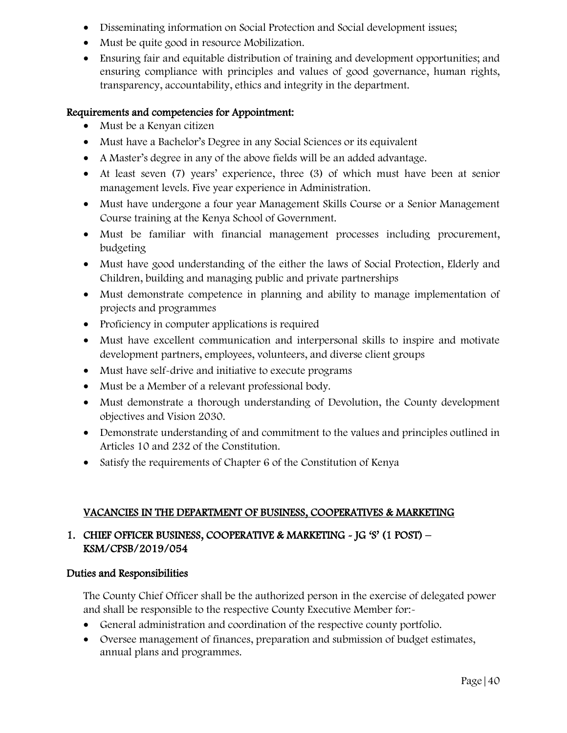- Disseminating information on Social Protection and Social development issues;
- Must be quite good in resource Mobilization.
- Ensuring fair and equitable distribution of training and development opportunities; and ensuring compliance with principles and values of good governance, human rights, transparency, accountability, ethics and integrity in the department.

- Must be a Kenyan citizen
- Must have a Bachelor's Degree in any Social Sciences or its equivalent
- A Master's degree in any of the above fields will be an added advantage.
- At least seven (7) years' experience, three (3) of which must have been at senior management levels. Five year experience in Administration.
- Must have undergone a four year Management Skills Course or a Senior Management Course training at the Kenya School of Government.
- Must be familiar with financial management processes including procurement, budgeting
- Must have good understanding of the either the laws of Social Protection, Elderly and Children, building and managing public and private partnerships
- Must demonstrate competence in planning and ability to manage implementation of projects and programmes
- Proficiency in computer applications is required
- Must have excellent communication and interpersonal skills to inspire and motivate development partners, employees, volunteers, and diverse client groups
- Must have self-drive and initiative to execute programs
- Must be a Member of a relevant professional body.
- Must demonstrate a thorough understanding of Devolution, the County development objectives and Vision 2030.
- Demonstrate understanding of and commitment to the values and principles outlined in Articles 10 and 232 of the Constitution.
- Satisfy the requirements of Chapter 6 of the Constitution of Kenya

### VACANCIES IN THE DEPARTMENT OF BUSINESS, COOPERATIVES & MARKETING

# 1. CHIEF OFFICER BUSINESS, COOPERATIVE & MARKETING - JG 'S' (1 POST) – KSM/CPSB/2019/054

### Duties and Responsibilities

The County Chief Officer shall be the authorized person in the exercise of delegated power and shall be responsible to the respective County Executive Member for:-

- General administration and coordination of the respective county portfolio.
- Oversee management of finances, preparation and submission of budget estimates, annual plans and programmes.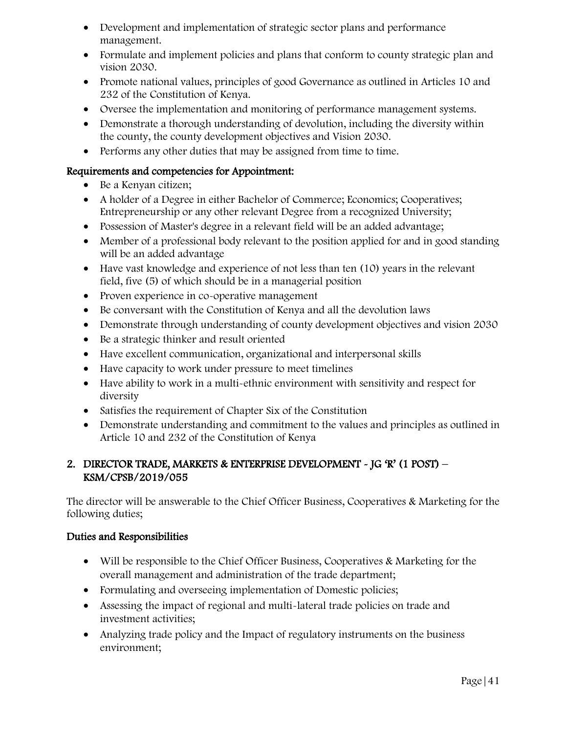- Development and implementation of strategic sector plans and performance management.
- Formulate and implement policies and plans that conform to county strategic plan and vision 2030.
- Promote national values, principles of good Governance as outlined in Articles 10 and 232 of the Constitution of Kenya.
- Oversee the implementation and monitoring of performance management systems.
- Demonstrate a thorough understanding of devolution, including the diversity within the county, the county development objectives and Vision 2030.
- Performs any other duties that may be assigned from time to time.

- Be a Kenyan citizen;
- A holder of a Degree in either Bachelor of Commerce; Economics; Cooperatives; Entrepreneurship or any other relevant Degree from a recognized University;
- Possession of Master's degree in a relevant field will be an added advantage;
- Member of a professional body relevant to the position applied for and in good standing will be an added advantage
- Have vast knowledge and experience of not less than ten (10) years in the relevant field, five (5) of which should be in a managerial position
- Proven experience in co-operative management
- Be conversant with the Constitution of Kenya and all the devolution laws
- Demonstrate through understanding of county development objectives and vision 2030
- Be a strategic thinker and result oriented
- Have excellent communication, organizational and interpersonal skills
- Have capacity to work under pressure to meet timelines
- Have ability to work in a multi-ethnic environment with sensitivity and respect for diversity
- Satisfies the requirement of Chapter Six of the Constitution
- Demonstrate understanding and commitment to the values and principles as outlined in Article 10 and 232 of the Constitution of Kenya

### 2. DIRECTOR TRADE, MARKETS & ENTERPRISE DEVELOPMENT - JG 'R' (1 POST) – KSM/CPSB/2019/055

The director will be answerable to the Chief Officer Business, Cooperatives & Marketing for the following duties;

- Will be responsible to the Chief Officer Business, Cooperatives & Marketing for the overall management and administration of the trade department;
- Formulating and overseeing implementation of Domestic policies;
- Assessing the impact of regional and multi-lateral trade policies on trade and investment activities;
- Analyzing trade policy and the Impact of regulatory instruments on the business environment;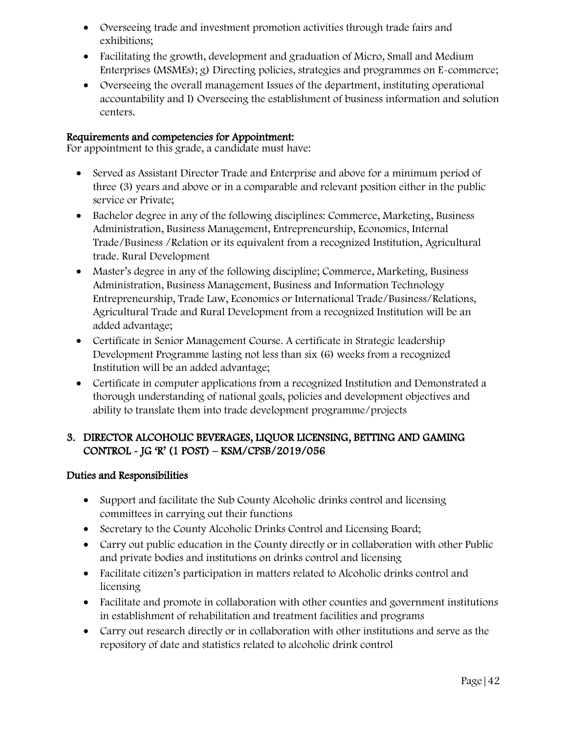- Overseeing trade and investment promotion activities through trade fairs and exhibitions;
- Facilitating the growth, development and graduation of Micro, Small and Medium Enterprises (MSMEs); g) Directing policies, strategies and programmes on E-commerce;
- Overseeing the overall management Issues of the department, instituting operational accountability and I) Overseeing the establishment of business information and solution centers.

For appointment to this grade, a candidate must have:

- Served as Assistant Director Trade and Enterprise and above for a minimum period of three (3) years and above or in a comparable and relevant position either in the public service or Private;
- Bachelor degree in any of the following disciplines: Commerce, Marketing, Business Administration, Business Management, Entrepreneurship, Economics, Internal Trade/Business /Relation or its equivalent from a recognized Institution, Agricultural trade. Rural Development
- Master's degree in any of the following discipline; Commerce, Marketing, Business Administration, Business Management, Business and Information Technology Entrepreneurship, Trade Law, Economics or International Trade/Business/Relations, Agricultural Trade and Rural Development from a recognized Institution will be an added advantage;
- Certificate in Senior Management Course. A certificate in Strategic leadership Development Programme lasting not less than six (6) weeks from a recognized Institution will be an added advantage;
- Certificate in computer applications from a recognized Institution and Demonstrated a thorough understanding of national goals, policies and development objectives and ability to translate them into trade development programme/projects

# 3. DIRECTOR ALCOHOLIC BEVERAGES, LIQUOR LICENSING, BETTING AND GAMING CONTROL - JG 'R' (1 POST) – KSM/CPSB/2019/056

- Support and facilitate the Sub County Alcoholic drinks control and licensing committees in carrying out their functions
- Secretary to the County Alcoholic Drinks Control and Licensing Board;
- Carry out public education in the County directly or in collaboration with other Public and private bodies and institutions on drinks control and licensing
- Facilitate citizen's participation in matters related to Alcoholic drinks control and licensing
- Facilitate and promote in collaboration with other counties and government institutions in establishment of rehabilitation and treatment facilities and programs
- Carry out research directly or in collaboration with other institutions and serve as the repository of date and statistics related to alcoholic drink control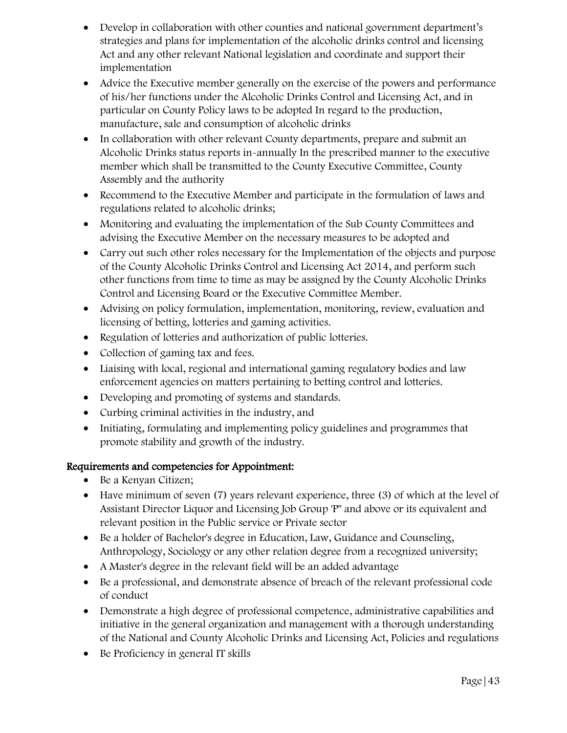- Develop in collaboration with other counties and national government department's strategies and plans for implementation of the alcoholic drinks control and licensing Act and any other relevant National legislation and coordinate and support their implementation
- Advice the Executive member generally on the exercise of the powers and performance of his/her functions under the Alcoholic Drinks Control and Licensing Act, and in particular on County Policy laws to be adopted In regard to the production, manufacture, sale and consumption of alcoholic drinks
- In collaboration with other relevant County departments, prepare and submit an Alcoholic Drinks status reports in-annually In the prescribed manner to the executive member which shall be transmitted to the County Executive Committee, County Assembly and the authority
- Recommend to the Executive Member and participate in the formulation of laws and regulations related to alcoholic drinks;
- Monitoring and evaluating the implementation of the Sub County Committees and advising the Executive Member on the necessary measures to be adopted and
- Carry out such other roles necessary for the Implementation of the objects and purpose of the County Alcoholic Drinks Control and Licensing Act 2014, and perform such other functions from time to time as may be assigned by the County Alcoholic Drinks Control and Licensing Board or the Executive Committee Member.
- Advising on policy formulation, implementation, monitoring, review, evaluation and licensing of betting, lotteries and gaming activities.
- Regulation of lotteries and authorization of public lotteries.
- Collection of gaming tax and fees.
- Liaising with local, regional and international gaming regulatory bodies and law enforcement agencies on matters pertaining to betting control and lotteries.
- Developing and promoting of systems and standards.
- Curbing criminal activities in the industry, and
- Initiating, formulating and implementing policy guidelines and programmes that promote stability and growth of the industry.

- Be a Kenyan Citizen;
- Have minimum of seven (7) years relevant experience, three (3) of which at the level of Assistant Director Liquor and Licensing Job Group 'P" and above or its equivalent and relevant position in the Public service or Private sector
- Be a holder of Bachelor's degree in Education, Law, Guidance and Counseling, Anthropology, Sociology or any other relation degree from a recognized university;
- A Master's degree in the relevant field will be an added advantage
- Be a professional, and demonstrate absence of breach of the relevant professional code of conduct
- Demonstrate a high degree of professional competence, administrative capabilities and initiative in the general organization and management with a thorough understanding of the National and County Alcoholic Drinks and Licensing Act, Policies and regulations
- Be Proficiency in general IT skills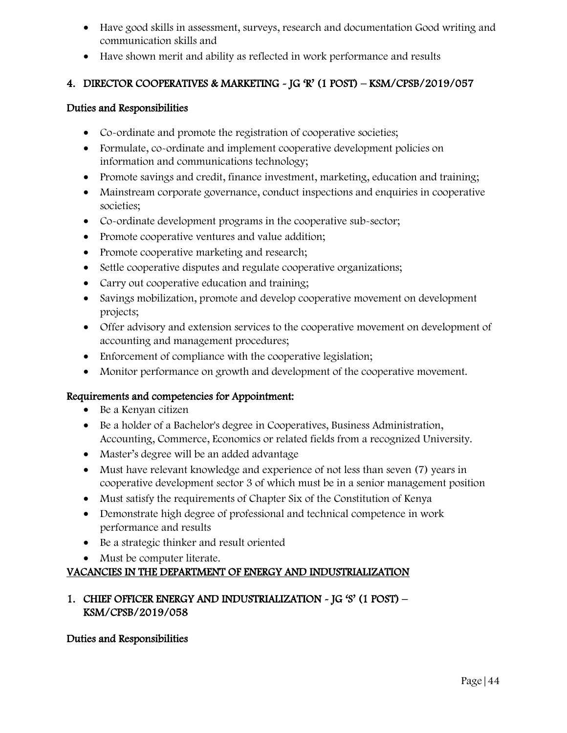- Have good skills in assessment, surveys, research and documentation Good writing and communication skills and
- Have shown merit and ability as reflected in work performance and results

# 4. DIRECTOR COOPERATIVES & MARKETING - JG 'R' (1 POST) – KSM/CPSB/2019/057

#### Duties and Responsibilities

- Co-ordinate and promote the registration of cooperative societies;
- Formulate, co-ordinate and implement cooperative development policies on information and communications technology;
- Promote savings and credit, finance investment, marketing, education and training;
- Mainstream corporate governance, conduct inspections and enquiries in cooperative societies;
- Co-ordinate development programs in the cooperative sub-sector;
- Promote cooperative ventures and value addition;
- Promote cooperative marketing and research;
- Settle cooperative disputes and regulate cooperative organizations;
- Carry out cooperative education and training;
- Savings mobilization, promote and develop cooperative movement on development projects;
- Offer advisory and extension services to the cooperative movement on development of accounting and management procedures;
- Enforcement of compliance with the cooperative legislation;
- Monitor performance on growth and development of the cooperative movement.

### Requirements and competencies for Appointment:

- Be a Kenyan citizen
- Be a holder of a Bachelor's degree in Cooperatives, Business Administration, Accounting, Commerce, Economics or related fields from a recognized University.
- Master's degree will be an added advantage
- Must have relevant knowledge and experience of not less than seven (7) years in cooperative development sector 3 of which must be in a senior management position
- Must satisfy the requirements of Chapter Six of the Constitution of Kenya
- Demonstrate high degree of professional and technical competence in work performance and results
- Be a strategic thinker and result oriented
- Must be computer literate.

### VACANCIES IN THE DEPARTMENT OF ENERGY AND INDUSTRIALIZATION

### 1. CHIEF OFFICER ENERGY AND INDUSTRIALIZATION - JG 'S' (1 POST) – KSM/CPSB/2019/058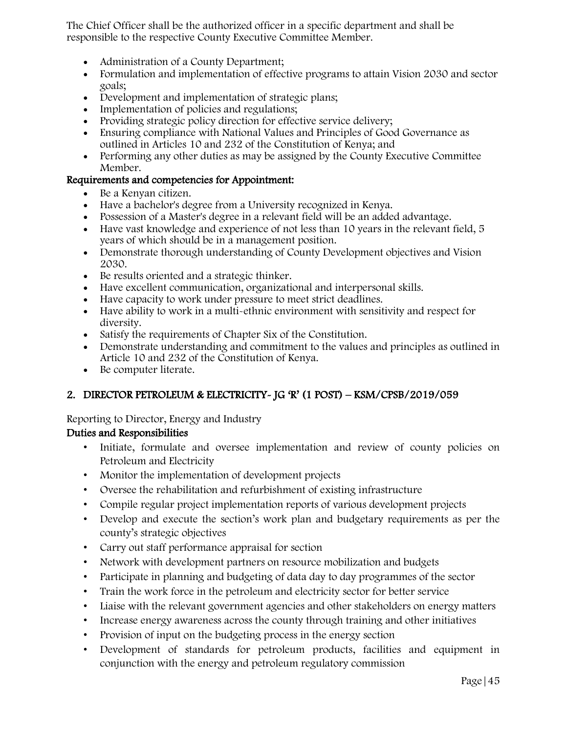The Chief Officer shall be the authorized officer in a specific department and shall be responsible to the respective County Executive Committee Member.

- Administration of a County Department;
- Formulation and implementation of effective programs to attain Vision 2030 and sector goals;
- Development and implementation of strategic plans;
- Implementation of policies and regulations;
- Providing strategic policy direction for effective service delivery;
- Ensuring compliance with National Values and Principles of Good Governance as outlined in Articles 10 and 232 of the Constitution of Kenya; and
- Performing any other duties as may be assigned by the County Executive Committee Member.

#### Requirements and competencies for Appointment:

- Be a Kenyan citizen.
- Have a bachelor's degree from a University recognized in Kenya.
- Possession of a Master's degree in a relevant field will be an added advantage.
- Have vast knowledge and experience of not less than 10 years in the relevant field, 5 years of which should be in a management position.
- Demonstrate thorough understanding of County Development objectives and Vision 2030.
- Be results oriented and a strategic thinker.
- Have excellent communication, organizational and interpersonal skills.
- Have capacity to work under pressure to meet strict deadlines.
- Have ability to work in a multi-ethnic environment with sensitivity and respect for diversity.
- Satisfy the requirements of Chapter Six of the Constitution.
- Demonstrate understanding and commitment to the values and principles as outlined in Article 10 and 232 of the Constitution of Kenya.
- Be computer literate.

### 2. DIRECTOR PETROLEUM & ELECTRICITY- JG 'R' (1 POST) – KSM/CPSB/2019/059

Reporting to Director, Energy and Industry

- Initiate, formulate and oversee implementation and review of county policies on Petroleum and Electricity
- Monitor the implementation of development projects
- Oversee the rehabilitation and refurbishment of existing infrastructure
- Compile regular project implementation reports of various development projects
- Develop and execute the section's work plan and budgetary requirements as per the county's strategic objectives
- Carry out staff performance appraisal for section
- Network with development partners on resource mobilization and budgets
- Participate in planning and budgeting of data day to day programmes of the sector
- Train the work force in the petroleum and electricity sector for better service
- Liaise with the relevant government agencies and other stakeholders on energy matters
- Increase energy awareness across the county through training and other initiatives
- Provision of input on the budgeting process in the energy section
- Development of standards for petroleum products, facilities and equipment in conjunction with the energy and petroleum regulatory commission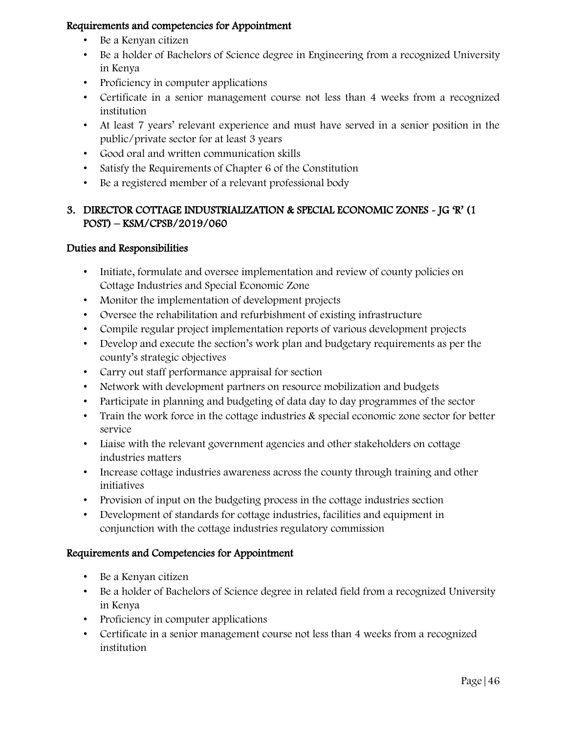- Be a Kenyan citizen
- Be a holder of Bachelors of Science degree in Engineering from a recognized University in Kenya
- Proficiency in computer applications
- Certificate in a senior management course not less than 4 weeks from a recognized institution
- At least 7 years' relevant experience and must have served in a senior position in the public/private sector for at least 3 years
- Good oral and written communication skills
- Satisfy the Requirements of Chapter 6 of the Constitution
- Be a registered member of a relevant professional body

### 3. DIRECTOR COTTAGE INDUSTRIALIZATION & SPECIAL ECONOMIC ZONES - JG 'R' (1 POST) – KSM/CPSB/2019/060

### Duties and Responsibilities

- Initiate, formulate and oversee implementation and review of county policies on Cottage Industries and Special Economic Zone
- Monitor the implementation of development projects
- Oversee the rehabilitation and refurbishment of existing infrastructure
- Compile regular project implementation reports of various development projects
- Develop and execute the section's work plan and budgetary requirements as per the county's strategic objectives
- Carry out staff performance appraisal for section
- Network with development partners on resource mobilization and budgets
- Participate in planning and budgeting of data day to day programmes of the sector
- Train the work force in the cottage industries & special economic zone sector for better service
- Liaise with the relevant government agencies and other stakeholders on cottage industries matters
- Increase cottage industries awareness across the county through training and other initiatives
- Provision of input on the budgeting process in the cottage industries section
- Development of standards for cottage industries, facilities and equipment in conjunction with the cottage industries regulatory commission

- Be a Kenyan citizen
- Be a holder of Bachelors of Science degree in related field from a recognized University in Kenya
- Proficiency in computer applications
- Certificate in a senior management course not less than 4 weeks from a recognized institution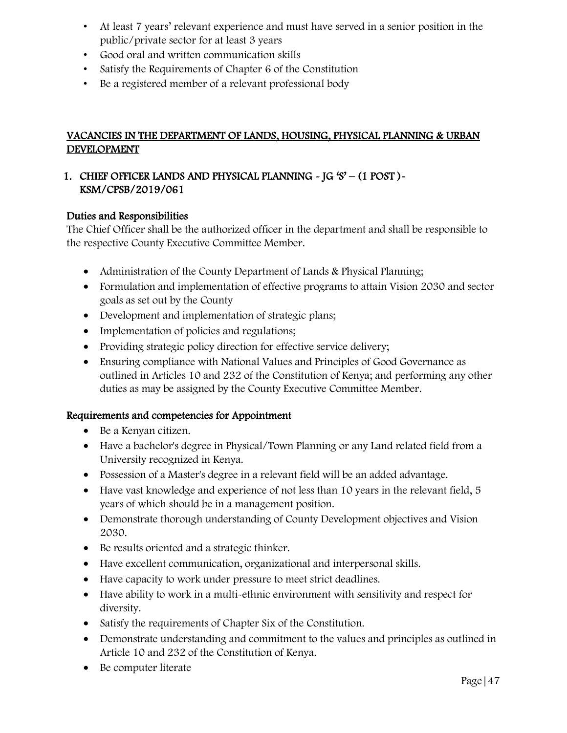- At least 7 years' relevant experience and must have served in a senior position in the public/private sector for at least 3 years
- Good oral and written communication skills
- Satisfy the Requirements of Chapter 6 of the Constitution
- Be a registered member of a relevant professional body

# VACANCIES IN THE DEPARTMENT OF LANDS, HOUSING, PHYSICAL PLANNING & URBAN DEVELOPMENT

# 1. CHIEF OFFICER LANDS AND PHYSICAL PLANNING - JG 'S' – (1 POST )- KSM/CPSB/2019/061

#### Duties and Responsibilities

The Chief Officer shall be the authorized officer in the department and shall be responsible to the respective County Executive Committee Member.

- Administration of the County Department of Lands & Physical Planning;
- Formulation and implementation of effective programs to attain Vision 2030 and sector goals as set out by the County
- Development and implementation of strategic plans;
- Implementation of policies and regulations;
- Providing strategic policy direction for effective service delivery;
- Ensuring compliance with National Values and Principles of Good Governance as outlined in Articles 10 and 232 of the Constitution of Kenya; and performing any other duties as may be assigned by the County Executive Committee Member.

- Be a Kenyan citizen.
- Have a bachelor's degree in Physical/Town Planning or any Land related field from a University recognized in Kenya.
- Possession of a Master's degree in a relevant field will be an added advantage.
- Have vast knowledge and experience of not less than 10 years in the relevant field, 5 years of which should be in a management position.
- Demonstrate thorough understanding of County Development objectives and Vision 2030.
- Be results oriented and a strategic thinker.
- Have excellent communication, organizational and interpersonal skills.
- Have capacity to work under pressure to meet strict deadlines.
- Have ability to work in a multi-ethnic environment with sensitivity and respect for diversity.
- Satisfy the requirements of Chapter Six of the Constitution.
- Demonstrate understanding and commitment to the values and principles as outlined in Article 10 and 232 of the Constitution of Kenya.
- Be computer literate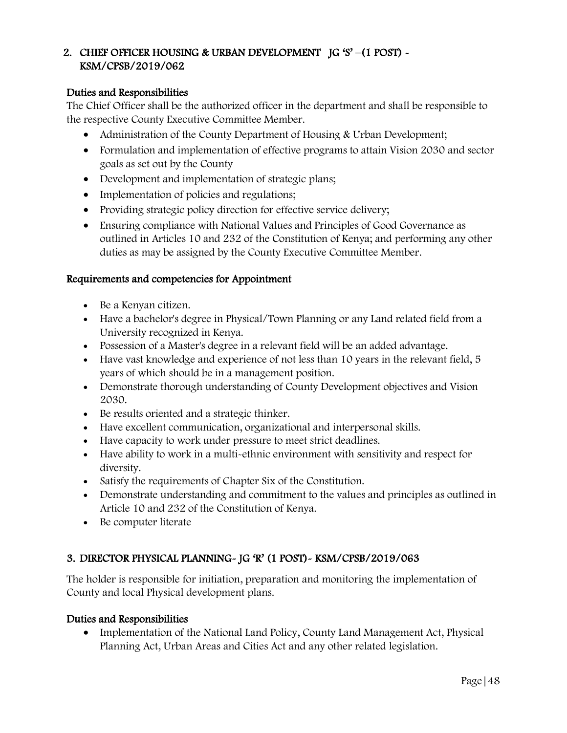### 2. CHIEF OFFICER HOUSING & URBAN DEVELOPMENT JG 'S' –(1 POST) - KSM/CPSB/2019/062

#### Duties and Responsibilities

The Chief Officer shall be the authorized officer in the department and shall be responsible to the respective County Executive Committee Member.

- Administration of the County Department of Housing & Urban Development;
- Formulation and implementation of effective programs to attain Vision 2030 and sector goals as set out by the County
- Development and implementation of strategic plans;
- Implementation of policies and regulations;
- Providing strategic policy direction for effective service delivery;
- Ensuring compliance with National Values and Principles of Good Governance as outlined in Articles 10 and 232 of the Constitution of Kenya; and performing any other duties as may be assigned by the County Executive Committee Member.

#### Requirements and competencies for Appointment

- Be a Kenyan citizen.
- Have a bachelor's degree in Physical/Town Planning or any Land related field from a University recognized in Kenya.
- Possession of a Master's degree in a relevant field will be an added advantage.
- Have vast knowledge and experience of not less than 10 years in the relevant field, 5 years of which should be in a management position.
- Demonstrate thorough understanding of County Development objectives and Vision 2030.
- Be results oriented and a strategic thinker.
- Have excellent communication, organizational and interpersonal skills.
- Have capacity to work under pressure to meet strict deadlines.
- Have ability to work in a multi-ethnic environment with sensitivity and respect for diversity.
- Satisfy the requirements of Chapter Six of the Constitution.
- Demonstrate understanding and commitment to the values and principles as outlined in Article 10 and 232 of the Constitution of Kenya.
- Be computer literate

# 3. DIRECTOR PHYSICAL PLANNING- JG 'R' (1 POST)- KSM/CPSB/2019/063

The holder is responsible for initiation, preparation and monitoring the implementation of County and local Physical development plans.

### Duties and Responsibilities

• Implementation of the National Land Policy, County Land Management Act, Physical Planning Act, Urban Areas and Cities Act and any other related legislation.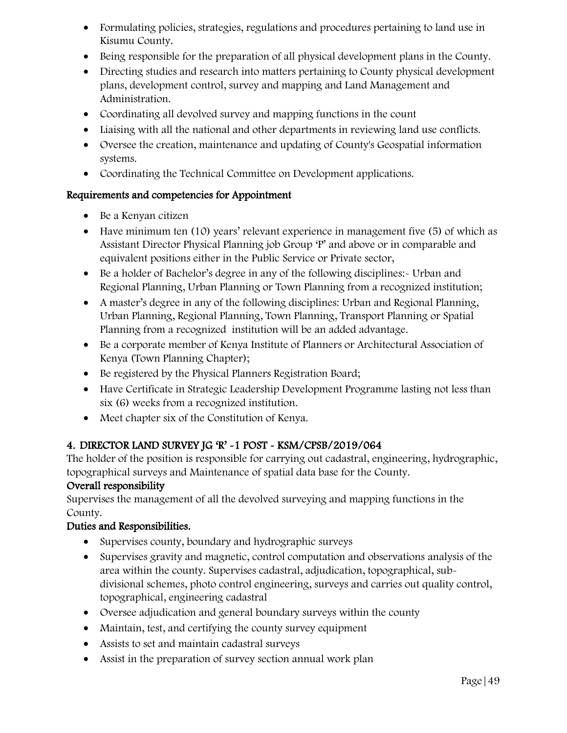- Formulating policies, strategies, regulations and procedures pertaining to land use in Kisumu County.
- Being responsible for the preparation of all physical development plans in the County.
- Directing studies and research into matters pertaining to County physical development plans, development control, survey and mapping and Land Management and Administration.
- Coordinating all devolved survey and mapping functions in the count
- Liaising with all the national and other departments in reviewing land use conflicts.
- Oversee the creation, maintenance and updating of County's Geospatial information systems.
- Coordinating the Technical Committee on Development applications.

- Be a Kenyan citizen
- Have minimum ten (10) years' relevant experience in management five (5) of which as Assistant Director Physical Planning job Group 'P' and above or in comparable and equivalent positions either in the Public Service or Private sector,
- Be a holder of Bachelor's degree in any of the following disciplines:- Urban and Regional Planning, Urban Planning or Town Planning from a recognized institution;
- A master's degree in any of the following disciplines: Urban and Regional Planning, Urban Planning, Regional Planning, Town Planning, Transport Planning or Spatial Planning from a recognized institution will be an added advantage.
- Be a corporate member of Kenya Institute of Planners or Architectural Association of Kenya (Town Planning Chapter);
- Be registered by the Physical Planners Registration Board;
- Have Certificate in Strategic Leadership Development Programme lasting not less than six (6) weeks from a recognized institution.
- Meet chapter six of the Constitution of Kenya.

# 4. DIRECTOR LAND SURVEY JG 'R' -1 POST - KSM/CPSB/2019/064

The holder of the position is responsible for carrying out cadastral, engineering, hydrographic, topographical surveys and Maintenance of spatial data base for the County.

### Overall responsibility

Supervises the management of all the devolved surveying and mapping functions in the County.

- Supervises county, boundary and hydrographic surveys
- Supervises gravity and magnetic, control computation and observations analysis of the area within the county. Supervises cadastral, adjudication, topographical, subdivisional schemes, photo control engineering, surveys and carries out quality control, topographical, engineering cadastral
- Oversee adjudication and general boundary surveys within the county
- Maintain, test, and certifying the county survey equipment
- Assists to set and maintain cadastral surveys
- Assist in the preparation of survey section annual work plan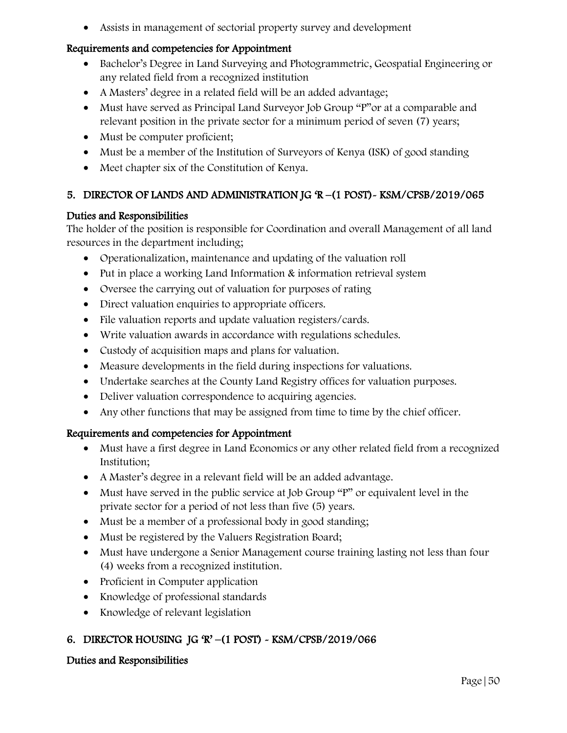Assists in management of sectorial property survey and development

#### Requirements and competencies for Appointment

- Bachelor's Degree in Land Surveying and Photogrammetric, Geospatial Engineering or any related field from a recognized institution
- A Masters' degree in a related field will be an added advantage;
- Must have served as Principal Land Surveyor Job Group "P" or at a comparable and relevant position in the private sector for a minimum period of seven (7) years;
- Must be computer proficient;
- Must be a member of the Institution of Surveyors of Kenya (ISK) of good standing
- Meet chapter six of the Constitution of Kenya.

### 5. DIRECTOR OF LANDS AND ADMINISTRATION JG 'R –(1 POST)- KSM/CPSB/2019/065

#### Duties and Responsibilities

The holder of the position is responsible for Coordination and overall Management of all land resources in the department including;

- Operationalization, maintenance and updating of the valuation roll
- Put in place a working Land Information & information retrieval system
- Oversee the carrying out of valuation for purposes of rating
- Direct valuation enquiries to appropriate officers.
- File valuation reports and update valuation registers/cards.
- Write valuation awards in accordance with regulations schedules.
- Custody of acquisition maps and plans for valuation.
- Measure developments in the field during inspections for valuations.
- Undertake searches at the County Land Registry offices for valuation purposes.
- Deliver valuation correspondence to acquiring agencies.
- Any other functions that may be assigned from time to time by the chief officer.

### Requirements and competencies for Appointment

- Must have a first degree in Land Economics or any other related field from a recognized Institution;
- A Master's degree in a relevant field will be an added advantage.
- Must have served in the public service at Job Group "P" or equivalent level in the private sector for a period of not less than five (5) years.
- Must be a member of a professional body in good standing;
- Must be registered by the Valuers Registration Board;
- Must have undergone a Senior Management course training lasting not less than four (4) weeks from a recognized institution.
- Proficient in Computer application
- Knowledge of professional standards
- Knowledge of relevant legislation

# 6. DIRECTOR HOUSING JG 'R' –(1 POST) - KSM/CPSB/2019/066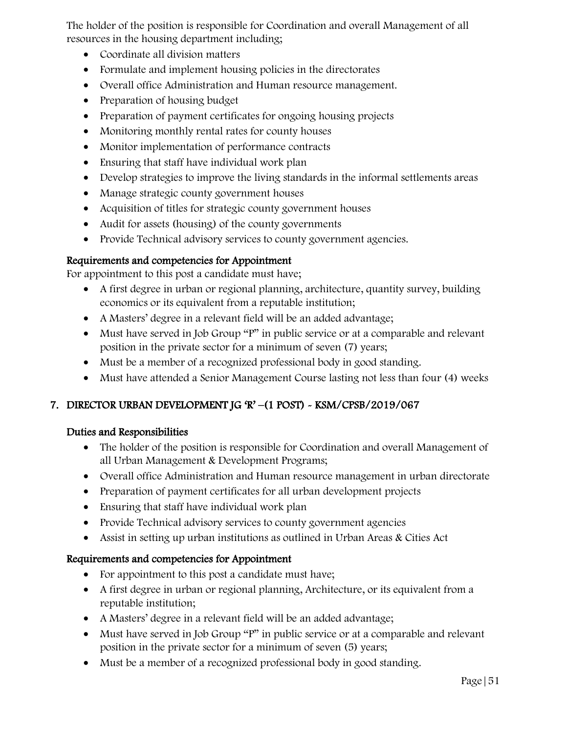The holder of the position is responsible for Coordination and overall Management of all resources in the housing department including;

- Coordinate all division matters
- Formulate and implement housing policies in the directorates
- Overall office Administration and Human resource management.
- Preparation of housing budget
- Preparation of payment certificates for ongoing housing projects
- Monitoring monthly rental rates for county houses
- Monitor implementation of performance contracts
- Ensuring that staff have individual work plan
- Develop strategies to improve the living standards in the informal settlements areas
- Manage strategic county government houses
- Acquisition of titles for strategic county government houses
- Audit for assets (housing) of the county governments
- Provide Technical advisory services to county government agencies.

### Requirements and competencies for Appointment

For appointment to this post a candidate must have;

- A first degree in urban or regional planning, architecture, quantity survey, building economics or its equivalent from a reputable institution;
- A Masters' degree in a relevant field will be an added advantage;
- Must have served in Job Group "P" in public service or at a comparable and relevant position in the private sector for a minimum of seven (7) years;
- Must be a member of a recognized professional body in good standing.
- Must have attended a Senior Management Course lasting not less than four (4) weeks

# 7. DIRECTOR URBAN DEVELOPMENT JG 'R' –(1 POST) - KSM/CPSB/2019/067

### Duties and Responsibilities

- The holder of the position is responsible for Coordination and overall Management of all Urban Management & Development Programs;
- Overall office Administration and Human resource management in urban directorate
- Preparation of payment certificates for all urban development projects
- Ensuring that staff have individual work plan
- Provide Technical advisory services to county government agencies
- Assist in setting up urban institutions as outlined in Urban Areas & Cities Act

- For appointment to this post a candidate must have;
- A first degree in urban or regional planning, Architecture, or its equivalent from a reputable institution;
- A Masters' degree in a relevant field will be an added advantage;
- Must have served in Job Group "P" in public service or at a comparable and relevant position in the private sector for a minimum of seven (5) years;
- Must be a member of a recognized professional body in good standing.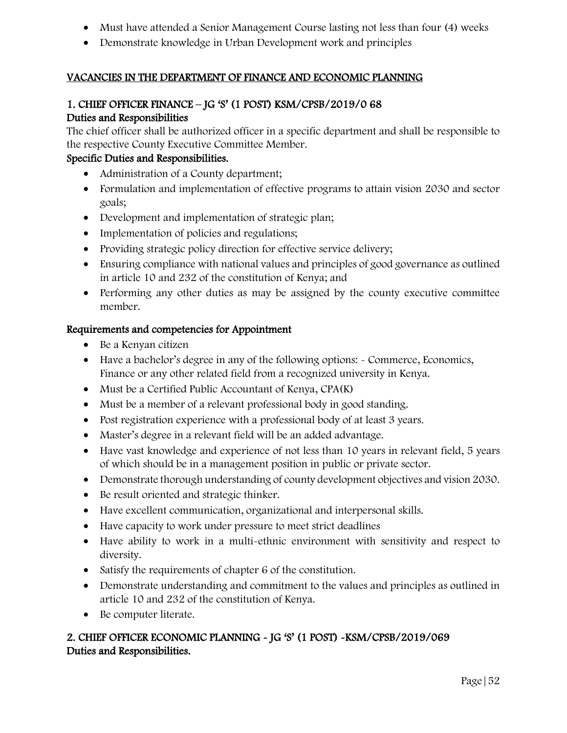- Must have attended a Senior Management Course lasting not less than four (4) weeks
- Demonstrate knowledge in Urban Development work and principles

### VACANCIES IN THE DEPARTMENT OF FINANCE AND ECONOMIC PLANNING

#### 1. CHIEF OFFICER FINANCE – JG 'S' (1 POST) KSM/CPSB/2019/0 68 Duties and Responsibilities

The chief officer shall be authorized officer in a specific department and shall be responsible to the respective County Executive Committee Member.

#### Specific Duties and Responsibilities.

- Administration of a County department;
- Formulation and implementation of effective programs to attain vision 2030 and sector goals;
- Development and implementation of strategic plan;
- Implementation of policies and regulations;
- Providing strategic policy direction for effective service delivery;
- Ensuring compliance with national values and principles of good governance as outlined in article 10 and 232 of the constitution of Kenya; and
- Performing any other duties as may be assigned by the county executive committee member.

#### Requirements and competencies for Appointment

- Be a Kenyan citizen
- Have a bachelor's degree in any of the following options: Commerce, Economics, Finance or any other related field from a recognized university in Kenya.
- Must be a Certified Public Accountant of Kenya, CPA(K)
- Must be a member of a relevant professional body in good standing.
- Post registration experience with a professional body of at least 3 years.
- Master's degree in a relevant field will be an added advantage.
- Have vast knowledge and experience of not less than 10 years in relevant field, 5 years of which should be in a management position in public or private sector.
- Demonstrate thorough understanding of county development objectives and vision 2030.
- Be result oriented and strategic thinker.
- Have excellent communication, organizational and interpersonal skills.
- Have capacity to work under pressure to meet strict deadlines
- Have ability to work in a multi-ethnic environment with sensitivity and respect to diversity.
- Satisfy the requirements of chapter 6 of the constitution.
- Demonstrate understanding and commitment to the values and principles as outlined in article 10 and 232 of the constitution of Kenya.
- Be computer literate.

# 2. CHIEF OFFICER ECONOMIC PLANNING - JG 'S' (1 POST) -KSM/CPSB/2019/069 Duties and Responsibilities.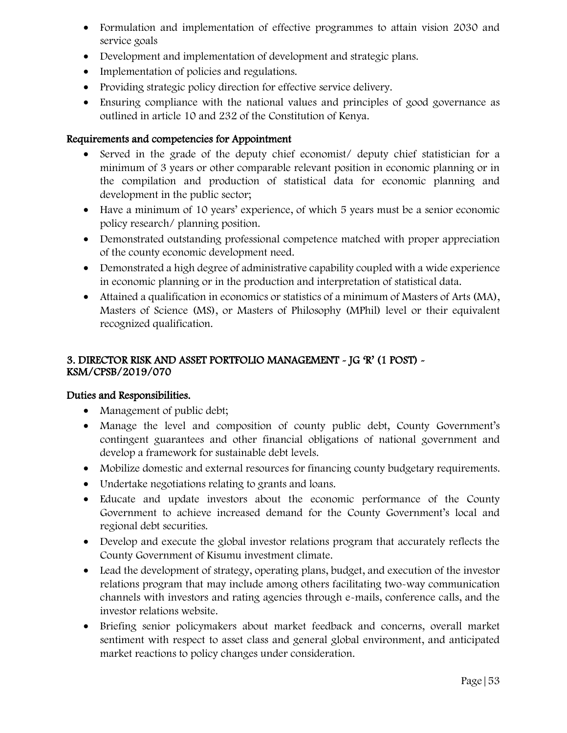- Formulation and implementation of effective programmes to attain vision 2030 and service goals
- Development and implementation of development and strategic plans.
- Implementation of policies and regulations.
- Providing strategic policy direction for effective service delivery.
- Ensuring compliance with the national values and principles of good governance as outlined in article 10 and 232 of the Constitution of Kenya.

- Served in the grade of the deputy chief economist/ deputy chief statistician for a minimum of 3 years or other comparable relevant position in economic planning or in the compilation and production of statistical data for economic planning and development in the public sector;
- Have a minimum of 10 years' experience, of which 5 years must be a senior economic policy research/ planning position.
- Demonstrated outstanding professional competence matched with proper appreciation of the county economic development need.
- Demonstrated a high degree of administrative capability coupled with a wide experience in economic planning or in the production and interpretation of statistical data.
- Attained a qualification in economics or statistics of a minimum of Masters of Arts (MA), Masters of Science (MS), or Masters of Philosophy (MPhil) level or their equivalent recognized qualification.

### 3. DIRECTOR RISK AND ASSET PORTFOLIO MANAGEMENT - JG 'R' (1 POST) - KSM/CPSB/2019/070

- Management of public debt;
- Manage the level and composition of county public debt, County Government's contingent guarantees and other financial obligations of national government and develop a framework for sustainable debt levels.
- Mobilize domestic and external resources for financing county budgetary requirements.
- Undertake negotiations relating to grants and loans.
- Educate and update investors about the economic performance of the County Government to achieve increased demand for the County Government's local and regional debt securities.
- Develop and execute the global investor relations program that accurately reflects the County Government of Kisumu investment climate.
- Lead the development of strategy, operating plans, budget, and execution of the investor relations program that may include among others facilitating two-way communication channels with investors and rating agencies through e-mails, conference calls, and the investor relations website.
- Briefing senior policymakers about market feedback and concerns, overall market sentiment with respect to asset class and general global environment, and anticipated market reactions to policy changes under consideration.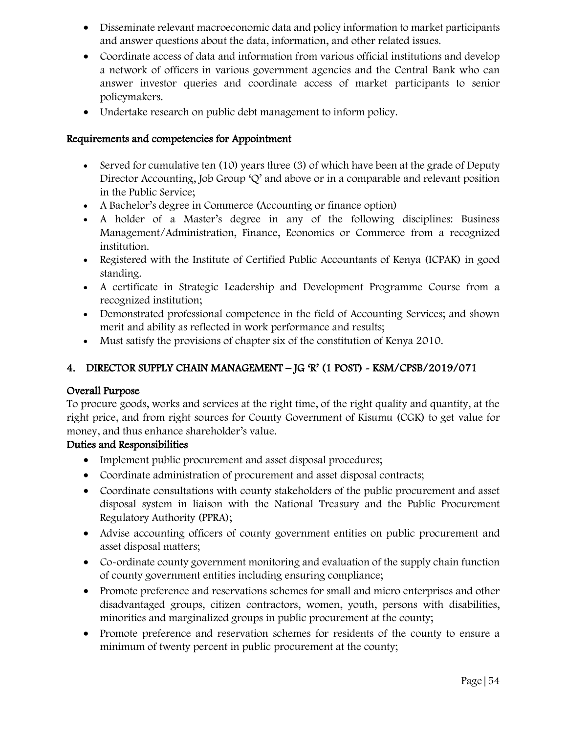- Disseminate relevant macroeconomic data and policy information to market participants and answer questions about the data, information, and other related issues.
- Coordinate access of data and information from various official institutions and develop a network of officers in various government agencies and the Central Bank who can answer investor queries and coordinate access of market participants to senior policymakers.
- Undertake research on public debt management to inform policy.

- Served for cumulative ten (10) years three (3) of which have been at the grade of Deputy Director Accounting, Job Group  $\mathcal{Q}'$  and above or in a comparable and relevant position in the Public Service;
- A Bachelor's degree in Commerce (Accounting or finance option)
- A holder of a Master's degree in any of the following disciplines: Business Management/Administration, Finance, Economics or Commerce from a recognized institution.
- Registered with the Institute of Certified Public Accountants of Kenya (ICPAK) in good standing.
- A certificate in Strategic Leadership and Development Programme Course from a recognized institution;
- Demonstrated professional competence in the field of Accounting Services; and shown merit and ability as reflected in work performance and results;
- Must satisfy the provisions of chapter six of the constitution of Kenya 2010.

# 4. DIRECTOR SUPPLY CHAIN MANAGEMENT – JG 'R' (1 POST) - KSM/CPSB/2019/071

### Overall Purpose

To procure goods, works and services at the right time, of the right quality and quantity, at the right price, and from right sources for County Government of Kisumu (CGK) to get value for money, and thus enhance shareholder's value.

- Implement public procurement and asset disposal procedures;
- Coordinate administration of procurement and asset disposal contracts;
- Coordinate consultations with county stakeholders of the public procurement and asset disposal system in liaison with the National Treasury and the Public Procurement Regulatory Authority (PPRA);
- Advise accounting officers of county government entities on public procurement and asset disposal matters;
- Co-ordinate county government monitoring and evaluation of the supply chain function of county government entities including ensuring compliance;
- Promote preference and reservations schemes for small and micro enterprises and other disadvantaged groups, citizen contractors, women, youth, persons with disabilities, minorities and marginalized groups in public procurement at the county;
- Promote preference and reservation schemes for residents of the county to ensure a minimum of twenty percent in public procurement at the county;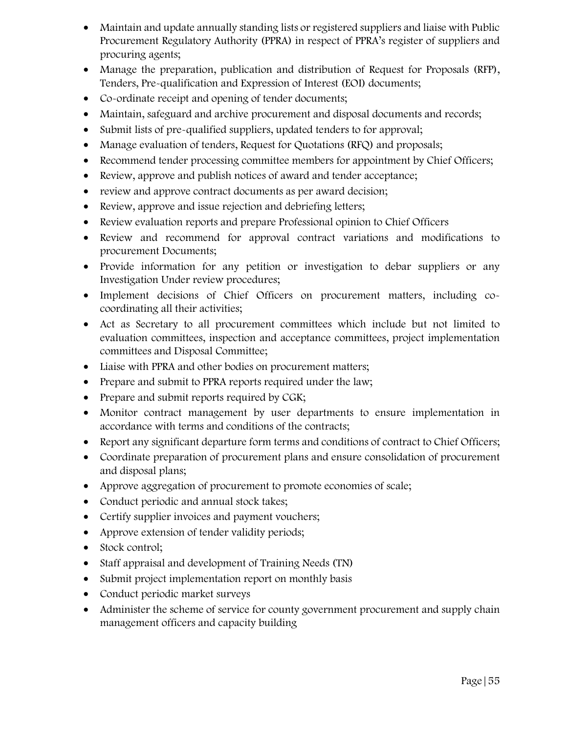- Maintain and update annually standing lists or registered suppliers and liaise with Public Procurement Regulatory Authority (PPRA) in respect of PPRA's register of suppliers and procuring agents;
- Manage the preparation, publication and distribution of Request for Proposals (RFP), Tenders, Pre-qualification and Expression of Interest (EOI) documents;
- Co-ordinate receipt and opening of tender documents;
- Maintain, safeguard and archive procurement and disposal documents and records;
- Submit lists of pre-qualified suppliers, updated tenders to for approval;
- Manage evaluation of tenders, Request for Quotations (RFQ) and proposals;
- Recommend tender processing committee members for appointment by Chief Officers;
- Review, approve and publish notices of award and tender acceptance;
- review and approve contract documents as per award decision;
- Review, approve and issue rejection and debriefing letters;
- Review evaluation reports and prepare Professional opinion to Chief Officers
- Review and recommend for approval contract variations and modifications to procurement Documents;
- Provide information for any petition or investigation to debar suppliers or any Investigation Under review procedures;
- Implement decisions of Chief Officers on procurement matters, including cocoordinating all their activities;
- Act as Secretary to all procurement committees which include but not limited to evaluation committees, inspection and acceptance committees, project implementation committees and Disposal Committee;
- Liaise with PPRA and other bodies on procurement matters;
- Prepare and submit to PPRA reports required under the law;
- Prepare and submit reports required by CGK;
- Monitor contract management by user departments to ensure implementation in accordance with terms and conditions of the contracts;
- Report any significant departure form terms and conditions of contract to Chief Officers;
- Coordinate preparation of procurement plans and ensure consolidation of procurement and disposal plans;
- Approve aggregation of procurement to promote economies of scale;
- Conduct periodic and annual stock takes;
- Certify supplier invoices and payment vouchers;
- Approve extension of tender validity periods;
- Stock control;
- Staff appraisal and development of Training Needs (TN)
- Submit project implementation report on monthly basis
- Conduct periodic market surveys
- Administer the scheme of service for county government procurement and supply chain management officers and capacity building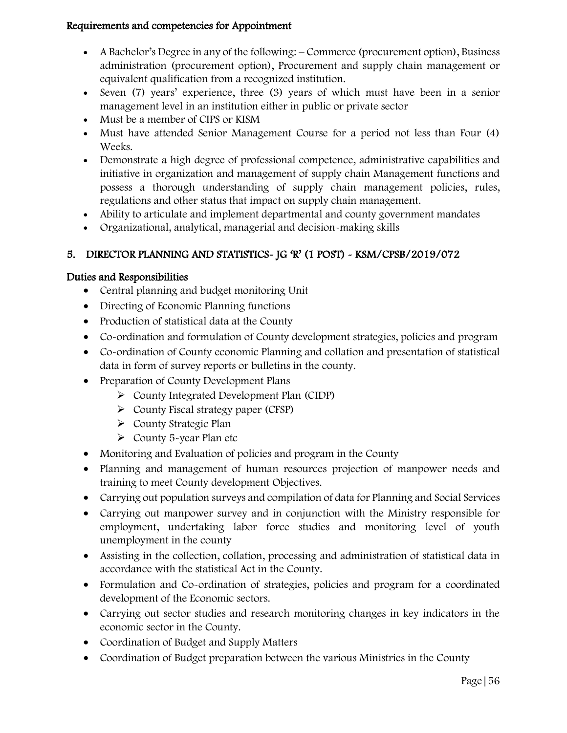- A Bachelor's Degree in any of the following: Commerce (procurement option), Business administration (procurement option), Procurement and supply chain management or equivalent qualification from a recognized institution.
- Seven (7) years' experience, three (3) years of which must have been in a senior management level in an institution either in public or private sector
- Must be a member of CIPS or KISM
- Must have attended Senior Management Course for a period not less than Four (4) Weeks.
- Demonstrate a high degree of professional competence, administrative capabilities and initiative in organization and management of supply chain Management functions and possess a thorough understanding of supply chain management policies, rules, regulations and other status that impact on supply chain management.
- Ability to articulate and implement departmental and county government mandates
- Organizational, analytical, managerial and decision-making skills

# 5. DIRECTOR PLANNING AND STATISTICS- JG 'R' (1 POST) - KSM/CPSB/2019/072

- Central planning and budget monitoring Unit
- Directing of Economic Planning functions
- Production of statistical data at the County
- Co-ordination and formulation of County development strategies, policies and program
- Co-ordination of County economic Planning and collation and presentation of statistical data in form of survey reports or bulletins in the county.
- Preparation of County Development Plans
	- County Integrated Development Plan (CIDP)
	- $\triangleright$  County Fiscal strategy paper (CFSP)
	- County Strategic Plan
	- $\triangleright$  County 5-year Plan etc
- Monitoring and Evaluation of policies and program in the County
- Planning and management of human resources projection of manpower needs and training to meet County development Objectives.
- Carrying out population surveys and compilation of data for Planning and Social Services
- Carrying out manpower survey and in conjunction with the Ministry responsible for employment, undertaking labor force studies and monitoring level of youth unemployment in the county
- Assisting in the collection, collation, processing and administration of statistical data in accordance with the statistical Act in the County.
- Formulation and Co-ordination of strategies, policies and program for a coordinated development of the Economic sectors.
- Carrying out sector studies and research monitoring changes in key indicators in the economic sector in the County.
- Coordination of Budget and Supply Matters
- Coordination of Budget preparation between the various Ministries in the County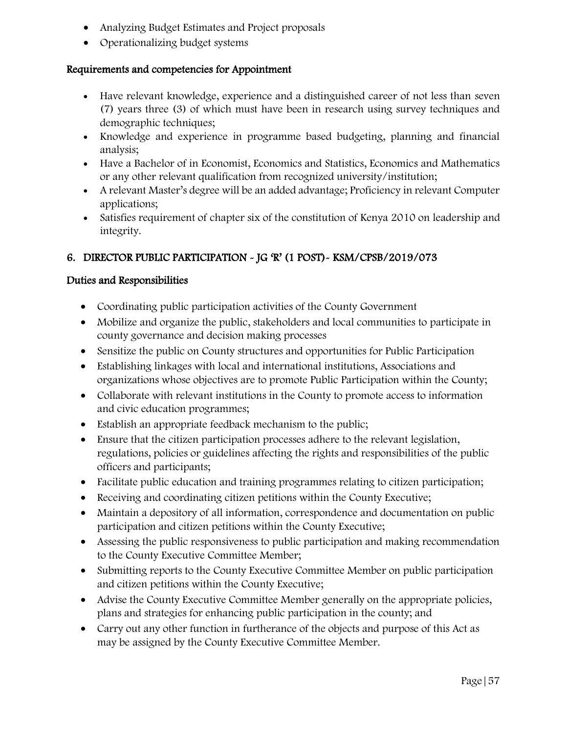- Analyzing Budget Estimates and Project proposals
- Operationalizing budget systems

- Have relevant knowledge, experience and a distinguished career of not less than seven (7) years three (3) of which must have been in research using survey techniques and demographic techniques;
- Knowledge and experience in programme based budgeting, planning and financial analysis;
- Have a Bachelor of in Economist, Economics and Statistics, Economics and Mathematics or any other relevant qualification from recognized university/institution;
- A relevant Master's degree will be an added advantage; Proficiency in relevant Computer applications;
- Satisfies requirement of chapter six of the constitution of Kenya 2010 on leadership and integrity.

# 6. DIRECTOR PUBLIC PARTICIPATION - JG 'R' (1 POST)- KSM/CPSB/2019/073

- Coordinating public participation activities of the County Government
- Mobilize and organize the public, stakeholders and local communities to participate in county governance and decision making processes
- Sensitize the public on County structures and opportunities for Public Participation
- Establishing linkages with local and international institutions, Associations and organizations whose objectives are to promote Public Participation within the County;
- Collaborate with relevant institutions in the County to promote access to information and civic education programmes;
- Establish an appropriate feedback mechanism to the public;
- Ensure that the citizen participation processes adhere to the relevant legislation, regulations, policies or guidelines affecting the rights and responsibilities of the public officers and participants;
- Facilitate public education and training programmes relating to citizen participation;
- Receiving and coordinating citizen petitions within the County Executive;
- Maintain a depository of all information, correspondence and documentation on public participation and citizen petitions within the County Executive;
- Assessing the public responsiveness to public participation and making recommendation to the County Executive Committee Member;
- Submitting reports to the County Executive Committee Member on public participation and citizen petitions within the County Executive;
- Advise the County Executive Committee Member generally on the appropriate policies, plans and strategies for enhancing public participation in the county; and
- Carry out any other function in furtherance of the objects and purpose of this Act as may be assigned by the County Executive Committee Member.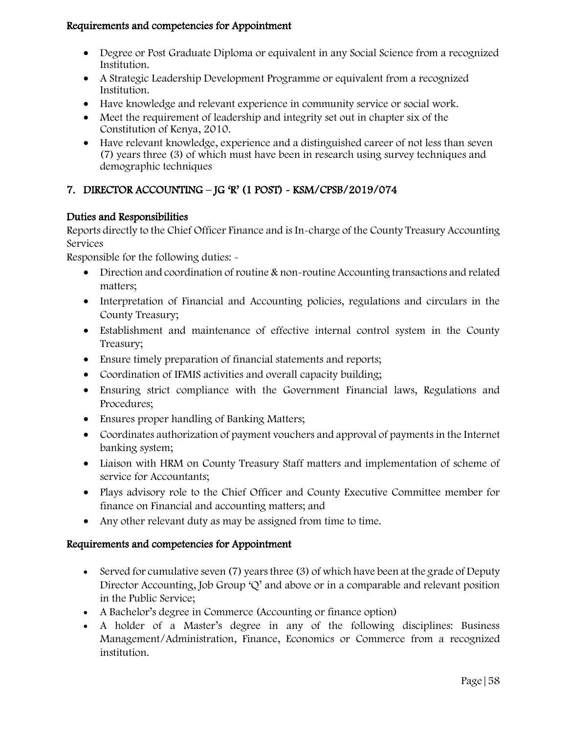- Degree or Post Graduate Diploma or equivalent in any Social Science from a recognized Institution.
- A Strategic Leadership Development Programme or equivalent from a recognized Institution.
- Have knowledge and relevant experience in community service or social work.
- Meet the requirement of leadership and integrity set out in chapter six of the Constitution of Kenya, 2010.
- Have relevant knowledge, experience and a distinguished career of not less than seven (7) years three (3) of which must have been in research using survey techniques and demographic techniques

# 7. DIRECTOR ACCOUNTING – JG 'R' (1 POST) - KSM/CPSB/2019/074

### Duties and Responsibilities

Reports directly to the Chief Officer Finance and is In-charge of the County Treasury Accounting Services

Responsible for the following duties: -

- Direction and coordination of routine & non-routine Accounting transactions and related matters;
- Interpretation of Financial and Accounting policies, regulations and circulars in the County Treasury;
- Establishment and maintenance of effective internal control system in the County Treasury;
- Ensure timely preparation of financial statements and reports;
- Coordination of IFMIS activities and overall capacity building;
- Ensuring strict compliance with the Government Financial laws, Regulations and Procedures;
- Ensures proper handling of Banking Matters;
- Coordinates authorization of payment vouchers and approval of payments in the Internet banking system;
- Liaison with HRM on County Treasury Staff matters and implementation of scheme of service for Accountants;
- Plays advisory role to the Chief Officer and County Executive Committee member for finance on Financial and accounting matters; and
- Any other relevant duty as may be assigned from time to time.

- Served for cumulative seven (7) years three (3) of which have been at the grade of Deputy Director Accounting, Job Group 'Q' and above or in a comparable and relevant position in the Public Service;
- A Bachelor's degree in Commerce (Accounting or finance option)
- A holder of a Master's degree in any of the following disciplines: Business Management/Administration, Finance, Economics or Commerce from a recognized institution.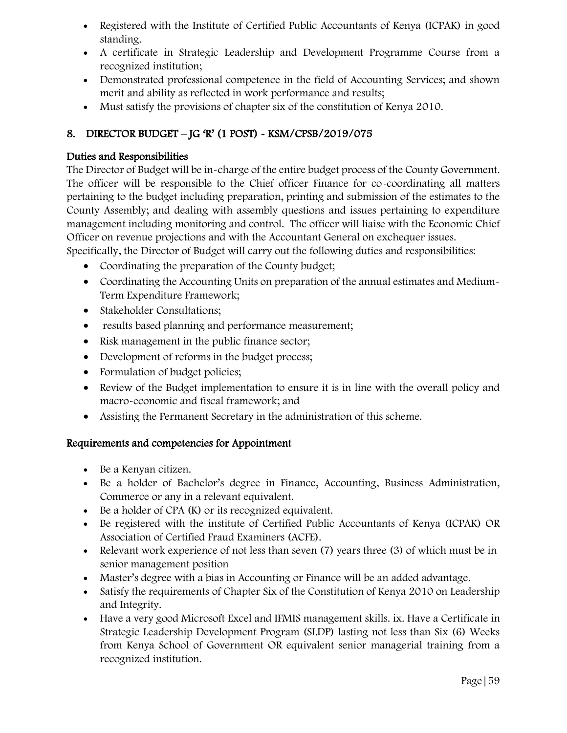- Registered with the Institute of Certified Public Accountants of Kenya (ICPAK) in good standing.
- A certificate in Strategic Leadership and Development Programme Course from a recognized institution;
- Demonstrated professional competence in the field of Accounting Services; and shown merit and ability as reflected in work performance and results;
- Must satisfy the provisions of chapter six of the constitution of Kenya 2010.

# 8. DIRECTOR BUDGET – JG 'R' (1 POST) - KSM/CPSB/2019/075

### Duties and Responsibilities

The Director of Budget will be in-charge of the entire budget process of the County Government. The officer will be responsible to the Chief officer Finance for co-coordinating all matters pertaining to the budget including preparation, printing and submission of the estimates to the County Assembly; and dealing with assembly questions and issues pertaining to expenditure management including monitoring and control. The officer will liaise with the Economic Chief Officer on revenue projections and with the Accountant General on exchequer issues.

Specifically, the Director of Budget will carry out the following duties and responsibilities:

- Coordinating the preparation of the County budget;
- Coordinating the Accounting Units on preparation of the annual estimates and Medium-Term Expenditure Framework;
- Stakeholder Consultations;
- results based planning and performance measurement;
- Risk management in the public finance sector;
- Development of reforms in the budget process;
- Formulation of budget policies;
- Review of the Budget implementation to ensure it is in line with the overall policy and macro-economic and fiscal framework; and
- Assisting the Permanent Secretary in the administration of this scheme.

- Be a Kenyan citizen.
- Be a holder of Bachelor's degree in Finance, Accounting, Business Administration, Commerce or any in a relevant equivalent.
- $\bullet$  Be a holder of CPA (K) or its recognized equivalent.
- Be registered with the institute of Certified Public Accountants of Kenya (ICPAK) OR Association of Certified Fraud Examiners (ACFE).
- Relevant work experience of not less than seven (7) years three (3) of which must be in senior management position
- Master's degree with a bias in Accounting or Finance will be an added advantage.
- Satisfy the requirements of Chapter Six of the Constitution of Kenya 2010 on Leadership and Integrity.
- Have a very good Microsoft Excel and IFMIS management skills. ix. Have a Certificate in Strategic Leadership Development Program (SLDP) lasting not less than Six (6) Weeks from Kenya School of Government OR equivalent senior managerial training from a recognized institution.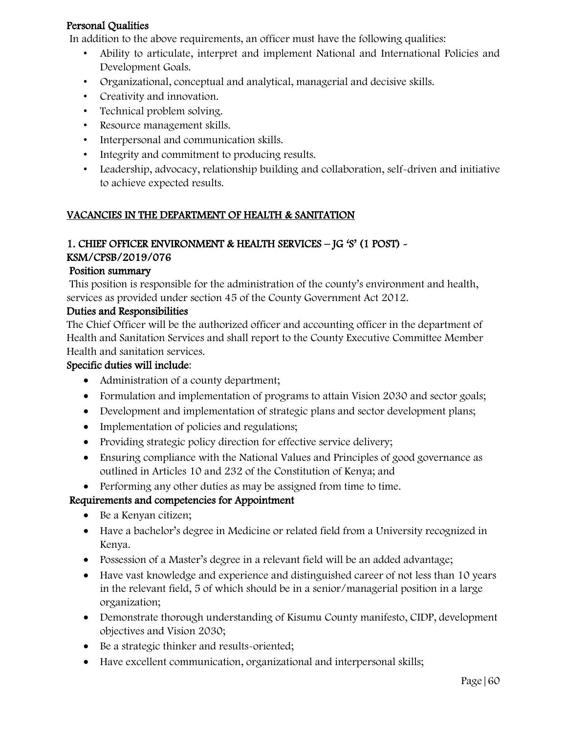### Personal Qualities

In addition to the above requirements, an officer must have the following qualities:

- Ability to articulate, interpret and implement National and International Policies and Development Goals.
- Organizational, conceptual and analytical, managerial and decisive skills.
- Creativity and innovation.
- Technical problem solving.
- Resource management skills.
- Interpersonal and communication skills.
- Integrity and commitment to producing results.
- Leadership, advocacy, relationship building and collaboration, self-driven and initiative to achieve expected results.

# VACANCIES IN THE DEPARTMENT OF HEALTH & SANITATION

### 1. CHIEF OFFICER ENVIRONMENT & HEALTH SERVICES – JG 'S' (1 POST) -

### KSM/CPSB/2019/076

#### Position summary

This position is responsible for the administration of the county's environment and health, services as provided under section 45 of the County Government Act 2012.

#### Duties and Responsibilities

The Chief Officer will be the authorized officer and accounting officer in the department of Health and Sanitation Services and shall report to the County Executive Committee Member Health and sanitation services.

#### Specific duties will include:

- Administration of a county department;
- Formulation and implementation of programs to attain Vision 2030 and sector goals;
- Development and implementation of strategic plans and sector development plans;
- Implementation of policies and regulations;
- Providing strategic policy direction for effective service delivery;
- Ensuring compliance with the National Values and Principles of good governance as outlined in Articles 10 and 232 of the Constitution of Kenya; and
- Performing any other duties as may be assigned from time to time.

- Be a Kenyan citizen;
- Have a bachelor's degree in Medicine or related field from a University recognized in Kenya.
- Possession of a Master's degree in a relevant field will be an added advantage;
- Have vast knowledge and experience and distinguished career of not less than 10 years in the relevant field, 5 of which should be in a senior/managerial position in a large organization;
- Demonstrate thorough understanding of Kisumu County manifesto, CIDP, development objectives and Vision 2030;
- Be a strategic thinker and results-oriented;
- Have excellent communication, organizational and interpersonal skills;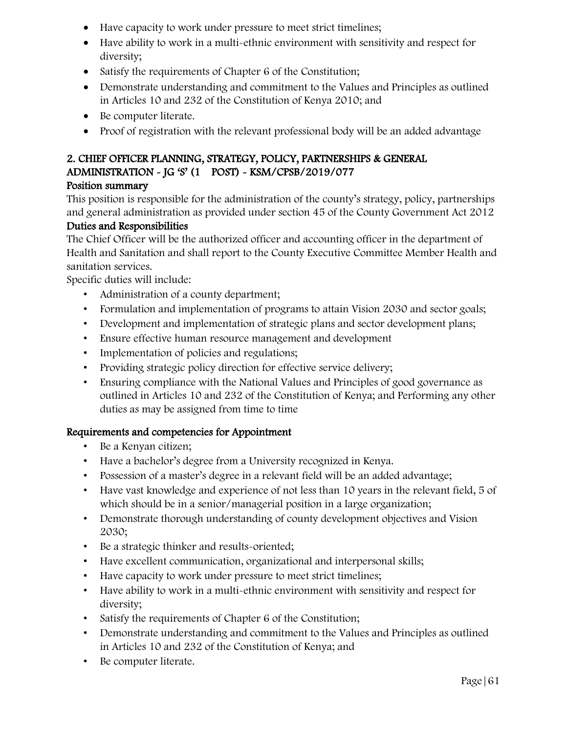- Have capacity to work under pressure to meet strict timelines;
- Have ability to work in a multi-ethnic environment with sensitivity and respect for diversity;
- Satisfy the requirements of Chapter 6 of the Constitution;
- Demonstrate understanding and commitment to the Values and Principles as outlined in Articles 10 and 232 of the Constitution of Kenya 2010; and
- Be computer literate.
- Proof of registration with the relevant professional body will be an added advantage

# 2. CHIEF OFFICER PLANNING, STRATEGY, POLICY, PARTNERSHIPS & GENERAL ADMINISTRATION - JG 'S' (1 POST) - KSM/CPSB/2019/077

### Position summary

This position is responsible for the administration of the county's strategy, policy, partnerships and general administration as provided under section 45 of the County Government Act 2012

# Duties and Responsibilities

The Chief Officer will be the authorized officer and accounting officer in the department of Health and Sanitation and shall report to the County Executive Committee Member Health and sanitation services.

Specific duties will include:

- Administration of a county department;
- Formulation and implementation of programs to attain Vision 2030 and sector goals;
- Development and implementation of strategic plans and sector development plans;
- Ensure effective human resource management and development
- Implementation of policies and regulations;
- Providing strategic policy direction for effective service delivery;
- Ensuring compliance with the National Values and Principles of good governance as outlined in Articles 10 and 232 of the Constitution of Kenya; and Performing any other duties as may be assigned from time to time

- Be a Kenyan citizen;
- Have a bachelor's degree from a University recognized in Kenya.
- Possession of a master's degree in a relevant field will be an added advantage;
- Have vast knowledge and experience of not less than 10 years in the relevant field, 5 of which should be in a senior/managerial position in a large organization;
- Demonstrate thorough understanding of county development objectives and Vision 2030;
- Be a strategic thinker and results-oriented;
- Have excellent communication, organizational and interpersonal skills;
- Have capacity to work under pressure to meet strict timelines;
- Have ability to work in a multi-ethnic environment with sensitivity and respect for diversity;
- Satisfy the requirements of Chapter 6 of the Constitution;
- Demonstrate understanding and commitment to the Values and Principles as outlined in Articles 10 and 232 of the Constitution of Kenya; and
- Be computer literate.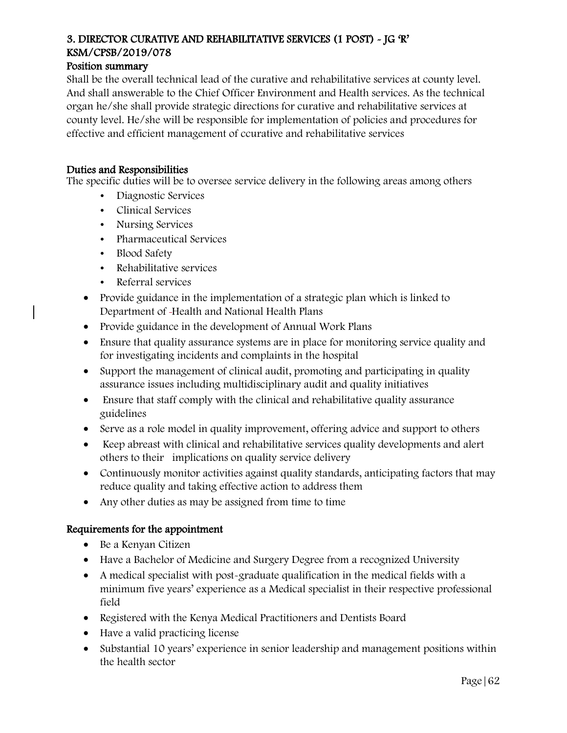# 3. DIRECTOR CURATIVE AND REHABILITATIVE SERVICES (1 POST) - JG 'R' KSM/CPSB/2019/078

### Position summary

Shall be the overall technical lead of the curative and rehabilitative services at county level. And shall answerable to the Chief Officer Environment and Health services. As the technical organ he/she shall provide strategic directions for curative and rehabilitative services at county level. He/she will be responsible for implementation of policies and procedures for effective and efficient management of ccurative and rehabilitative services

#### Duties and Responsibilities

The specific duties will be to oversee service delivery in the following areas among others

- Diagnostic Services
- Clinical Services
- Nursing Services
- Pharmaceutical Services
- Blood Safety
- Rehabilitative services
- Referral services
- Provide guidance in the implementation of a strategic plan which is linked to Department of Health and National Health Plans
- Provide guidance in the development of Annual Work Plans
- Ensure that quality assurance systems are in place for monitoring service quality and for investigating incidents and complaints in the hospital
- Support the management of clinical audit, promoting and participating in quality assurance issues including multidisciplinary audit and quality initiatives
- Ensure that staff comply with the clinical and rehabilitative quality assurance guidelines
- Serve as a role model in quality improvement, offering advice and support to others
- Keep abreast with clinical and rehabilitative services quality developments and alert others to their implications on quality service delivery
- Continuously monitor activities against quality standards, anticipating factors that may reduce quality and taking effective action to address them
- Any other duties as may be assigned from time to time

### Requirements for the appointment

- Be a Kenyan Citizen
- Have a Bachelor of Medicine and Surgery Degree from a recognized University
- A medical specialist with post-graduate qualification in the medical fields with a minimum five years' experience as a Medical specialist in their respective professional field
- Registered with the Kenya Medical Practitioners and Dentists Board
- Have a valid practicing license
- Substantial 10 years' experience in senior leadership and management positions within the health sector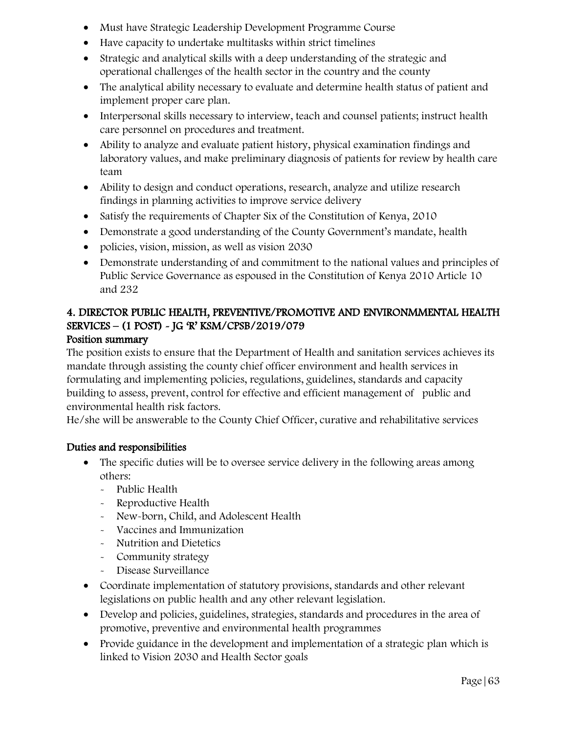- Must have Strategic Leadership Development Programme Course
- Have capacity to undertake multitasks within strict timelines
- Strategic and analytical skills with a deep understanding of the strategic and operational challenges of the health sector in the country and the county
- The analytical ability necessary to evaluate and determine health status of patient and implement proper care plan.
- Interpersonal skills necessary to interview, teach and counsel patients; instruct health care personnel on procedures and treatment.
- Ability to analyze and evaluate patient history, physical examination findings and laboratory values, and make preliminary diagnosis of patients for review by health care team
- Ability to design and conduct operations, research, analyze and utilize research findings in planning activities to improve service delivery
- Satisfy the requirements of Chapter Six of the Constitution of Kenya, 2010
- Demonstrate a good understanding of the County Government's mandate, health
- policies, vision, mission, as well as vision 2030
- Demonstrate understanding of and commitment to the national values and principles of Public Service Governance as espoused in the Constitution of Kenya 2010 Article 10 and 232

# 4. DIRECTOR PUBLIC HEALTH, PREVENTIVE/PROMOTIVE AND ENVIRONMMENTAL HEALTH SERVICES – (1 POST) - JG 'R' KSM/CPSB/2019/079

### Position summary

The position exists to ensure that the Department of Health and sanitation services achieves its mandate through assisting the county chief officer environment and health services in formulating and implementing policies, regulations, guidelines, standards and capacity building to assess, prevent, control for effective and efficient management of public and environmental health risk factors.

He/she will be answerable to the County Chief Officer, curative and rehabilitative services

- The specific duties will be to oversee service delivery in the following areas among others:
	- Public Health
	- Reproductive Health
	- New-born, Child, and Adolescent Health
	- Vaccines and Immunization
	- Nutrition and Dietetics
	- Community strategy
	- Disease Surveillance
- Coordinate implementation of statutory provisions, standards and other relevant legislations on public health and any other relevant legislation.
- Develop and policies, guidelines, strategies, standards and procedures in the area of promotive, preventive and environmental health programmes
- Provide guidance in the development and implementation of a strategic plan which is linked to Vision 2030 and Health Sector goals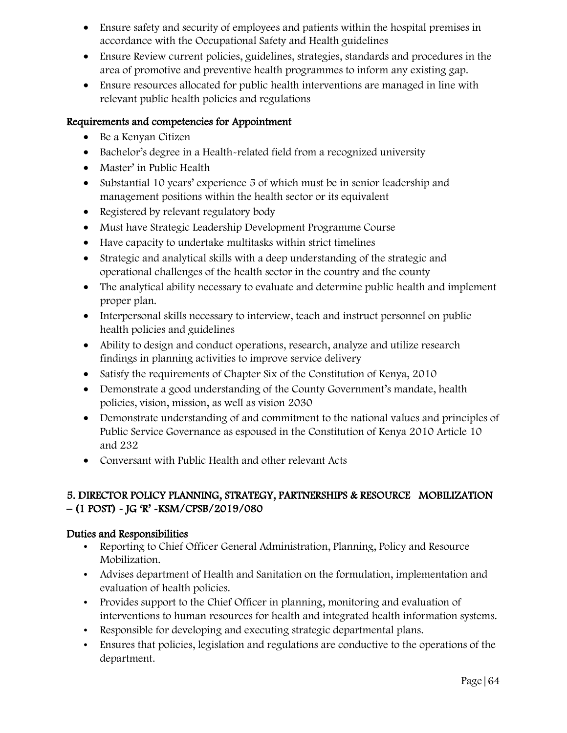- Ensure safety and security of employees and patients within the hospital premises in accordance with the Occupational Safety and Health guidelines
- Ensure Review current policies, guidelines, strategies, standards and procedures in the area of promotive and preventive health programmes to inform any existing gap.
- Ensure resources allocated for public health interventions are managed in line with relevant public health policies and regulations

- Be a Kenyan Citizen
- Bachelor's degree in a Health-related field from a recognized university
- Master' in Public Health
- Substantial 10 years' experience 5 of which must be in senior leadership and management positions within the health sector or its equivalent
- Registered by relevant regulatory body
- Must have Strategic Leadership Development Programme Course
- Have capacity to undertake multitasks within strict timelines
- Strategic and analytical skills with a deep understanding of the strategic and operational challenges of the health sector in the country and the county
- The analytical ability necessary to evaluate and determine public health and implement proper plan.
- Interpersonal skills necessary to interview, teach and instruct personnel on public health policies and guidelines
- Ability to design and conduct operations, research, analyze and utilize research findings in planning activities to improve service delivery
- Satisfy the requirements of Chapter Six of the Constitution of Kenya, 2010
- Demonstrate a good understanding of the County Government's mandate, health policies, vision, mission, as well as vision 2030
- Demonstrate understanding of and commitment to the national values and principles of Public Service Governance as espoused in the Constitution of Kenya 2010 Article 10 and 232
- Conversant with Public Health and other relevant Acts

### 5. DIRECTOR POLICY PLANNING, STRATEGY, PARTNERSHIPS & RESOURCE MOBILIZATION – (1 POST) - JG 'R' -KSM/CPSB/2019/080

- Reporting to Chief Officer General Administration, Planning, Policy and Resource Mobilization.
- Advises department of Health and Sanitation on the formulation, implementation and evaluation of health policies.
- Provides support to the Chief Officer in planning, monitoring and evaluation of interventions to human resources for health and integrated health information systems.
- Responsible for developing and executing strategic departmental plans.
- Ensures that policies, legislation and regulations are conductive to the operations of the department.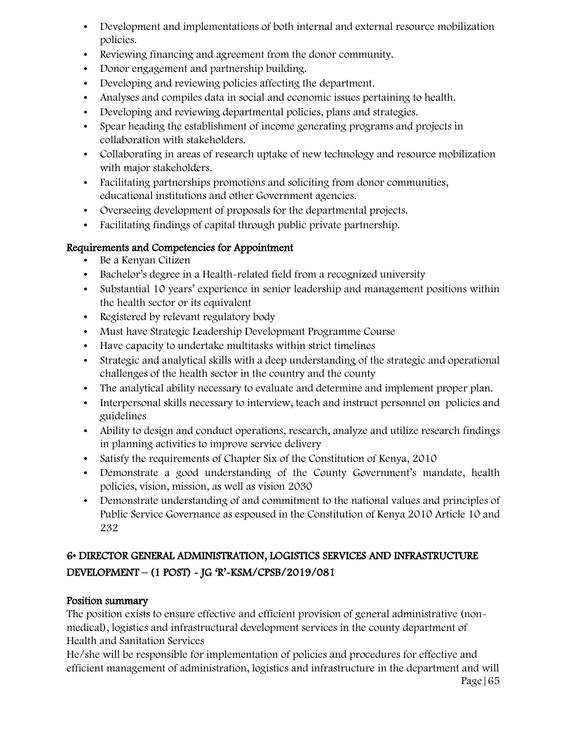- Development and implementations of both internal and external resource mobilization policies.
- Reviewing financing and agreement from the donor community.
- Donor engagement and partnership building.
- Developing and reviewing policies affecting the department.
- Analyses and compiles data in social and economic issues pertaining to health.
- Developing and reviewing departmental policies, plans and strategies.
- Spear heading the establishment of income generating programs and projects in collaboration with stakeholders.
- Collaborating in areas of research uptake of new technology and resource mobilization with major stakeholders.
- Facilitating partnerships promotions and soliciting from donor communities, educational institutions and other Government agencies.
- Overseeing development of proposals for the departmental projects.
- Facilitating findings of capital through public private partnership.

- Be a Kenyan Citizen
- Bachelor's degree in a Health-related field from a recognized university
- Substantial 10 years' experience in senior leadership and management positions within the health sector or its equivalent
- Registered by relevant regulatory body
- Must have Strategic Leadership Development Programme Course
- Have capacity to undertake multitasks within strict timelines
- Strategic and analytical skills with a deep understanding of the strategic and operational challenges of the health sector in the country and the county
- The analytical ability necessary to evaluate and determine and implement proper plan.
- Interpersonal skills necessary to interview, teach and instruct personnel on policies and guidelines
- Ability to design and conduct operations, research, analyze and utilize research findings in planning activities to improve service delivery
- Satisfy the requirements of Chapter Six of the Constitution of Kenya, 2010
- Demonstrate a good understanding of the County Government's mandate, health policies, vision, mission, as well as vision 2030
- Demonstrate understanding of and commitment to the national values and principles of Public Service Governance as espoused in the Constitution of Kenya 2010 Article 10 and 232

# 6• DIRECTOR GENERAL ADMINISTRATION, LOGISTICS SERVICES AND INFRASTRUCTURE DEVELOPMENT – (1 POST) - JG 'R'-KSM/CPSB/2019/081

### Position summary

The position exists to ensure effective and efficient provision of general administrative (nonmedical), logistics and infrastructural development services in the county department of Health and Sanitation Services

He/she will be responsible for implementation of policies and procedures for effective and efficient management of administration, logistics and infrastructure in the department and will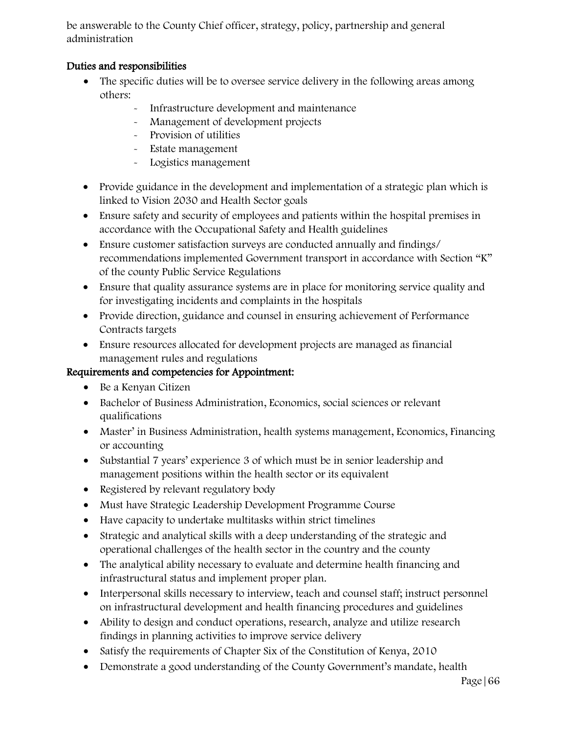be answerable to the County Chief officer, strategy, policy, partnership and general administration

### Duties and responsibilities

- The specific duties will be to oversee service delivery in the following areas among others:
	- Infrastructure development and maintenance
	- Management of development projects
	- Provision of utilities
	- Estate management
	- Logistics management
- Provide guidance in the development and implementation of a strategic plan which is linked to Vision 2030 and Health Sector goals
- Ensure safety and security of employees and patients within the hospital premises in accordance with the Occupational Safety and Health guidelines
- Ensure customer satisfaction surveys are conducted annually and findings/ recommendations implemented Government transport in accordance with Section "K" of the county Public Service Regulations
- Ensure that quality assurance systems are in place for monitoring service quality and for investigating incidents and complaints in the hospitals
- Provide direction, guidance and counsel in ensuring achievement of Performance Contracts targets
- Ensure resources allocated for development projects are managed as financial management rules and regulations

- Be a Kenyan Citizen
- Bachelor of Business Administration, Economics, social sciences or relevant qualifications
- Master' in Business Administration, health systems management, Economics, Financing or accounting
- Substantial 7 years' experience 3 of which must be in senior leadership and management positions within the health sector or its equivalent
- Registered by relevant regulatory body
- Must have Strategic Leadership Development Programme Course
- Have capacity to undertake multitasks within strict timelines
- Strategic and analytical skills with a deep understanding of the strategic and operational challenges of the health sector in the country and the county
- The analytical ability necessary to evaluate and determine health financing and infrastructural status and implement proper plan.
- Interpersonal skills necessary to interview, teach and counsel staff; instruct personnel on infrastructural development and health financing procedures and guidelines
- Ability to design and conduct operations, research, analyze and utilize research findings in planning activities to improve service delivery
- Satisfy the requirements of Chapter Six of the Constitution of Kenya, 2010
- Demonstrate a good understanding of the County Government's mandate, health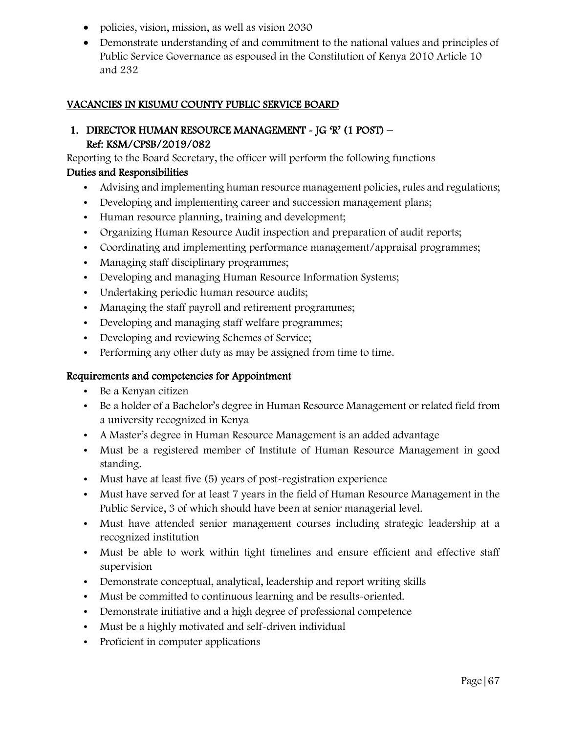- policies, vision, mission, as well as vision 2030
- Demonstrate understanding of and commitment to the national values and principles of Public Service Governance as espoused in the Constitution of Kenya 2010 Article 10 and 232

#### VACANCIES IN KISUMU COUNTY PUBLIC SERVICE BOARD

### 1. DIRECTOR HUMAN RESOURCE MANAGEMENT - JG 'R' (1 POST) – Ref: KSM/CPSB/2019/082

Reporting to the Board Secretary, the officer will perform the following functions

#### Duties and Responsibilities

- Advising and implementing human resource management policies, rules and regulations;
- Developing and implementing career and succession management plans;
- Human resource planning, training and development;
- Organizing Human Resource Audit inspection and preparation of audit reports;
- Coordinating and implementing performance management/appraisal programmes;
- Managing staff disciplinary programmes;
- Developing and managing Human Resource Information Systems;
- Undertaking periodic human resource audits;
- Managing the staff payroll and retirement programmes;
- Developing and managing staff welfare programmes;
- Developing and reviewing Schemes of Service;
- Performing any other duty as may be assigned from time to time.

- Be a Kenyan citizen
- Be a holder of a Bachelor's degree in Human Resource Management or related field from a university recognized in Kenya
- A Master's degree in Human Resource Management is an added advantage
- Must be a registered member of Institute of Human Resource Management in good standing.
- Must have at least five (5) years of post-registration experience
- Must have served for at least 7 years in the field of Human Resource Management in the Public Service, 3 of which should have been at senior managerial level.
- Must have attended senior management courses including strategic leadership at a recognized institution
- Must be able to work within tight timelines and ensure efficient and effective staff supervision
- Demonstrate conceptual, analytical, leadership and report writing skills
- Must be committed to continuous learning and be results-oriented.
- Demonstrate initiative and a high degree of professional competence
- Must be a highly motivated and self-driven individual
- Proficient in computer applications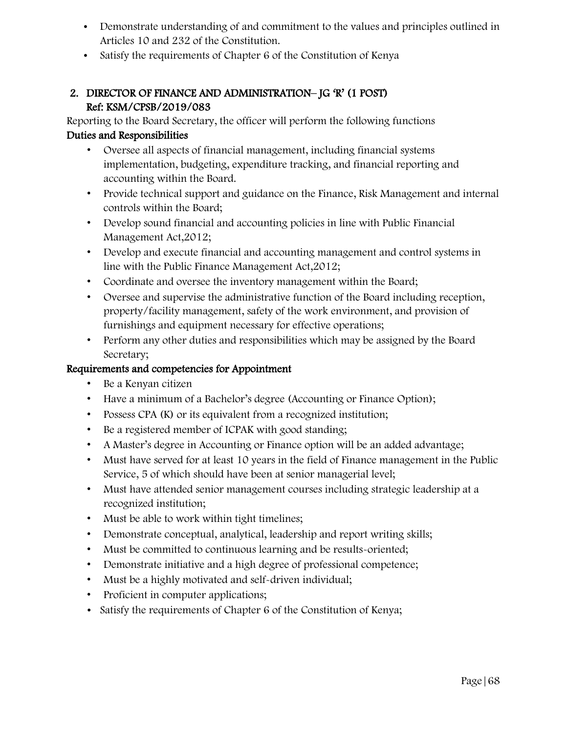- Demonstrate understanding of and commitment to the values and principles outlined in Articles 10 and 232 of the Constitution.
- Satisfy the requirements of Chapter 6 of the Constitution of Kenya

### 2. DIRECTOR OF FINANCE AND ADMINISTRATION– JG 'R' (1 POST) Ref: KSM/CPSB/2019/083

Reporting to the Board Secretary, the officer will perform the following functions Duties and Responsibilities

- Oversee all aspects of financial management, including financial systems implementation, budgeting, expenditure tracking, and financial reporting and accounting within the Board.
- Provide technical support and guidance on the Finance, Risk Management and internal controls within the Board;
- Develop sound financial and accounting policies in line with Public Financial Management Act,2012;
- Develop and execute financial and accounting management and control systems in line with the Public Finance Management Act,2012;
- Coordinate and oversee the inventory management within the Board;
- Oversee and supervise the administrative function of the Board including reception, property/facility management, safety of the work environment, and provision of furnishings and equipment necessary for effective operations;
- Perform any other duties and responsibilities which may be assigned by the Board Secretary;

- Be a Kenyan citizen
- Have a minimum of a Bachelor's degree (Accounting or Finance Option);
- Possess CPA (K) or its equivalent from a recognized institution;
- Be a registered member of ICPAK with good standing;
- A Master's degree in Accounting or Finance option will be an added advantage;
- Must have served for at least 10 years in the field of Finance management in the Public Service, 5 of which should have been at senior managerial level;
- Must have attended senior management courses including strategic leadership at a recognized institution;
- Must be able to work within tight timelines;
- Demonstrate conceptual, analytical, leadership and report writing skills;
- Must be committed to continuous learning and be results-oriented;
- Demonstrate initiative and a high degree of professional competence;
- Must be a highly motivated and self-driven individual;
- Proficient in computer applications;
- Satisfy the requirements of Chapter 6 of the Constitution of Kenya;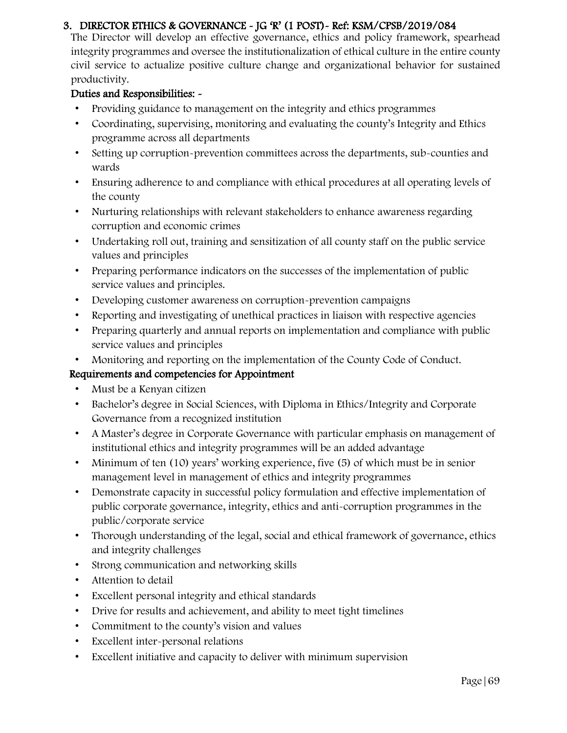### 3. DIRECTOR ETHICS & GOVERNANCE - JG 'R' (1 POST)- Ref: KSM/CPSB/2019/084

The Director will develop an effective governance, ethics and policy framework, spearhead integrity programmes and oversee the institutionalization of ethical culture in the entire county civil service to actualize positive culture change and organizational behavior for sustained productivity.

### Duties and Responsibilities: -

- Providing guidance to management on the integrity and ethics programmes
- Coordinating, supervising, monitoring and evaluating the county's Integrity and Ethics programme across all departments
- Setting up corruption-prevention committees across the departments, sub-counties and wards
- Ensuring adherence to and compliance with ethical procedures at all operating levels of the county
- Nurturing relationships with relevant stakeholders to enhance awareness regarding corruption and economic crimes
- Undertaking roll out, training and sensitization of all county staff on the public service values and principles
- Preparing performance indicators on the successes of the implementation of public service values and principles.
- Developing customer awareness on corruption-prevention campaigns
- Reporting and investigating of unethical practices in liaison with respective agencies
- Preparing quarterly and annual reports on implementation and compliance with public service values and principles
- Monitoring and reporting on the implementation of the County Code of Conduct.

- Must be a Kenyan citizen
- Bachelor's degree in Social Sciences, with Diploma in Ethics/Integrity and Corporate Governance from a recognized institution
- A Master's degree in Corporate Governance with particular emphasis on management of institutional ethics and integrity programmes will be an added advantage
- Minimum of ten (10) years' working experience, five (5) of which must be in senior management level in management of ethics and integrity programmes
- Demonstrate capacity in successful policy formulation and effective implementation of public corporate governance, integrity, ethics and anti-corruption programmes in the public/corporate service
- Thorough understanding of the legal, social and ethical framework of governance, ethics and integrity challenges
- Strong communication and networking skills
- Attention to detail
- Excellent personal integrity and ethical standards
- Drive for results and achievement, and ability to meet tight timelines
- Commitment to the county's vision and values
- Excellent inter-personal relations
- Excellent initiative and capacity to deliver with minimum supervision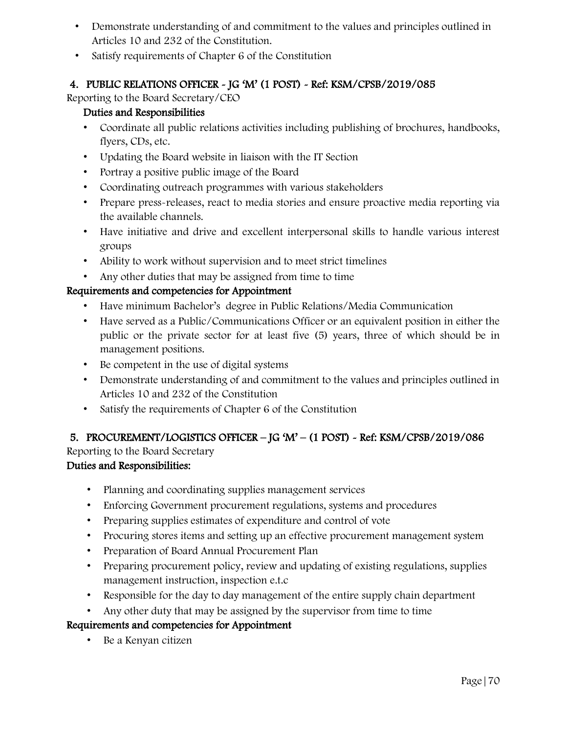- Demonstrate understanding of and commitment to the values and principles outlined in Articles 10 and 232 of the Constitution.
- Satisfy requirements of Chapter 6 of the Constitution

# 4. PUBLIC RELATIONS OFFICER - JG 'M' (1 POST) - Ref: KSM/CPSB/2019/085

Reporting to the Board Secretary/CEO

### Duties and Responsibilities

- Coordinate all public relations activities including publishing of brochures, handbooks, flyers, CDs, etc.
- Updating the Board website in liaison with the IT Section
- Portray a positive public image of the Board
- Coordinating outreach programmes with various stakeholders
- Prepare press-releases, react to media stories and ensure proactive media reporting via the available channels.
- Have initiative and drive and excellent interpersonal skills to handle various interest groups
- Ability to work without supervision and to meet strict timelines
- Any other duties that may be assigned from time to time

### Requirements and competencies for Appointment

- Have minimum Bachelor's degree in Public Relations/Media Communication
- Have served as a Public/Communications Officer or an equivalent position in either the public or the private sector for at least five (5) years, three of which should be in management positions.
- Be competent in the use of digital systems
- Demonstrate understanding of and commitment to the values and principles outlined in Articles 10 and 232 of the Constitution
- Satisfy the requirements of Chapter 6 of the Constitution

# 5. PROCUREMENT/LOGISTICS OFFICER – JG 'M' – (1 POST) - Ref: KSM/CPSB/2019/086

Reporting to the Board Secretary

### Duties and Responsibilities:

- Planning and coordinating supplies management services
- Enforcing Government procurement regulations, systems and procedures
- Preparing supplies estimates of expenditure and control of vote
- Procuring stores items and setting up an effective procurement management system
- Preparation of Board Annual Procurement Plan
- Preparing procurement policy, review and updating of existing regulations, supplies management instruction, inspection e.t.c
- Responsible for the day to day management of the entire supply chain department
- Any other duty that may be assigned by the supervisor from time to time

### Requirements and competencies for Appointment

• Be a Kenyan citizen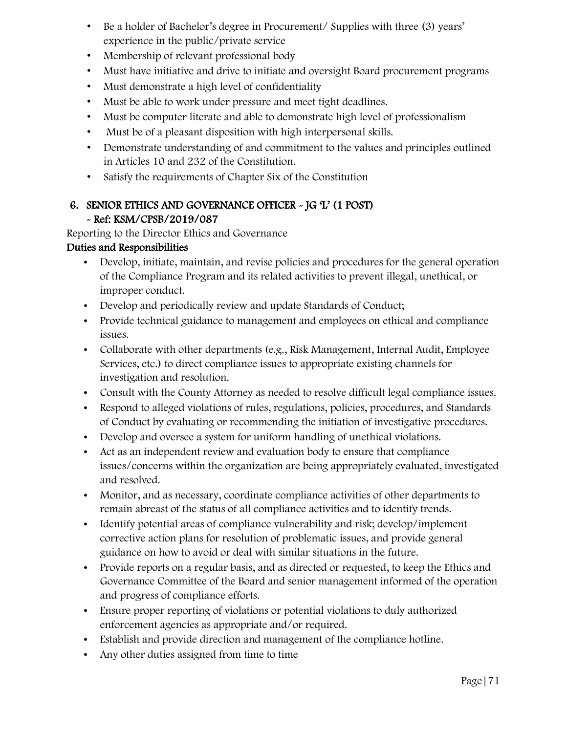- Be a holder of Bachelor's degree in Procurement/ Supplies with three (3) years' experience in the public/private service
- Membership of relevant professional body
- Must have initiative and drive to initiate and oversight Board procurement programs
- Must demonstrate a high level of confidentiality
- Must be able to work under pressure and meet tight deadlines.
- Must be computer literate and able to demonstrate high level of professionalism
- Must be of a pleasant disposition with high interpersonal skills.
- Demonstrate understanding of and commitment to the values and principles outlined in Articles 10 and 232 of the Constitution.
- Satisfy the requirements of Chapter Six of the Constitution

# 6. SENIOR ETHICS AND GOVERNANCE OFFICER - JG 'L' (1 POST) - Ref: KSM/CPSB/2019/087

Reporting to the Director Ethics and Governance

- Develop, initiate, maintain, and revise policies and procedures for the general operation of the Compliance Program and its related activities to prevent illegal, unethical, or improper conduct.
- Develop and periodically review and update Standards of Conduct;
- Provide technical guidance to management and employees on ethical and compliance issues.
- Collaborate with other departments (e.g., Risk Management, Internal Audit, Employee Services, etc.) to direct compliance issues to appropriate existing channels for investigation and resolution.
- Consult with the County Attorney as needed to resolve difficult legal compliance issues.
- Respond to alleged violations of rules, regulations, policies, procedures, and Standards of Conduct by evaluating or recommending the initiation of investigative procedures.
- Develop and oversee a system for uniform handling of unethical violations.
- Act as an independent review and evaluation body to ensure that compliance issues/concerns within the organization are being appropriately evaluated, investigated and resolved.
- Monitor, and as necessary, coordinate compliance activities of other departments to remain abreast of the status of all compliance activities and to identify trends.
- Identify potential areas of compliance vulnerability and risk; develop/implement corrective action plans for resolution of problematic issues, and provide general guidance on how to avoid or deal with similar situations in the future.
- Provide reports on a regular basis, and as directed or requested, to keep the Ethics and Governance Committee of the Board and senior management informed of the operation and progress of compliance efforts.
- Ensure proper reporting of violations or potential violations to duly authorized enforcement agencies as appropriate and/or required.
- Establish and provide direction and management of the compliance hotline.
- Any other duties assigned from time to time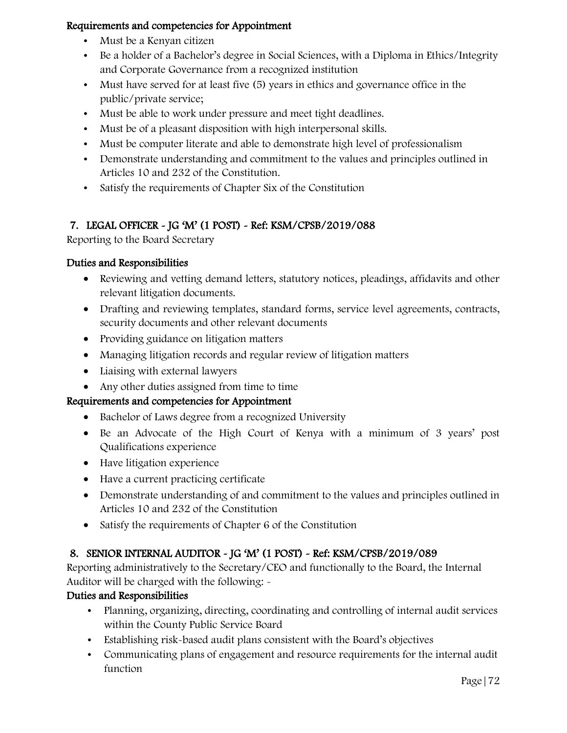- Must be a Kenyan citizen
- Be a holder of a Bachelor's degree in Social Sciences, with a Diploma in Ethics/Integrity and Corporate Governance from a recognized institution
- Must have served for at least five (5) years in ethics and governance office in the public/private service;
- Must be able to work under pressure and meet tight deadlines.
- Must be of a pleasant disposition with high interpersonal skills.
- Must be computer literate and able to demonstrate high level of professionalism
- Demonstrate understanding and commitment to the values and principles outlined in Articles 10 and 232 of the Constitution.
- Satisfy the requirements of Chapter Six of the Constitution

# 7. LEGAL OFFICER - JG 'M' (1 POST) - Ref: KSM/CPSB/2019/088

Reporting to the Board Secretary

# Duties and Responsibilities

- Reviewing and vetting demand letters, statutory notices, pleadings, affidavits and other relevant litigation documents.
- Drafting and reviewing templates, standard forms, service level agreements, contracts, security documents and other relevant documents
- Providing guidance on litigation matters
- Managing litigation records and regular review of litigation matters
- Liaising with external lawyers
- Any other duties assigned from time to time

# Requirements and competencies for Appointment

- Bachelor of Laws degree from a recognized University
- Be an Advocate of the High Court of Kenya with a minimum of 3 years' post Qualifications experience
- Have litigation experience
- Have a current practicing certificate
- Demonstrate understanding of and commitment to the values and principles outlined in Articles 10 and 232 of the Constitution
- Satisfy the requirements of Chapter 6 of the Constitution

# 8. SENIOR INTERNAL AUDITOR - JG 'M' (1 POST) - Ref: KSM/CPSB/2019/089

Reporting administratively to the Secretary/CEO and functionally to the Board, the Internal Auditor will be charged with the following: -

- Planning, organizing, directing, coordinating and controlling of internal audit services within the County Public Service Board
- Establishing risk-based audit plans consistent with the Board's objectives
- Communicating plans of engagement and resource requirements for the internal audit function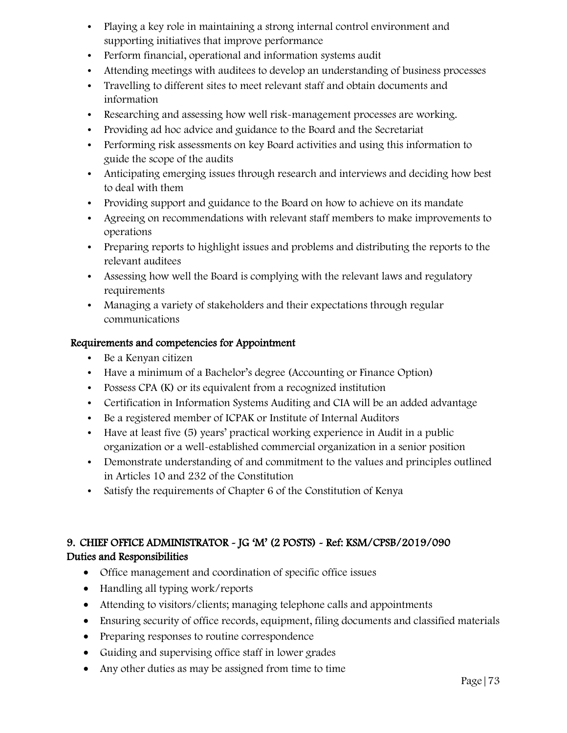- Playing a key role in maintaining a strong internal control environment and supporting initiatives that improve performance
- Perform financial, operational and information systems audit
- Attending meetings with auditees to develop an understanding of business processes
- Travelling to different sites to meet relevant staff and obtain documents and information
- Researching and assessing how well risk-management processes are working.
- Providing ad hoc advice and guidance to the Board and the Secretariat
- Performing risk assessments on key Board activities and using this information to guide the scope of the audits
- Anticipating emerging issues through research and interviews and deciding how best to deal with them
- Providing support and guidance to the Board on how to achieve on its mandate
- Agreeing on recommendations with relevant staff members to make improvements to operations
- Preparing reports to highlight issues and problems and distributing the reports to the relevant auditees
- Assessing how well the Board is complying with the relevant laws and regulatory requirements
- Managing a variety of stakeholders and their expectations through regular communications

- Be a Kenyan citizen
- Have a minimum of a Bachelor's degree (Accounting or Finance Option)
- Possess CPA (K) or its equivalent from a recognized institution
- Certification in Information Systems Auditing and CIA will be an added advantage
- Be a registered member of ICPAK or Institute of Internal Auditors
- Have at least five (5) years' practical working experience in Audit in a public organization or a well-established commercial organization in a senior position
- Demonstrate understanding of and commitment to the values and principles outlined in Articles 10 and 232 of the Constitution
- Satisfy the requirements of Chapter 6 of the Constitution of Kenya

# 9. CHIEF OFFICE ADMINISTRATOR - JG 'M' (2 POSTS) - Ref: KSM/CPSB/2019/090 Duties and Responsibilities

- Office management and coordination of specific office issues
- Handling all typing work/reports
- Attending to visitors/clients; managing telephone calls and appointments
- Ensuring security of office records, equipment, filing documents and classified materials
- Preparing responses to routine correspondence
- Guiding and supervising office staff in lower grades
- Any other duties as may be assigned from time to time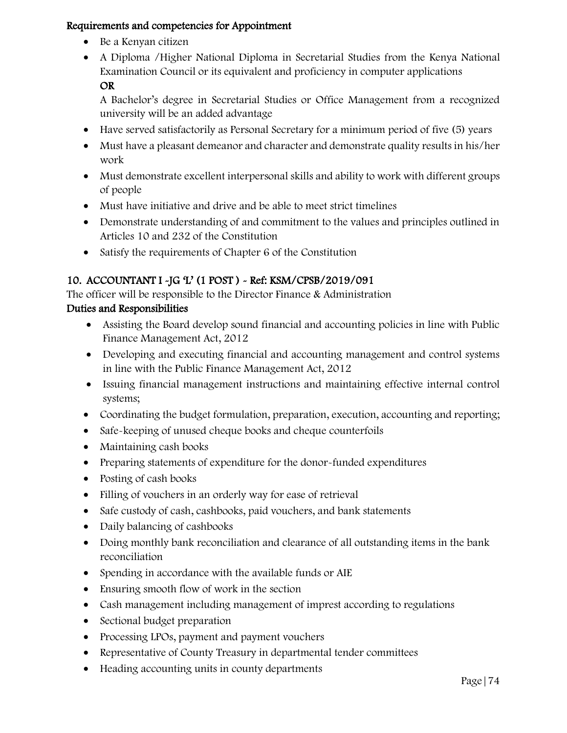- Be a Kenyan citizen
- A Diploma /Higher National Diploma in Secretarial Studies from the Kenya National Examination Council or its equivalent and proficiency in computer applications OR

A Bachelor's degree in Secretarial Studies or Office Management from a recognized university will be an added advantage

- Have served satisfactorily as Personal Secretary for a minimum period of five (5) years
- Must have a pleasant demeanor and character and demonstrate quality results in his/her work
- Must demonstrate excellent interpersonal skills and ability to work with different groups of people
- Must have initiative and drive and be able to meet strict timelines
- Demonstrate understanding of and commitment to the values and principles outlined in Articles 10 and 232 of the Constitution
- Satisfy the requirements of Chapter 6 of the Constitution

# 10. ACCOUNTANT I -JG 'L' (1 POST ) - Ref: KSM/CPSB/2019/091

The officer will be responsible to the Director Finance & Administration

# Duties and Responsibilities

- Assisting the Board develop sound financial and accounting policies in line with Public Finance Management Act, 2012
- Developing and executing financial and accounting management and control systems in line with the Public Finance Management Act, 2012
- Issuing financial management instructions and maintaining effective internal control systems;
- Coordinating the budget formulation, preparation, execution, accounting and reporting;
- Safe-keeping of unused cheque books and cheque counterfoils
- Maintaining cash books
- Preparing statements of expenditure for the donor-funded expenditures
- Posting of cash books
- Filling of vouchers in an orderly way for ease of retrieval
- Safe custody of cash, cashbooks, paid vouchers, and bank statements
- Daily balancing of cashbooks
- Doing monthly bank reconciliation and clearance of all outstanding items in the bank reconciliation
- Spending in accordance with the available funds or AIE
- Ensuring smooth flow of work in the section
- Cash management including management of imprest according to regulations
- Sectional budget preparation
- Processing LPOs, payment and payment vouchers
- Representative of County Treasury in departmental tender committees
- Heading accounting units in county departments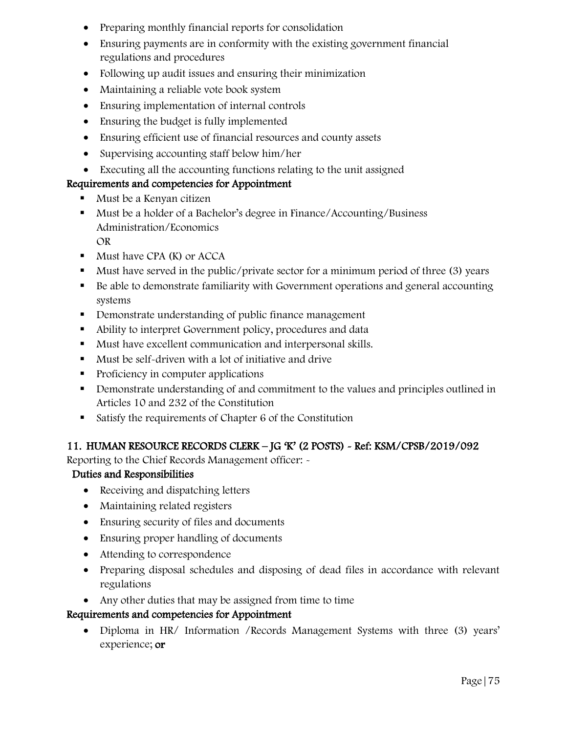- Preparing monthly financial reports for consolidation
- Ensuring payments are in conformity with the existing government financial regulations and procedures
- Following up audit issues and ensuring their minimization
- Maintaining a reliable vote book system
- Ensuring implementation of internal controls
- Ensuring the budget is fully implemented
- Ensuring efficient use of financial resources and county assets
- Supervising accounting staff below him/her
- Executing all the accounting functions relating to the unit assigned

- **Must be a Kenyan citizen**
- Must be a holder of a Bachelor's degree in Finance/Accounting/Business Administration/Economics OR
- **Must have CPA (K) or ACCA**
- Must have served in the public/private sector for a minimum period of three (3) years
- Be able to demonstrate familiarity with Government operations and general accounting systems
- Demonstrate understanding of public finance management
- Ability to interpret Government policy, procedures and data
- Must have excellent communication and interpersonal skills.
- Must be self-driven with a lot of initiative and drive
- $\blacksquare$  Proficiency in computer applications
- Demonstrate understanding of and commitment to the values and principles outlined in Articles 10 and 232 of the Constitution
- Satisfy the requirements of Chapter 6 of the Constitution

### 11. HUMAN RESOURCE RECORDS CLERK – JG 'K' (2 POSTS) - Ref: KSM/CPSB/2019/092

Reporting to the Chief Records Management officer: -

### Duties and Responsibilities

- Receiving and dispatching letters
- Maintaining related registers
- Ensuring security of files and documents
- Ensuring proper handling of documents
- Attending to correspondence
- Preparing disposal schedules and disposing of dead files in accordance with relevant regulations
- Any other duties that may be assigned from time to time

### Requirements and competencies for Appointment

 Diploma in HR/ Information /Records Management Systems with three (3) years' experience; or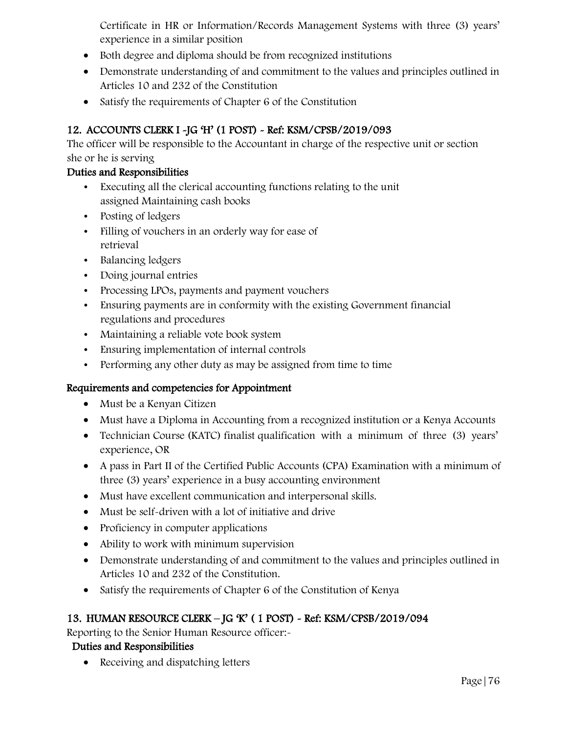Certificate in HR or Information/Records Management Systems with three (3) years' experience in a similar position

- Both degree and diploma should be from recognized institutions
- Demonstrate understanding of and commitment to the values and principles outlined in Articles 10 and 232 of the Constitution
- Satisfy the requirements of Chapter 6 of the Constitution

# 12. ACCOUNTS CLERK I -JG 'H' (1 POST) - Ref: KSM/CPSB/2019/093

The officer will be responsible to the Accountant in charge of the respective unit or section she or he is serving

### Duties and Responsibilities

- Executing all the clerical accounting functions relating to the unit assigned Maintaining cash books
- Posting of ledgers
- Filling of vouchers in an orderly way for ease of retrieval
- Balancing ledgers
- Doing journal entries
- Processing LPOs, payments and payment vouchers
- Ensuring payments are in conformity with the existing Government financial regulations and procedures
- Maintaining a reliable vote book system
- Ensuring implementation of internal controls
- Performing any other duty as may be assigned from time to time

### Requirements and competencies for Appointment

- Must be a Kenyan Citizen
- Must have a Diploma in Accounting from a recognized institution or a Kenya Accounts
- Technician Course (KATC) finalist qualification with a minimum of three (3) years' experience, OR
- A pass in Part II of the Certified Public Accounts (CPA) Examination with a minimum of three (3) years' experience in a busy accounting environment
- Must have excellent communication and interpersonal skills.
- Must be self-driven with a lot of initiative and drive
- Proficiency in computer applications
- Ability to work with minimum supervision
- Demonstrate understanding of and commitment to the values and principles outlined in Articles 10 and 232 of the Constitution.
- Satisfy the requirements of Chapter 6 of the Constitution of Kenya

# 13. HUMAN RESOURCE CLERK – JG 'K' ( 1 POST) - Ref: KSM/CPSB/2019/094

Reporting to the Senior Human Resource officer:-

# Duties and Responsibilities

• Receiving and dispatching letters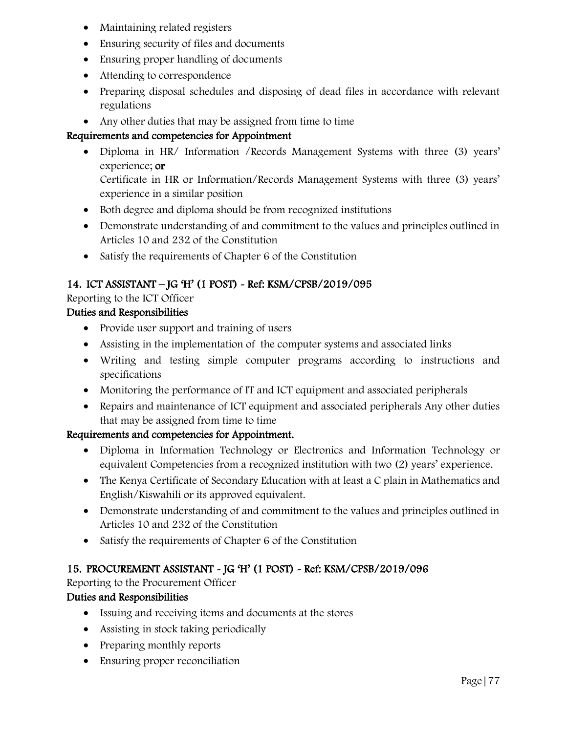- Maintaining related registers
- Ensuring security of files and documents
- Ensuring proper handling of documents
- Attending to correspondence
- Preparing disposal schedules and disposing of dead files in accordance with relevant regulations
- Any other duties that may be assigned from time to time

 Diploma in HR/ Information /Records Management Systems with three (3) years' experience; or

Certificate in HR or Information/Records Management Systems with three (3) years' experience in a similar position

- Both degree and diploma should be from recognized institutions
- Demonstrate understanding of and commitment to the values and principles outlined in Articles 10 and 232 of the Constitution
- Satisfy the requirements of Chapter 6 of the Constitution

# 14. ICT ASSISTANT – JG 'H' (1 POST) - Ref: KSM/CPSB/2019/095

Reporting to the ICT Officer

### Duties and Responsibilities

- Provide user support and training of users
- Assisting in the implementation of the computer systems and associated links
- Writing and testing simple computer programs according to instructions and specifications
- Monitoring the performance of IT and ICT equipment and associated peripherals
- Repairs and maintenance of ICT equipment and associated peripherals Any other duties that may be assigned from time to time

### Requirements and competencies for Appointment.

- Diploma in Information Technology or Electronics and Information Technology or equivalent Competencies from a recognized institution with two (2) years' experience.
- The Kenya Certificate of Secondary Education with at least a C plain in Mathematics and English/Kiswahili or its approved equivalent.
- Demonstrate understanding of and commitment to the values and principles outlined in Articles 10 and 232 of the Constitution
- Satisfy the requirements of Chapter 6 of the Constitution

# 15. PROCUREMENT ASSISTANT - JG 'H' (1 POST) - Ref: KSM/CPSB/2019/096

Reporting to the Procurement Officer

### Duties and Responsibilities

- Issuing and receiving items and documents at the stores
- Assisting in stock taking periodically
- Preparing monthly reports
- Ensuring proper reconciliation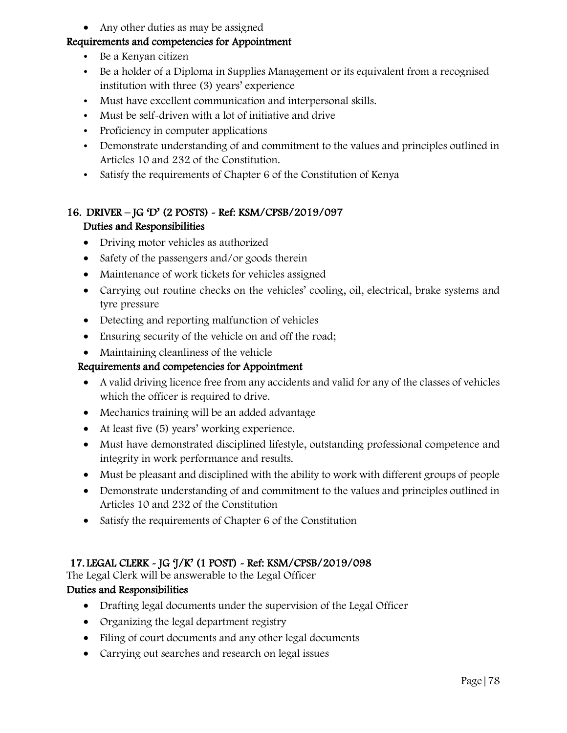• Any other duties as may be assigned

### Requirements and competencies for Appointment

- Be a Kenyan citizen
- Be a holder of a Diploma in Supplies Management or its equivalent from a recognised institution with three (3) years' experience
- Must have excellent communication and interpersonal skills.
- Must be self-driven with a lot of initiative and drive
- Proficiency in computer applications
- Demonstrate understanding of and commitment to the values and principles outlined in Articles 10 and 232 of the Constitution.
- Satisfy the requirements of Chapter 6 of the Constitution of Kenya

### 16. DRIVER – JG 'D' (2 POSTS) - Ref: KSM/CPSB/2019/097 Duties and Responsibilities

- Driving motor vehicles as authorized
- Safety of the passengers and/or goods therein
- Maintenance of work tickets for vehicles assigned
- Carrying out routine checks on the vehicles' cooling, oil, electrical, brake systems and tyre pressure
- Detecting and reporting malfunction of vehicles
- Ensuring security of the vehicle on and off the road;
- Maintaining cleanliness of the vehicle

#### Requirements and competencies for Appointment

- A valid driving licence free from any accidents and valid for any of the classes of vehicles which the officer is required to drive.
- Mechanics training will be an added advantage
- At least five (5) years' working experience.
- Must have demonstrated disciplined lifestyle, outstanding professional competence and integrity in work performance and results.
- Must be pleasant and disciplined with the ability to work with different groups of people
- Demonstrate understanding of and commitment to the values and principles outlined in Articles 10 and 232 of the Constitution
- Satisfy the requirements of Chapter 6 of the Constitution

### 17. LEGAL CLERK - JG 'J/K' (1 POST) - Ref: KSM/CPSB/2019/098

The Legal Clerk will be answerable to the Legal Officer

#### Duties and Responsibilities

- Drafting legal documents under the supervision of the Legal Officer
- Organizing the legal department registry
- Filing of court documents and any other legal documents
- Carrying out searches and research on legal issues